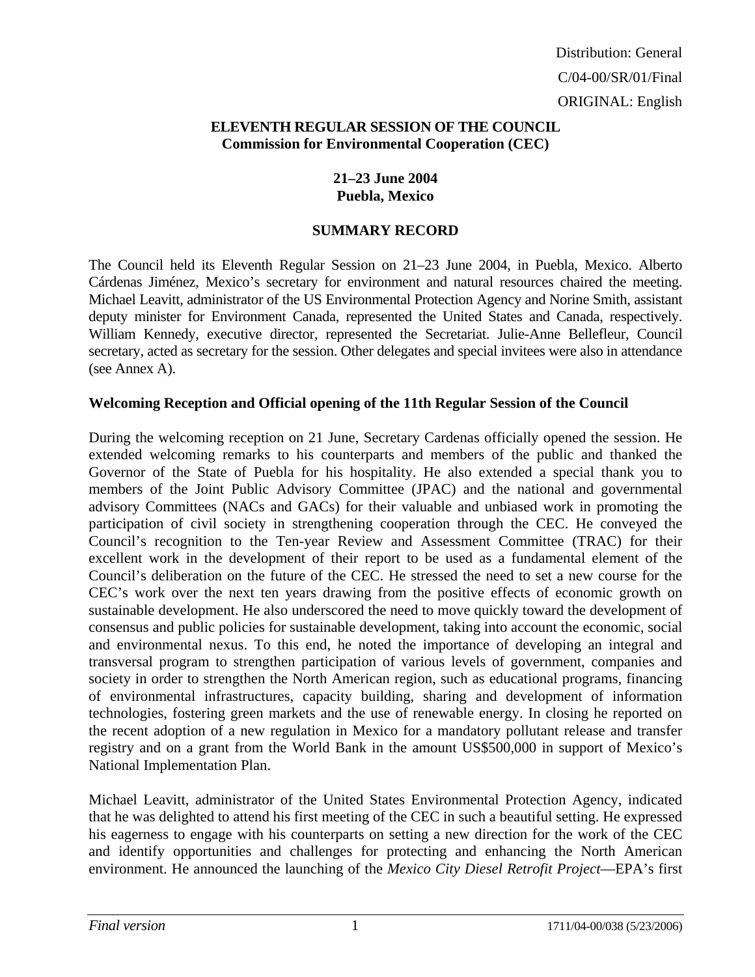## **ELEVENTH REGULAR SESSION OF THE COUNCIL Commission for Environmental Cooperation (CEC)**

## **21–23 June 2004 Puebla, Mexico**

## **SUMMARY RECORD**

The Council held its Eleventh Regular Session on 21–23 June 2004, in Puebla, Mexico. Alberto Cárdenas Jiménez, Mexico's secretary for environment and natural resources chaired the meeting. Michael Leavitt, administrator of the US Environmental Protection Agency and Norine Smith, assistant deputy minister for Environment Canada, represented the United States and Canada, respectively. William Kennedy, executive director, represented the Secretariat. Julie-Anne Bellefleur, Council secretary, acted as secretary for the session. Other delegates and special invitees were also in attendance (see Annex A).

## **Welcoming Reception and Official opening of the 11th Regular Session of the Council**

During the welcoming reception on 21 June, Secretary Cardenas officially opened the session. He extended welcoming remarks to his counterparts and members of the public and thanked the Governor of the State of Puebla for his hospitality. He also extended a special thank you to members of the Joint Public Advisory Committee (JPAC) and the national and governmental advisory Committees (NACs and GACs) for their valuable and unbiased work in promoting the participation of civil society in strengthening cooperation through the CEC. He conveyed the Council's recognition to the Ten-year Review and Assessment Committee (TRAC) for their excellent work in the development of their report to be used as a fundamental element of the Council's deliberation on the future of the CEC. He stressed the need to set a new course for the CEC's work over the next ten years drawing from the positive effects of economic growth on sustainable development. He also underscored the need to move quickly toward the development of consensus and public policies for sustainable development, taking into account the economic, social and environmental nexus. To this end, he noted the importance of developing an integral and transversal program to strengthen participation of various levels of government, companies and society in order to strengthen the North American region, such as educational programs, financing of environmental infrastructures, capacity building, sharing and development of information technologies, fostering green markets and the use of renewable energy. In closing he reported on the recent adoption of a new regulation in Mexico for a mandatory pollutant release and transfer registry and on a grant from the World Bank in the amount US\$500,000 in support of Mexico's National Implementation Plan.

Michael Leavitt, administrator of the United States Environmental Protection Agency, indicated that he was delighted to attend his first meeting of the CEC in such a beautiful setting. He expressed his eagerness to engage with his counterparts on setting a new direction for the work of the CEC and identify opportunities and challenges for protecting and enhancing the North American environment. He announced the launching of the *Mexico City Diesel Retrofit Project*—EPA's first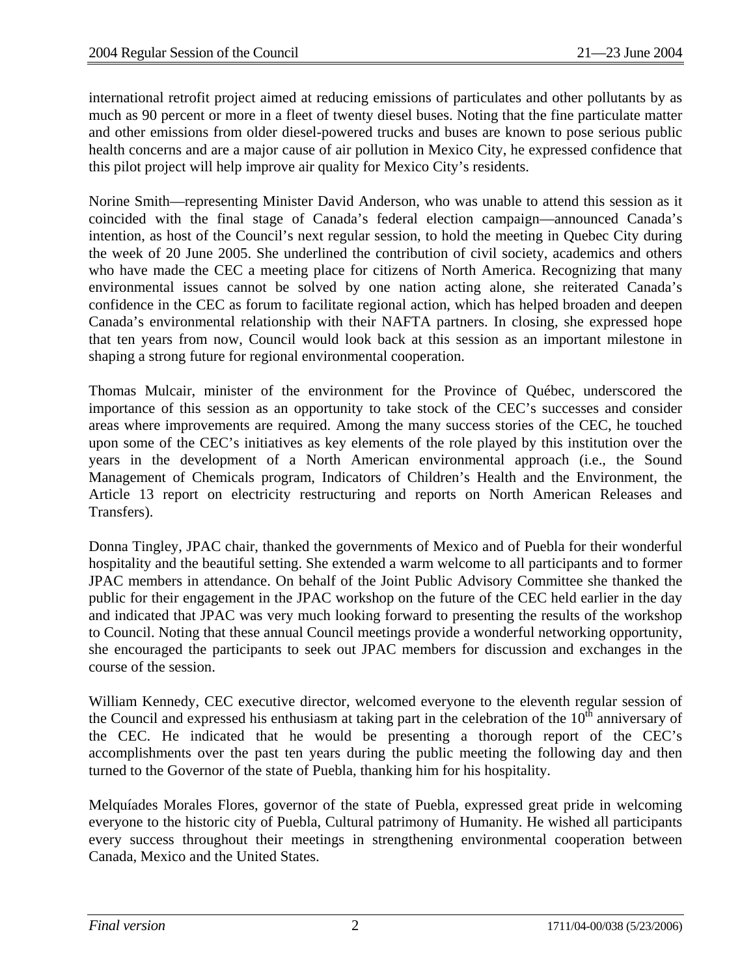international retrofit project aimed at reducing emissions of particulates and other pollutants by as much as 90 percent or more in a fleet of twenty diesel buses. Noting that the fine particulate matter and other emissions from older diesel-powered trucks and buses are known to pose serious public health concerns and are a major cause of air pollution in Mexico City, he expressed confidence that this pilot project will help improve air quality for Mexico City's residents.

Norine Smith—representing Minister David Anderson, who was unable to attend this session as it coincided with the final stage of Canada's federal election campaign—announced Canada's intention, as host of the Council's next regular session, to hold the meeting in Quebec City during the week of 20 June 2005. She underlined the contribution of civil society, academics and others who have made the CEC a meeting place for citizens of North America. Recognizing that many environmental issues cannot be solved by one nation acting alone, she reiterated Canada's confidence in the CEC as forum to facilitate regional action, which has helped broaden and deepen Canada's environmental relationship with their NAFTA partners. In closing, she expressed hope that ten years from now, Council would look back at this session as an important milestone in shaping a strong future for regional environmental cooperation.

Thomas Mulcair, minister of the environment for the Province of Québec, underscored the importance of this session as an opportunity to take stock of the CEC's successes and consider areas where improvements are required. Among the many success stories of the CEC, he touched upon some of the CEC's initiatives as key elements of the role played by this institution over the years in the development of a North American environmental approach (i.e., the Sound Management of Chemicals program, Indicators of Children's Health and the Environment, the Article 13 report on electricity restructuring and reports on North American Releases and Transfers).

Donna Tingley, JPAC chair, thanked the governments of Mexico and of Puebla for their wonderful hospitality and the beautiful setting. She extended a warm welcome to all participants and to former JPAC members in attendance. On behalf of the Joint Public Advisory Committee she thanked the public for their engagement in the JPAC workshop on the future of the CEC held earlier in the day and indicated that JPAC was very much looking forward to presenting the results of the workshop to Council. Noting that these annual Council meetings provide a wonderful networking opportunity, she encouraged the participants to seek out JPAC members for discussion and exchanges in the course of the session.

William Kennedy, CEC executive director, welcomed everyone to the eleventh regular session of the Council and expressed his enthusiasm at taking part in the celebration of the  $10^{th}$  anniversary of the CEC. He indicated that he would be presenting a thorough report of the CEC's accomplishments over the past ten years during the public meeting the following day and then turned to the Governor of the state of Puebla, thanking him for his hospitality.

Melquíades Morales Flores, governor of the state of Puebla, expressed great pride in welcoming everyone to the historic city of Puebla, Cultural patrimony of Humanity. He wished all participants every success throughout their meetings in strengthening environmental cooperation between Canada, Mexico and the United States.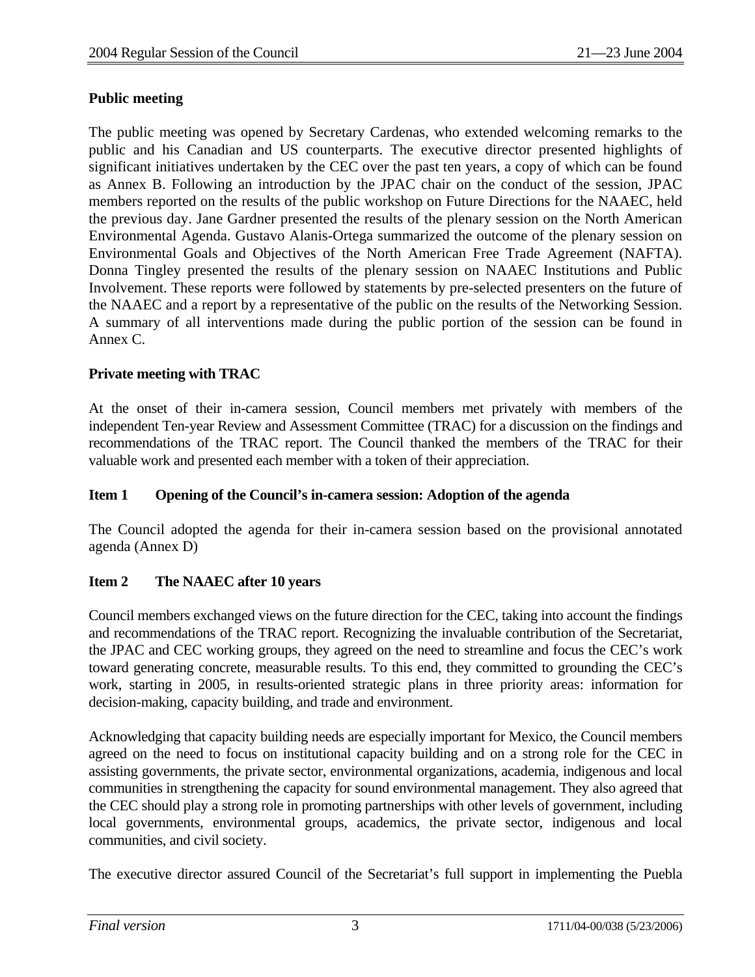## **Public meeting**

The public meeting was opened by Secretary Cardenas, who extended welcoming remarks to the public and his Canadian and US counterparts. The executive director presented highlights of significant initiatives undertaken by the CEC over the past ten years, a copy of which can be found as Annex B. Following an introduction by the JPAC chair on the conduct of the session, JPAC members reported on the results of the public workshop on Future Directions for the NAAEC, held the previous day. Jane Gardner presented the results of the plenary session on the North American Environmental Agenda. Gustavo Alanis-Ortega summarized the outcome of the plenary session on Environmental Goals and Objectives of the North American Free Trade Agreement (NAFTA). Donna Tingley presented the results of the plenary session on NAAEC Institutions and Public Involvement. These reports were followed by statements by pre-selected presenters on the future of the NAAEC and a report by a representative of the public on the results of the Networking Session. A summary of all interventions made during the public portion of the session can be found in Annex C.

## **Private meeting with TRAC**

At the onset of their in-camera session, Council members met privately with members of the independent Ten-year Review and Assessment Committee (TRAC) for a discussion on the findings and recommendations of the TRAC report. The Council thanked the members of the TRAC for their valuable work and presented each member with a token of their appreciation.

## **Item 1 Opening of the Council's in-camera session: Adoption of the agenda**

The Council adopted the agenda for their in-camera session based on the provisional annotated agenda (Annex D)

## **Item 2 The NAAEC after 10 years**

Council members exchanged views on the future direction for the CEC, taking into account the findings and recommendations of the TRAC report. Recognizing the invaluable contribution of the Secretariat, the JPAC and CEC working groups, they agreed on the need to streamline and focus the CEC's work toward generating concrete, measurable results. To this end, they committed to grounding the CEC's work, starting in 2005, in results-oriented strategic plans in three priority areas: information for decision-making, capacity building, and trade and environment.

Acknowledging that capacity building needs are especially important for Mexico, the Council members agreed on the need to focus on institutional capacity building and on a strong role for the CEC in assisting governments, the private sector, environmental organizations, academia, indigenous and local communities in strengthening the capacity for sound environmental management. They also agreed that the CEC should play a strong role in promoting partnerships with other levels of government, including local governments, environmental groups, academics, the private sector, indigenous and local communities, and civil society.

The executive director assured Council of the Secretariat's full support in implementing the Puebla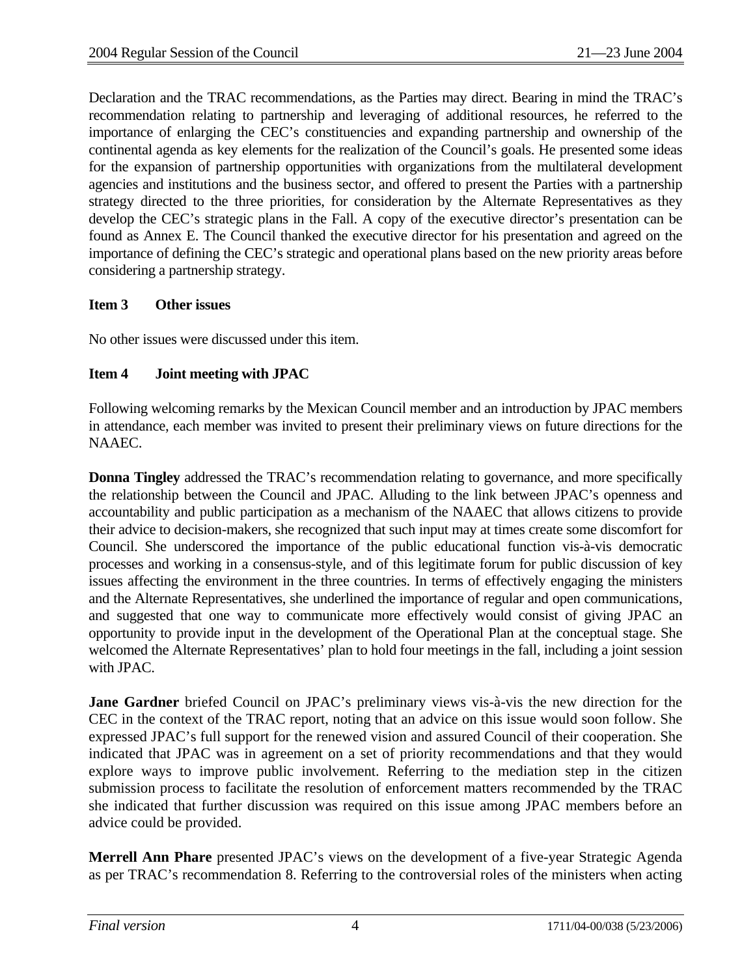Declaration and the TRAC recommendations, as the Parties may direct. Bearing in mind the TRAC's recommendation relating to partnership and leveraging of additional resources, he referred to the importance of enlarging the CEC's constituencies and expanding partnership and ownership of the continental agenda as key elements for the realization of the Council's goals. He presented some ideas for the expansion of partnership opportunities with organizations from the multilateral development agencies and institutions and the business sector, and offered to present the Parties with a partnership strategy directed to the three priorities, for consideration by the Alternate Representatives as they develop the CEC's strategic plans in the Fall. A copy of the executive director's presentation can be found as Annex E. The Council thanked the executive director for his presentation and agreed on the importance of defining the CEC's strategic and operational plans based on the new priority areas before considering a partnership strategy.

## **Item 3 Other issues**

No other issues were discussed under this item.

## **Item 4 Joint meeting with JPAC**

Following welcoming remarks by the Mexican Council member and an introduction by JPAC members in attendance, each member was invited to present their preliminary views on future directions for the NAAEC.

**Donna Tingley** addressed the TRAC's recommendation relating to governance, and more specifically the relationship between the Council and JPAC. Alluding to the link between JPAC's openness and accountability and public participation as a mechanism of the NAAEC that allows citizens to provide their advice to decision-makers, she recognized that such input may at times create some discomfort for Council. She underscored the importance of the public educational function vis-à-vis democratic processes and working in a consensus-style, and of this legitimate forum for public discussion of key issues affecting the environment in the three countries. In terms of effectively engaging the ministers and the Alternate Representatives, she underlined the importance of regular and open communications, and suggested that one way to communicate more effectively would consist of giving JPAC an opportunity to provide input in the development of the Operational Plan at the conceptual stage. She welcomed the Alternate Representatives' plan to hold four meetings in the fall, including a joint session with JPAC.

**Jane Gardner** briefed Council on JPAC's preliminary views vis-à-vis the new direction for the CEC in the context of the TRAC report, noting that an advice on this issue would soon follow. She expressed JPAC's full support for the renewed vision and assured Council of their cooperation. She indicated that JPAC was in agreement on a set of priority recommendations and that they would explore ways to improve public involvement. Referring to the mediation step in the citizen submission process to facilitate the resolution of enforcement matters recommended by the TRAC she indicated that further discussion was required on this issue among JPAC members before an advice could be provided.

**Merrell Ann Phare** presented JPAC's views on the development of a five-year Strategic Agenda as per TRAC's recommendation 8. Referring to the controversial roles of the ministers when acting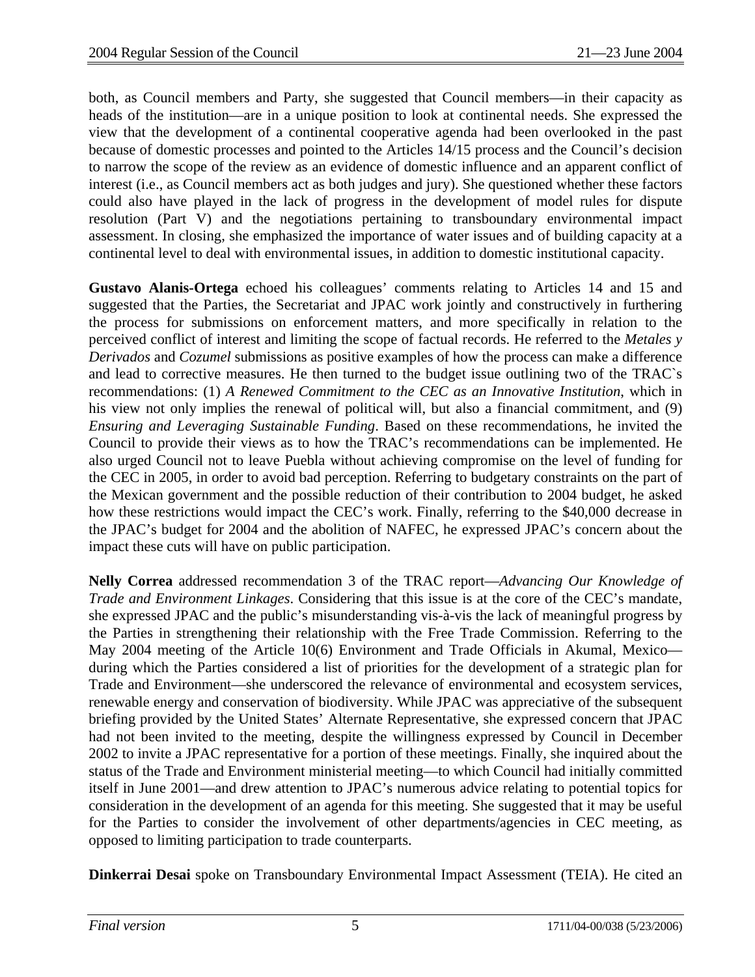both, as Council members and Party, she suggested that Council members—in their capacity as heads of the institution—are in a unique position to look at continental needs. She expressed the view that the development of a continental cooperative agenda had been overlooked in the past because of domestic processes and pointed to the Articles 14/15 process and the Council's decision to narrow the scope of the review as an evidence of domestic influence and an apparent conflict of interest (i.e., as Council members act as both judges and jury). She questioned whether these factors could also have played in the lack of progress in the development of model rules for dispute resolution (Part V) and the negotiations pertaining to transboundary environmental impact assessment. In closing, she emphasized the importance of water issues and of building capacity at a continental level to deal with environmental issues, in addition to domestic institutional capacity.

**Gustavo Alanis-Ortega** echoed his colleagues' comments relating to Articles 14 and 15 and suggested that the Parties, the Secretariat and JPAC work jointly and constructively in furthering the process for submissions on enforcement matters, and more specifically in relation to the perceived conflict of interest and limiting the scope of factual records. He referred to the *Metales y Derivados* and *Cozumel* submissions as positive examples of how the process can make a difference and lead to corrective measures. He then turned to the budget issue outlining two of the TRAC`s recommendations: (1) *A Renewed Commitment to the CEC as an Innovative Institution*, which in his view not only implies the renewal of political will, but also a financial commitment, and (9) *Ensuring and Leveraging Sustainable Funding*. Based on these recommendations, he invited the Council to provide their views as to how the TRAC's recommendations can be implemented. He also urged Council not to leave Puebla without achieving compromise on the level of funding for the CEC in 2005, in order to avoid bad perception. Referring to budgetary constraints on the part of the Mexican government and the possible reduction of their contribution to 2004 budget, he asked how these restrictions would impact the CEC's work. Finally, referring to the \$40,000 decrease in the JPAC's budget for 2004 and the abolition of NAFEC, he expressed JPAC's concern about the impact these cuts will have on public participation.

**Nelly Correa** addressed recommendation 3 of the TRAC report—*Advancing Our Knowledge of Trade and Environment Linkages*. Considering that this issue is at the core of the CEC's mandate, she expressed JPAC and the public's misunderstanding vis-à-vis the lack of meaningful progress by the Parties in strengthening their relationship with the Free Trade Commission. Referring to the May 2004 meeting of the Article 10(6) Environment and Trade Officials in Akumal, Mexico during which the Parties considered a list of priorities for the development of a strategic plan for Trade and Environment—she underscored the relevance of environmental and ecosystem services, renewable energy and conservation of biodiversity. While JPAC was appreciative of the subsequent briefing provided by the United States' Alternate Representative, she expressed concern that JPAC had not been invited to the meeting, despite the willingness expressed by Council in December 2002 to invite a JPAC representative for a portion of these meetings. Finally, she inquired about the status of the Trade and Environment ministerial meeting—to which Council had initially committed itself in June 2001—and drew attention to JPAC's numerous advice relating to potential topics for consideration in the development of an agenda for this meeting. She suggested that it may be useful for the Parties to consider the involvement of other departments/agencies in CEC meeting, as opposed to limiting participation to trade counterparts.

**Dinkerrai Desai** spoke on Transboundary Environmental Impact Assessment (TEIA). He cited an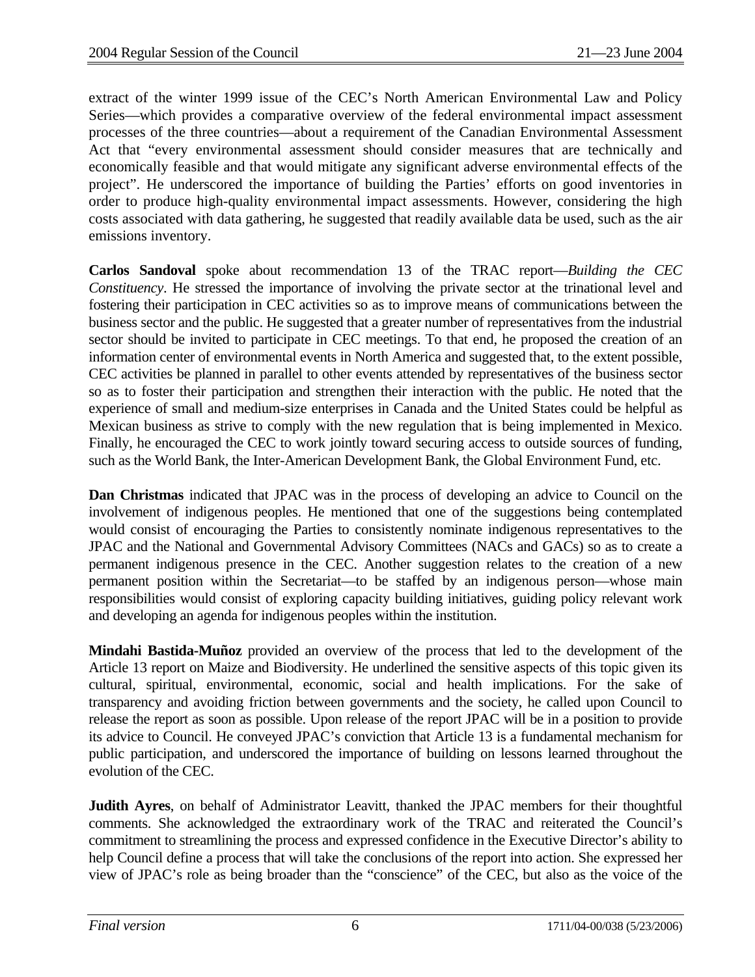extract of the winter 1999 issue of the CEC's North American Environmental Law and Policy Series—which provides a comparative overview of the federal environmental impact assessment processes of the three countries—about a requirement of the Canadian Environmental Assessment Act that "every environmental assessment should consider measures that are technically and economically feasible and that would mitigate any significant adverse environmental effects of the project". He underscored the importance of building the Parties' efforts on good inventories in order to produce high-quality environmental impact assessments. However, considering the high costs associated with data gathering, he suggested that readily available data be used, such as the air emissions inventory.

**Carlos Sandoval** spoke about recommendation 13 of the TRAC report—*Building the CEC Constituency*. He stressed the importance of involving the private sector at the trinational level and fostering their participation in CEC activities so as to improve means of communications between the business sector and the public. He suggested that a greater number of representatives from the industrial sector should be invited to participate in CEC meetings. To that end, he proposed the creation of an information center of environmental events in North America and suggested that, to the extent possible, CEC activities be planned in parallel to other events attended by representatives of the business sector so as to foster their participation and strengthen their interaction with the public. He noted that the experience of small and medium-size enterprises in Canada and the United States could be helpful as Mexican business as strive to comply with the new regulation that is being implemented in Mexico. Finally, he encouraged the CEC to work jointly toward securing access to outside sources of funding, such as the World Bank, the Inter-American Development Bank, the Global Environment Fund, etc.

**Dan Christmas** indicated that JPAC was in the process of developing an advice to Council on the involvement of indigenous peoples. He mentioned that one of the suggestions being contemplated would consist of encouraging the Parties to consistently nominate indigenous representatives to the JPAC and the National and Governmental Advisory Committees (NACs and GACs) so as to create a permanent indigenous presence in the CEC. Another suggestion relates to the creation of a new permanent position within the Secretariat—to be staffed by an indigenous person—whose main responsibilities would consist of exploring capacity building initiatives, guiding policy relevant work and developing an agenda for indigenous peoples within the institution.

**Mindahi Bastida-Muñoz** provided an overview of the process that led to the development of the Article 13 report on Maize and Biodiversity. He underlined the sensitive aspects of this topic given its cultural, spiritual, environmental, economic, social and health implications. For the sake of transparency and avoiding friction between governments and the society, he called upon Council to release the report as soon as possible. Upon release of the report JPAC will be in a position to provide its advice to Council. He conveyed JPAC's conviction that Article 13 is a fundamental mechanism for public participation, and underscored the importance of building on lessons learned throughout the evolution of the CEC.

**Judith Ayres**, on behalf of Administrator Leavitt, thanked the JPAC members for their thoughtful comments. She acknowledged the extraordinary work of the TRAC and reiterated the Council's commitment to streamlining the process and expressed confidence in the Executive Director's ability to help Council define a process that will take the conclusions of the report into action. She expressed her view of JPAC's role as being broader than the "conscience" of the CEC, but also as the voice of the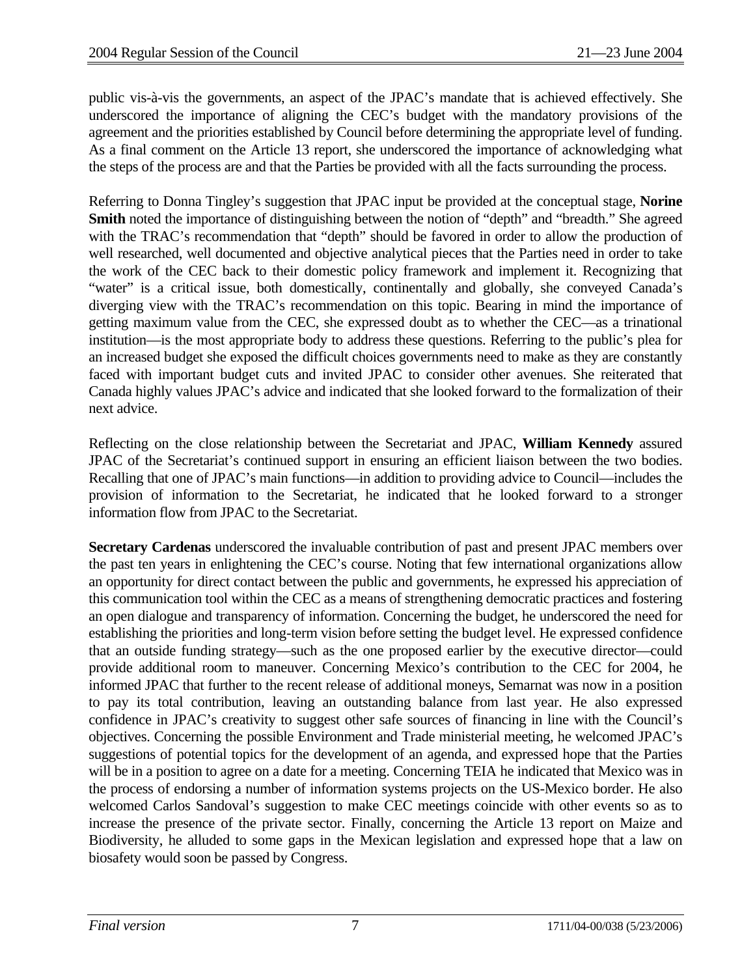public vis-à-vis the governments, an aspect of the JPAC's mandate that is achieved effectively. She underscored the importance of aligning the CEC's budget with the mandatory provisions of the agreement and the priorities established by Council before determining the appropriate level of funding. As a final comment on the Article 13 report, she underscored the importance of acknowledging what the steps of the process are and that the Parties be provided with all the facts surrounding the process.

Referring to Donna Tingley's suggestion that JPAC input be provided at the conceptual stage, **Norine Smith** noted the importance of distinguishing between the notion of "depth" and "breadth." She agreed with the TRAC's recommendation that "depth" should be favored in order to allow the production of well researched, well documented and objective analytical pieces that the Parties need in order to take the work of the CEC back to their domestic policy framework and implement it. Recognizing that "water" is a critical issue, both domestically, continentally and globally, she conveyed Canada's diverging view with the TRAC's recommendation on this topic. Bearing in mind the importance of getting maximum value from the CEC, she expressed doubt as to whether the CEC—as a trinational institution—is the most appropriate body to address these questions. Referring to the public's plea for an increased budget she exposed the difficult choices governments need to make as they are constantly faced with important budget cuts and invited JPAC to consider other avenues. She reiterated that Canada highly values JPAC's advice and indicated that she looked forward to the formalization of their next advice.

Reflecting on the close relationship between the Secretariat and JPAC, **William Kennedy** assured JPAC of the Secretariat's continued support in ensuring an efficient liaison between the two bodies. Recalling that one of JPAC's main functions—in addition to providing advice to Council—includes the provision of information to the Secretariat, he indicated that he looked forward to a stronger information flow from JPAC to the Secretariat.

**Secretary Cardenas** underscored the invaluable contribution of past and present JPAC members over the past ten years in enlightening the CEC's course. Noting that few international organizations allow an opportunity for direct contact between the public and governments, he expressed his appreciation of this communication tool within the CEC as a means of strengthening democratic practices and fostering an open dialogue and transparency of information. Concerning the budget, he underscored the need for establishing the priorities and long-term vision before setting the budget level. He expressed confidence that an outside funding strategy—such as the one proposed earlier by the executive director—could provide additional room to maneuver. Concerning Mexico's contribution to the CEC for 2004, he informed JPAC that further to the recent release of additional moneys, Semarnat was now in a position to pay its total contribution, leaving an outstanding balance from last year. He also expressed confidence in JPAC's creativity to suggest other safe sources of financing in line with the Council's objectives. Concerning the possible Environment and Trade ministerial meeting, he welcomed JPAC's suggestions of potential topics for the development of an agenda, and expressed hope that the Parties will be in a position to agree on a date for a meeting. Concerning TEIA he indicated that Mexico was in the process of endorsing a number of information systems projects on the US-Mexico border. He also welcomed Carlos Sandoval's suggestion to make CEC meetings coincide with other events so as to increase the presence of the private sector. Finally, concerning the Article 13 report on Maize and Biodiversity, he alluded to some gaps in the Mexican legislation and expressed hope that a law on biosafety would soon be passed by Congress.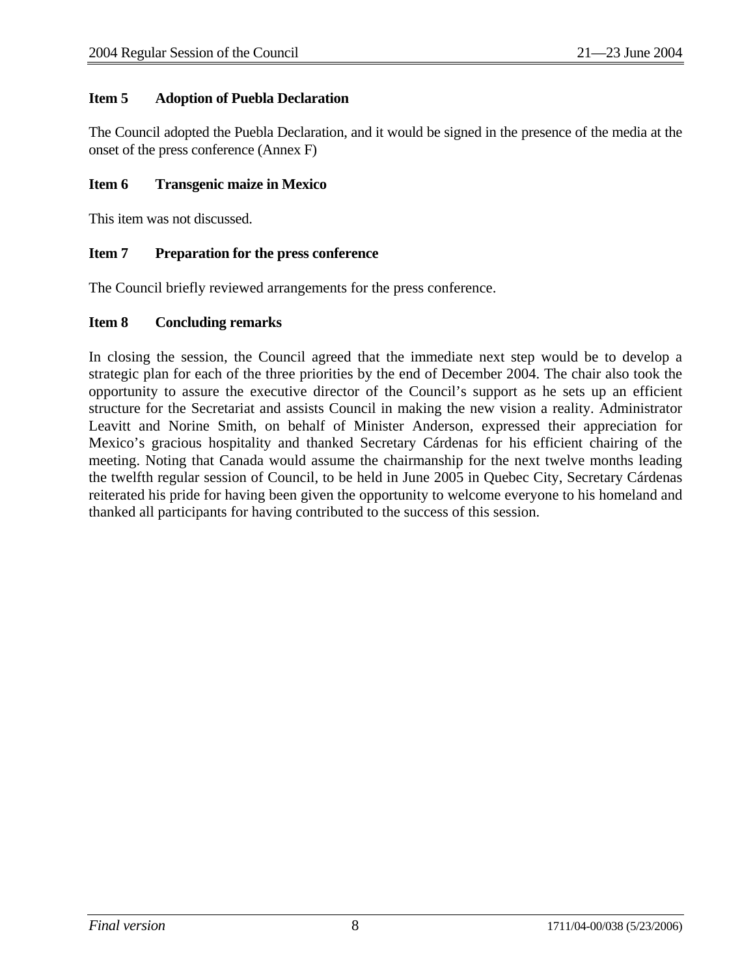## **Item 5 Adoption of Puebla Declaration**

The Council adopted the Puebla Declaration, and it would be signed in the presence of the media at the onset of the press conference (Annex F)

## **Item 6 Transgenic maize in Mexico**

This item was not discussed.

## **Item 7 Preparation for the press conference**

The Council briefly reviewed arrangements for the press conference.

## **Item 8 Concluding remarks**

In closing the session, the Council agreed that the immediate next step would be to develop a strategic plan for each of the three priorities by the end of December 2004. The chair also took the opportunity to assure the executive director of the Council's support as he sets up an efficient structure for the Secretariat and assists Council in making the new vision a reality. Administrator Leavitt and Norine Smith, on behalf of Minister Anderson, expressed their appreciation for Mexico's gracious hospitality and thanked Secretary Cárdenas for his efficient chairing of the meeting. Noting that Canada would assume the chairmanship for the next twelve months leading the twelfth regular session of Council, to be held in June 2005 in Quebec City, Secretary Cárdenas reiterated his pride for having been given the opportunity to welcome everyone to his homeland and thanked all participants for having contributed to the success of this session.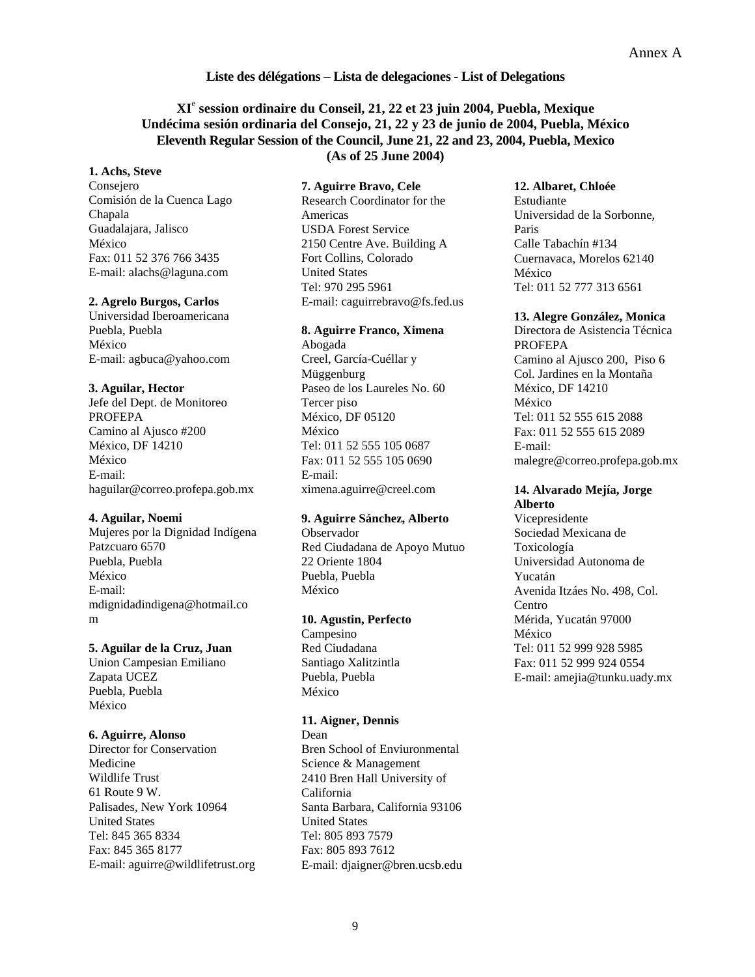### Annex A

#### **Liste des délégations – Lista de delegaciones - List of Delegations**

## **XI**<sup>e</sup>  **session ordinaire du Conseil, 21, 22 et 23 juin 2004, Puebla, Mexique Undécima sesión ordinaria del Consejo, 21, 22 y 23 de junio de 2004, Puebla, México Eleventh Regular Session of the Council, June 21, 22 and 23, 2004, Puebla, Mexico (As of 25 June 2004)**

## **1. Achs, Steve**

Consejero Comisión de la Cuenca Lago Chapala Guadalajara, Jalisco México Fax: 011 52 376 766 3435 E-mail: alachs@laguna.com

#### **2. Agrelo Burgos, Carlos**

Universidad Iberoamericana Puebla, Puebla México E-mail: agbuca@yahoo.com

#### **3. Aguilar, Hector**

Jefe del Dept. de Monitoreo PROFEPA Camino al Ajusco #200 México, DF 14210 México E-mail: haguilar@correo.profepa.gob.mx

#### **4. Aguilar, Noemi**

Mujeres por la Dignidad Indígena Patzcuaro 6570 Puebla, Puebla México E-mail: mdignidadindigena@hotmail.co m

#### **5. Aguilar de la Cruz, Juan**

Union Campesian Emiliano Zapata UCEZ Puebla, Puebla México

#### **6. Aguirre, Alonso**

Director for Conservation Medicine Wildlife Trust 61 Route 9 W. Palisades, New York 10964 United States Tel: 845 365 8334 Fax: 845 365 8177 E-mail: aguirre@wildlifetrust.org **7. Aguirre Bravo, Cele** 

Research Coordinator for the Americas USDA Forest Service 2150 Centre Ave. Building A Fort Collins, Colorado United States Tel: 970 295 5961 E-mail: caguirrebravo@fs.fed.us

#### **8. Aguirre Franco, Ximena**

Abogada Creel, García-Cuéllar y Müggenburg Paseo de los Laureles No. 60 Tercer piso México, DF 05120 México Tel: 011 52 555 105 0687 Fax: 011 52 555 105 0690 E-mail: ximena.aguirre@creel.com

#### **9. Aguirre Sánchez, Alberto**

Observador Red Ciudadana de Apoyo Mutuo 22 Oriente 1804 Puebla, Puebla México

#### **10. Agustin, Perfecto**

Campesino Red Ciudadana Santiago Xalitzintla Puebla, Puebla México

#### **11. Aigner, Dennis**

Dean Bren School of Enviuronmental Science & Management 2410 Bren Hall University of California Santa Barbara, California 93106 United States Tel: 805 893 7579 Fax: 805 893 7612 E-mail: djaigner@bren.ucsb.edu **12. Albaret, Chloée**  Estudiante Universidad de la Sorbonne, Paris Calle Tabachín #134 Cuernavaca, Morelos 62140 México Tel: 011 52 777 313 6561

#### **13. Alegre González, Monica**

Directora de Asistencia Técnica PROFEPA Camino al Ajusco 200, Piso 6 Col. Jardines en la Montaña México, DF 14210 México Tel: 011 52 555 615 2088 Fax: 011 52 555 615 2089 E-mail: malegre@correo.profepa.gob.mx

#### **14. Alvarado Mejía, Jorge Alberto**

Vicepresidente Sociedad Mexicana de Toxicología Universidad Autonoma de Yucatán Avenida Itzáes No. 498, Col. Centro Mérida, Yucatán 97000 México Tel: 011 52 999 928 5985 Fax: 011 52 999 924 0554 E-mail: amejia@tunku.uady.mx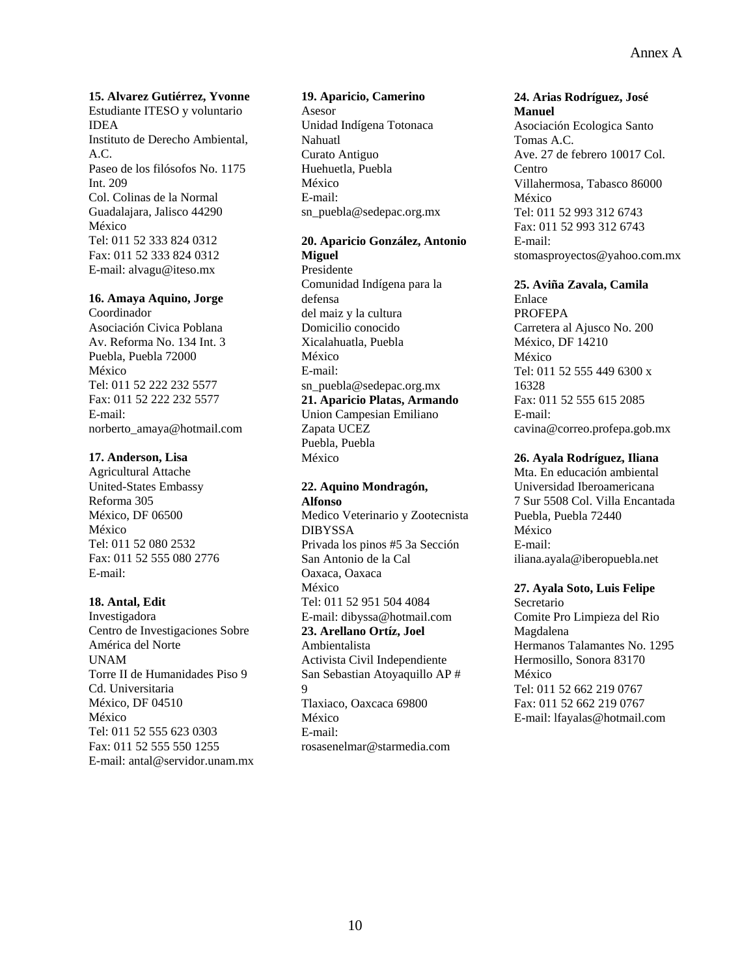**15. Alvarez Gutiérrez, Yvonne**  Estudiante ITESO y voluntario IDEA Instituto de Derecho Ambiental, A.C. Paseo de los filósofos No. 1175 Int. 209 Col. Colinas de la Normal Guadalajara, Jalisco 44290 México Tel: 011 52 333 824 0312 Fax: 011 52 333 824 0312 E-mail: alvagu@iteso.mx

#### **16. Amaya Aquino, Jorge**

Coordinador Asociación Civica Poblana Av. Reforma No. 134 Int. 3 Puebla, Puebla 72000 México Tel: 011 52 222 232 5577 Fax: 011 52 222 232 5577 E-mail: norberto\_amaya@hotmail.com

#### **17. Anderson, Lisa**

Agricultural Attache United-States Embassy Reforma 305 México, DF 06500 México Tel: 011 52 080 2532 Fax: 011 52 555 080 2776 E-mail:

#### **18. Antal, Edit**

Investigadora Centro de Investigaciones Sobre América del Norte UNAM Torre II de Humanidades Piso 9 Cd. Universitaria México, DF 04510 México Tel: 011 52 555 623 0303 Fax: 011 52 555 550 1255 E-mail: antal@servidor.unam.mx

#### **19. Aparicio, Camerino**

Asesor Unidad Indígena Totonaca Nahuatl Curato Antiguo Huehuetla, Puebla México E-mail: sn\_puebla@sedepac.org.mx

## **20. Aparicio González, Antonio**

**Miguel**  Presidente Comunidad Indígena para la defensa del maiz y la cultura Domicilio conocido Xicalahuatla, Puebla México E-mail: sn\_puebla@sedepac.org.mx **21. Aparicio Platas, Armando**  Union Campesian Emiliano Zapata UCEZ Puebla, Puebla México

#### **22. Aquino Mondragón, Alfonso**

Medico Veterinario y Zootecnista DIBYSSA Privada los pinos #5 3a Sección San Antonio de la Cal Oaxaca, Oaxaca México Tel: 011 52 951 504 4084 E-mail: dibyssa@hotmail.com **23. Arellano Ortíz, Joel**  Ambientalista Activista Civil Independiente San Sebastian Atoyaquillo AP # 9 Tlaxiaco, Oaxcaca 69800 México E-mail: rosasenelmar@starmedia.com

#### **24. Arias Rodríguez, José Manuel**

Asociación Ecologica Santo Tomas A.C. Ave. 27 de febrero 10017 Col. Centro Villahermosa, Tabasco 86000 México Tel: 011 52 993 312 6743 Fax: 011 52 993 312 6743 E-mail: stomasproyectos@yahoo.com.mx

#### **25. Aviña Zavala, Camila**

Enlace PROFEPA Carretera al Ajusco No. 200 México, DF 14210 México Tel: 011 52 555 449 6300 x 16328 Fax: 011 52 555 615 2085 E-mail: cavina@correo.profepa.gob.mx

## **26. Ayala Rodríguez, Iliana**

Mta. En educación ambiental Universidad Iberoamericana 7 Sur 5508 Col. Villa Encantada Puebla, Puebla 72440 México E-mail: iliana.ayala@iberopuebla.net

## **27. Ayala Soto, Luis Felipe**

Secretario Comite Pro Limpieza del Rio Magdalena Hermanos Talamantes No. 1295 Hermosillo, Sonora 83170 México Tel: 011 52 662 219 0767 Fax: 011 52 662 219 0767 E-mail: lfayalas@hotmail.com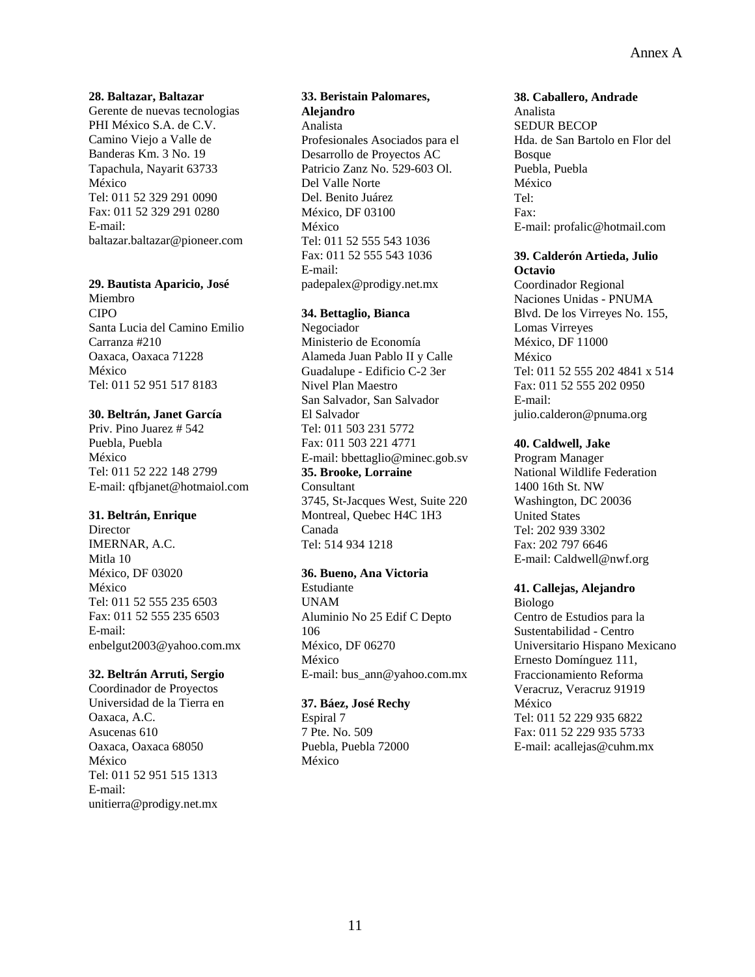## Annex A

#### **28. Baltazar, Baltazar**

Gerente de nuevas tecnologias PHI México S.A. de C.V. Camino Viejo a Valle de Banderas Km. 3 No. 19 Tapachula, Nayarit 63733 México Tel: 011 52 329 291 0090 Fax: 011 52 329 291 0280 E-mail: baltazar.baltazar@pioneer.com

## **29. Bautista Aparicio, José**

Miembro CIPO Santa Lucia del Camino Emilio Carranza #210 Oaxaca, Oaxaca 71228 México Tel: 011 52 951 517 8183

#### **30. Beltrán, Janet García**

Priv. Pino Juarez # 542 Puebla, Puebla México Tel: 011 52 222 148 2799 E-mail: qfbjanet@hotmaiol.com

#### **31. Beltrán, Enrique**

Director IMERNAR, A.C. Mitla 10 México, DF 03020 México Tel: 011 52 555 235 6503 Fax: 011 52 555 235 6503 E-mail: enbelgut2003@yahoo.com.mx

#### **32. Beltrán Arruti, Sergio**

Coordinador de Proyectos Universidad de la Tierra en Oaxaca, A.C. Asucenas 610 Oaxaca, Oaxaca 68050 México Tel: 011 52 951 515 1313 E-mail: unitierra@prodigy.net.mx

## **33. Beristain Palomares, Alejandro**  Analista Profesionales Asociados para el Desarrollo de Proyectos AC Patricio Zanz No. 529-603 Ol. Del Valle Norte Del. Benito Juárez México, DF 03100

México Tel: 011 52 555 543 1036 Fax: 011 52 555 543 1036 E-mail: padepalex@prodigy.net.mx

#### **34. Bettaglio, Bianca**

Negociador Ministerio de Economía Alameda Juan Pablo II y Calle Guadalupe - Edificio C-2 3er Nivel Plan Maestro San Salvador, San Salvador El Salvador Tel: 011 503 231 5772 Fax: 011 503 221 4771 E-mail: bbettaglio@minec.gob.sv **35. Brooke, Lorraine**  Consultant 3745, St-Jacques West, Suite 220 Montreal, Quebec H4C 1H3 Canada Tel: 514 934 1218

#### **36. Bueno, Ana Victoria**

Estudiante UNAM Aluminio No 25 Edif C Depto 106 México, DF 06270 México E-mail: bus\_ann@yahoo.com.mx

#### **37. Báez, José Rechy**

Espiral 7 7 Pte. No. 509 Puebla, Puebla 72000 México

#### **38. Caballero, Andrade**

Analista SEDUR BECOP Hda. de San Bartolo en Flor del **Bosque** Puebla, Puebla México Tel: Fax: E-mail: profalic@hotmail.com

#### **39. Calderón Artieda, Julio Octavio**

Coordinador Regional Naciones Unidas - PNUMA Blvd. De los Virreyes No. 155, Lomas Virreyes México, DF 11000 México Tel: 011 52 555 202 4841 x 514 Fax: 011 52 555 202 0950 E-mail: julio.calderon@pnuma.org

#### **40. Caldwell, Jake**

Program Manager National Wildlife Federation 1400 16th St. NW Washington, DC 20036 United States Tel: 202 939 3302 Fax: 202 797 6646 E-mail: Caldwell@nwf.org

## **41. Callejas, Alejandro**

Biologo Centro de Estudios para la Sustentabilidad - Centro Universitario Hispano Mexicano Ernesto Domínguez 111, Fraccionamiento Reforma Veracruz, Veracruz 91919 México Tel: 011 52 229 935 6822 Fax: 011 52 229 935 5733 E-mail: acallejas@cuhm.mx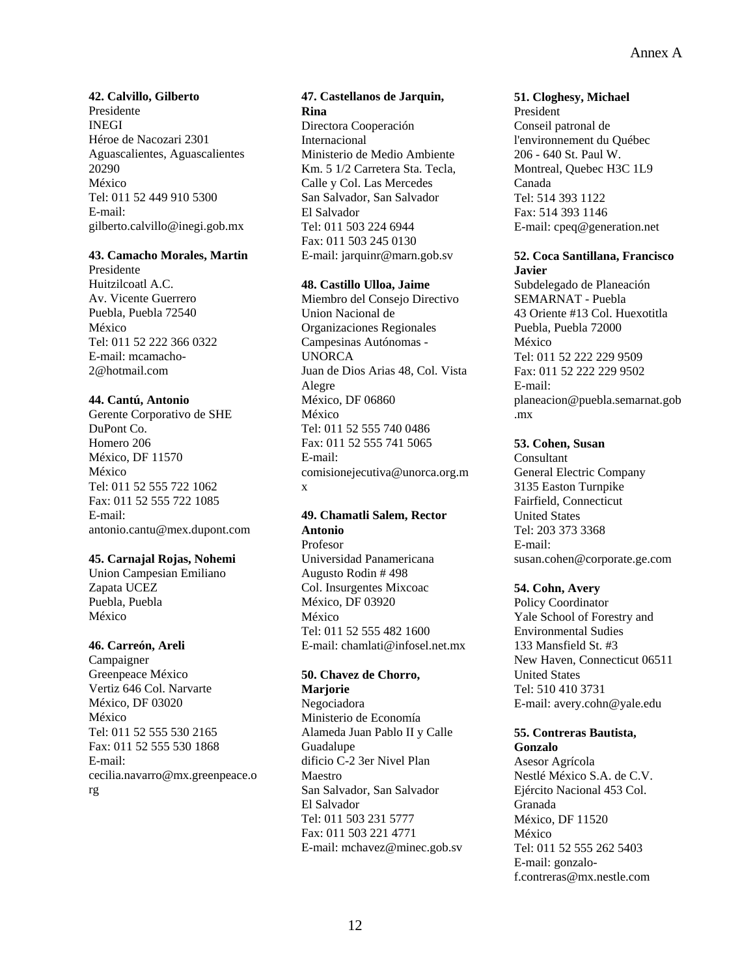## **42. Calvillo, Gilberto**

Presidente INEGI Héroe de Nacozari 2301 Aguascalientes, Aguascalientes 20290 México Tel: 011 52 449 910 5300 E-mail: gilberto.calvillo@inegi.gob.mx

#### **43. Camacho Morales, Martin**

Presidente Huitzilcoatl A.C. Av. Vicente Guerrero Puebla, Puebla 72540 México Tel: 011 52 222 366 0322 E-mail: mcamacho-2@hotmail.com

#### **44. Cantú, Antonio**

Gerente Corporativo de SHE DuPont Co. Homero 206 México, DF 11570 México Tel: 011 52 555 722 1062 Fax: 011 52 555 722 1085 E-mail: antonio.cantu@mex.dupont.com

#### **45. Carnajal Rojas, Nohemi**

Union Campesian Emiliano Zapata UCEZ Puebla, Puebla México

#### **46. Carreón, Areli**

Campaigner Greenpeace México Vertiz 646 Col. Narvarte México, DF 03020 México Tel: 011 52 555 530 2165 Fax: 011 52 555 530 1868 E-mail: cecilia.navarro@mx.greenpeace.o rg

## **47. Castellanos de Jarquin, Rina**

Directora Cooperación Internacional Ministerio de Medio Ambiente Km. 5 1/2 Carretera Sta. Tecla, Calle y Col. Las Mercedes San Salvador, San Salvador El Salvador Tel: 011 503 224 6944 Fax: 011 503 245 0130 E-mail: jarquinr@marn.gob.sv

#### **48. Castillo Ulloa, Jaime**

Miembro del Consejo Directivo Union Nacional de Organizaciones Regionales Campesinas Autónomas - **UNORCA** Juan de Dios Arias 48, Col. Vista Alegre México, DF 06860 México Tel: 011 52 555 740 0486 Fax: 011 52 555 741 5065 E-mail: comisionejecutiva@unorca.org.m x

## **49. Chamatli Salem, Rector Antonio**

Profesor Universidad Panamericana Augusto Rodin # 498 Col. Insurgentes Mixcoac México, DF 03920 México Tel: 011 52 555 482 1600 E-mail: chamlati@infosel.net.mx

#### **50. Chavez de Chorro, Marjorie**

Negociadora Ministerio de Economía Alameda Juan Pablo II y Calle Guadalupe dificio C-2 3er Nivel Plan Maestro San Salvador, San Salvador El Salvador Tel: 011 503 231 5777 Fax: 011 503 221 4771 E-mail: mchavez@minec.gob.sv

#### **51. Cloghesy, Michael**

President Conseil patronal de l'environnement du Québec 206 - 640 St. Paul W. Montreal, Quebec H3C 1L9 Canada Tel: 514 393 1122 Fax: 514 393 1146 E-mail: cpeq@generation.net

#### **52. Coca Santillana, Francisco Javier**

Subdelegado de Planeación SEMARNAT - Puebla 43 Oriente #13 Col. Huexotitla Puebla, Puebla 72000 México Tel: 011 52 222 229 9509 Fax: 011 52 222 229 9502 E-mail: planeacion@puebla.semarnat.gob .mx

#### **53. Cohen, Susan**

Consultant General Electric Company 3135 Easton Turnpike Fairfield, Connecticut United States Tel: 203 373 3368 E-mail: susan.cohen@corporate.ge.com

#### **54. Cohn, Avery**

Policy Coordinator Yale School of Forestry and Environmental Sudies 133 Mansfield St. #3 New Haven, Connecticut 06511 United States Tel: 510 410 3731 E-mail: avery.cohn@yale.edu

#### **55. Contreras Bautista, Gonzalo**

Asesor Agrícola Nestlé México S.A. de C.V. Ejército Nacional 453 Col. Granada México, DF 11520 México Tel: 011 52 555 262 5403 E-mail: gonzalof.contreras@mx.nestle.com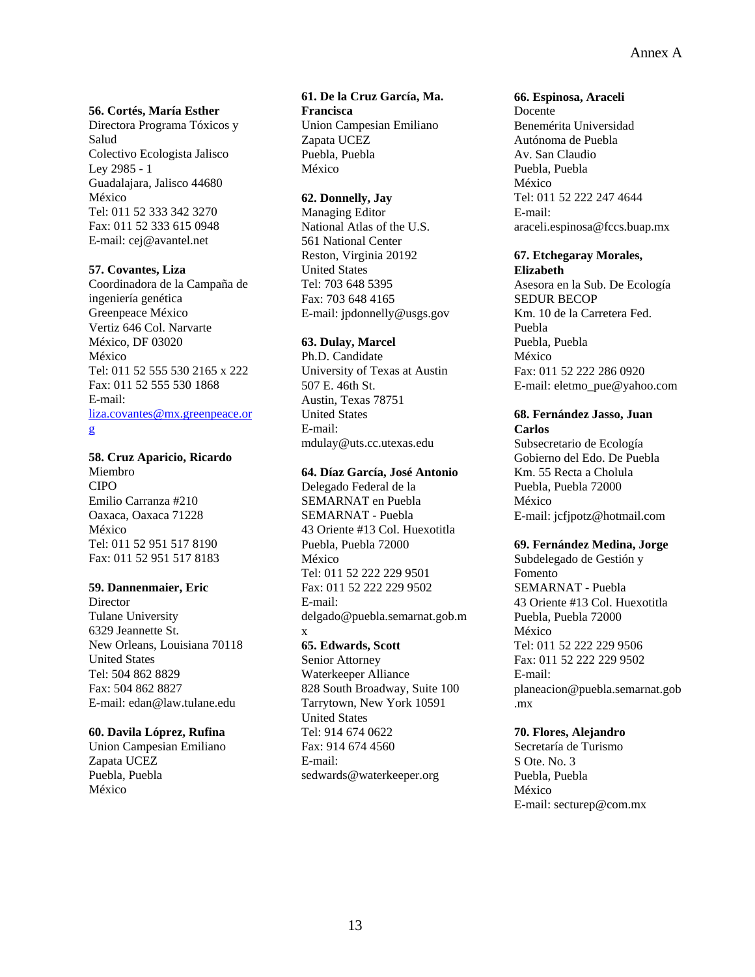#### **56. Cortés, María Esther**

Directora Programa Tóxicos y Salud Colectivo Ecologista Jalisco Ley 2985 - 1 Guadalajara, Jalisco 44680 México Tel: 011 52 333 342 3270 Fax: 011 52 333 615 0948 E-mail: cej@avantel.net

#### **57. Covantes, Liza**

Coordinadora de la Campaña de ingeniería genética Greenpeace México Vertiz 646 Col. Narvarte México, DF 03020 México Tel: 011 52 555 530 2165 x 222 Fax: 011 52 555 530 1868 E-mail: [liza.covantes@mx.greenpeace.or](mailto:liza.covantes@mx.greenpeace.org) [g](mailto:liza.covantes@mx.greenpeace.org)

#### **58. Cruz Aparicio, Ricardo**

Miembro CIPO Emilio Carranza #210 Oaxaca, Oaxaca 71228 México Tel: 011 52 951 517 8190 Fax: 011 52 951 517 8183

#### **59. Dannenmaier, Eric**

**Director** Tulane University 6329 Jeannette St. New Orleans, Louisiana 70118 United States Tel: 504 862 8829 Fax: 504 862 8827 E-mail: edan@law.tulane.edu

#### **60. Davila Lóprez, Rufina**

Union Campesian Emiliano Zapata UCEZ Puebla, Puebla México

#### **61. De la Cruz García, Ma. Francisca**

Union Campesian Emiliano Zapata UCEZ Puebla, Puebla México

#### **62. Donnelly, Jay**

Managing Editor National Atlas of the U.S. 561 National Center Reston, Virginia 20192 United States Tel: 703 648 5395 Fax: 703 648 4165 E-mail: jpdonnelly@usgs.gov

#### **63. Dulay, Marcel**

Ph.D. Candidate University of Texas at Austin 507 E. 46th St. Austin, Texas 78751 United States E-mail: mdulay@uts.cc.utexas.edu

#### **64. Díaz García, José Antonio**

Delegado Federal de la SEMARNAT en Puebla SEMARNAT - Puebla 43 Oriente #13 Col. Huexotitla Puebla, Puebla 72000 México Tel: 011 52 222 229 9501 Fax: 011 52 222 229 9502 E-mail: delgado@puebla.semarnat.gob.m x

## **65. Edwards, Scott**

Senior Attorney Waterkeeper Alliance 828 South Broadway, Suite 100 Tarrytown, New York 10591 United States Tel: 914 674 0622 Fax: 914 674 4560 E-mail: sedwards@waterkeeper.org

#### **66. Espinosa, Araceli**

Docente Benemérita Universidad Autónoma de Puebla Av. San Claudio Puebla, Puebla México Tel: 011 52 222 247 4644 E-mail: araceli.espinosa@fccs.buap.mx

#### **67. Etchegaray Morales, Elizabeth**

Asesora en la Sub. De Ecología SEDUR BECOP Km. 10 de la Carretera Fed. Puebla Puebla, Puebla México Fax: 011 52 222 286 0920 E-mail: eletmo\_pue@yahoo.com

#### **68. Fernández Jasso, Juan Carlos**

Subsecretario de Ecología Gobierno del Edo. De Puebla Km. 55 Recta a Cholula Puebla, Puebla 72000 México E-mail: jcfjpotz@hotmail.com

#### **69. Fernández Medina, Jorge**

Subdelegado de Gestión y Fomento SEMARNAT - Puebla 43 Oriente #13 Col. Huexotitla Puebla, Puebla 72000 México Tel: 011 52 222 229 9506 Fax: 011 52 222 229 9502 E-mail: planeacion@puebla.semarnat.gob .mx

#### **70. Flores, Alejandro**

Secretaría de Turismo S Ote. No. 3 Puebla, Puebla México E-mail: secturep@com.mx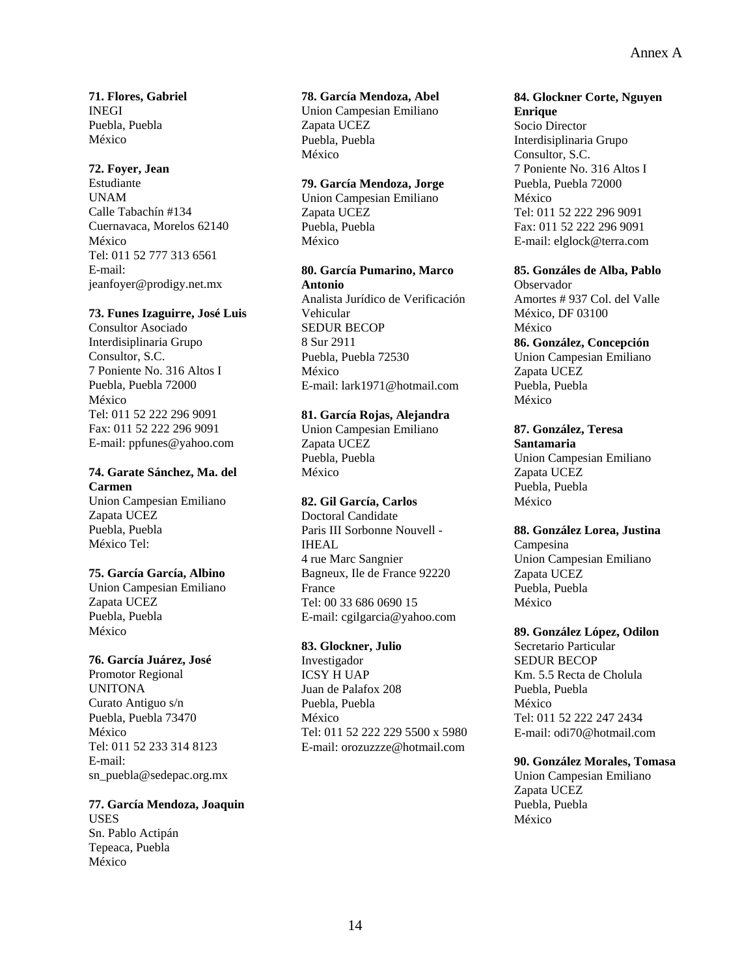**71. Flores, Gabriel**  INEGI Puebla, Puebla México

#### **72. Foyer, Jean**

Estudiante UNAM Calle Tabachín #134 Cuernavaca, Morelos 62140 México Tel: 011 52 777 313 6561 E-mail: jeanfoyer@prodigy.net.mx

### **73. Funes Izaguirre, José Luis**

Consultor Asociado Interdisiplinaria Grupo Consultor, S.C. 7 Poniente No. 316 Altos I Puebla, Puebla 72000 México Tel: 011 52 222 296 9091 Fax: 011 52 222 296 9091 E-mail: ppfunes@yahoo.com

## **74. Garate Sánchez, Ma. del Carmen**

Union Campesian Emiliano Zapata UCEZ Puebla, Puebla México Tel:

#### **75. García García, Albino**

Union Campesian Emiliano Zapata UCEZ Puebla, Puebla México

#### **76. García Juárez, José**

Promotor Regional UNITONA Curato Antiguo s/n Puebla, Puebla 73470 México Tel: 011 52 233 314 8123 E-mail: sn\_puebla@sedepac.org.mx

#### **77. García Mendoza, Joaquin**  USES Sn. Pablo Actipán Tepeaca, Puebla México

### **78. García Mendoza, Abel**

Union Campesian Emiliano Zapata UCEZ Puebla, Puebla México

## **79. García Mendoza, Jorge**

Union Campesian Emiliano Zapata UCEZ Puebla, Puebla México

#### **80. García Pumarino, Marco Antonio**

Analista Jurídico de Verificación Vehicular SEDUR BECOP 8 Sur 2911 Puebla, Puebla 72530 México E-mail: lark1971@hotmail.com

## **81. García Rojas, Alejandra**

Union Campesian Emiliano Zapata UCEZ Puebla, Puebla México

#### **82. Gil García, Carlos**

Doctoral Candidate Paris III Sorbonne Nouvell - IHEAL 4 rue Marc Sangnier Bagneux, Ile de France 92220 France Tel: 00 33 686 0690 15 E-mail: cgilgarcia@yahoo.com

#### **83. Glockner, Julio**

Investigador ICSY H UAP Juan de Palafox 208 Puebla, Puebla México Tel: 011 52 222 229 5500 x 5980 E-mail: orozuzzze@hotmail.com

## **84. Glockner Corte, Nguyen**

**Enrique**  Socio Director Interdisiplinaria Grupo Consultor, S.C. 7 Poniente No. 316 Altos I Puebla, Puebla 72000 México Tel: 011 52 222 296 9091 Fax: 011 52 222 296 9091 E-mail: elglock@terra.com

#### **85. Gonzáles de Alba, Pablo**

Observador Amortes # 937 Col. del Valle México, DF 03100 México **86. González, Concepción**  Union Campesian Emiliano Zapata UCEZ Puebla, Puebla México

**87. González, Teresa Santamaria**  Union Campesian Emiliano Zapata UCEZ Puebla, Puebla México

#### **88. González Lorea, Justina**

Campesina Union Campesian Emiliano Zapata UCEZ Puebla, Puebla México

#### **89. González López, Odilon**

Secretario Particular SEDUR BECOP Km. 5.5 Recta de Cholula Puebla, Puebla México Tel: 011 52 222 247 2434 E-mail: odi70@hotmail.com

#### **90. González Morales, Tomasa**

Union Campesian Emiliano Zapata UCEZ Puebla, Puebla México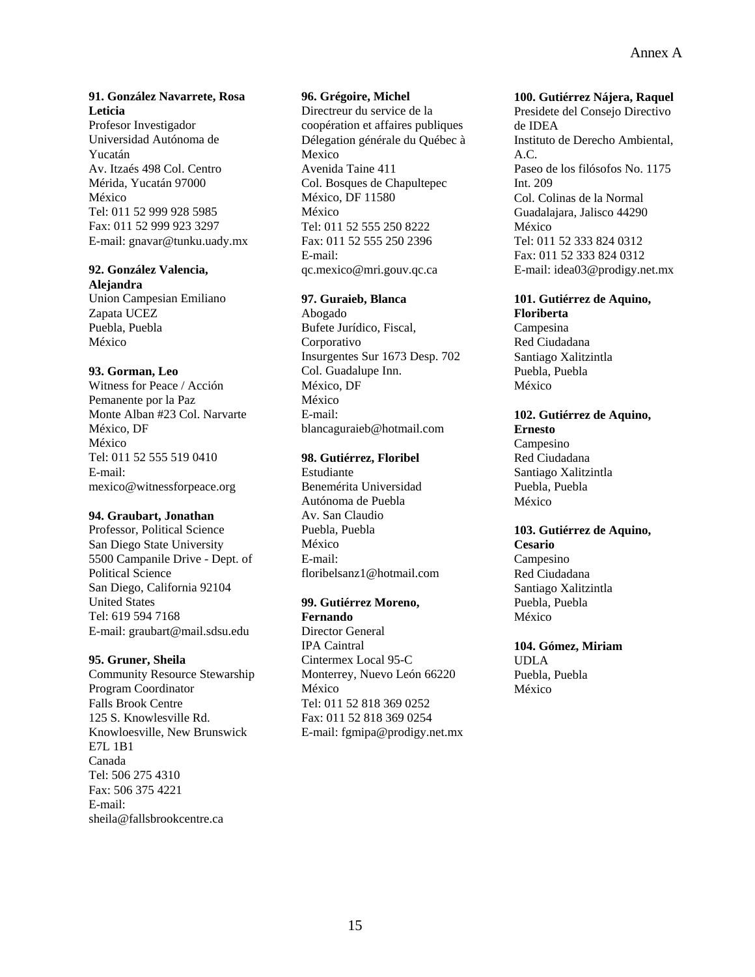## **91. González Navarrete, Rosa Leticia**

Profesor Investigador Universidad Autónoma de Yucatán Av. Itzaés 498 Col. Centro Mérida, Yucatán 97000 México Tel: 011 52 999 928 5985 Fax: 011 52 999 923 3297 E-mail: gnavar@tunku.uady.mx

#### **92. González Valencia, Alejandra**

Union Campesian Emiliano Zapata UCEZ Puebla, Puebla México

## **93. Gorman, Leo**

Witness for Peace / Acción Pemanente por la Paz Monte Alban #23 Col. Narvarte México, DF México Tel: 011 52 555 519 0410 E-mail: mexico@witnessforpeace.org

#### **94. Graubart, Jonathan**

Professor, Political Science San Diego State University 5500 Campanile Drive - Dept. of Political Science San Diego, California 92104 United States Tel: 619 594 7168 E-mail: graubart@mail.sdsu.edu

## **95. Gruner, Sheila**

Community Resource Stewarship Program Coordinator Falls Brook Centre 125 S. Knowlesville Rd. Knowloesville, New Brunswick E7L 1B1 Canada Tel: 506 275 4310 Fax: 506 375 4221 E-mail: sheila@fallsbrookcentre.ca

## **96. Grégoire, Michel**

Directreur du service de la coopération et affaires publiques Délegation générale du Québec à Mexico Avenida Taine 411 Col. Bosques de Chapultepec México, DF 11580 México Tel: 011 52 555 250 8222 Fax: 011 52 555 250 2396 E-mail: qc.mexico@mri.gouv.qc.ca

## **97. Guraieb, Blanca**

Abogado Bufete Jurídico, Fiscal, Corporativo Insurgentes Sur 1673 Desp. 702 Col. Guadalupe Inn. México, DF México E-mail: blancaguraieb@hotmail.com

## **98. Gutiérrez, Floribel**

Estudiante Benemérita Universidad Autónoma de Puebla Av. San Claudio Puebla, Puebla México E-mail: floribelsanz1@hotmail.com

#### **99. Gutiérrez Moreno, Fernando**

Director General IPA Caintral Cintermex Local 95-C Monterrey, Nuevo León 66220 México Tel: 011 52 818 369 0252 Fax: 011 52 818 369 0254 E-mail: fgmipa@prodigy.net.mx

#### **100. Gutiérrez Nájera, Raquel**

Presidete del Consejo Directivo de IDEA Instituto de Derecho Ambiental, A.C. Paseo de los filósofos No. 1175 Int. 209 Col. Colinas de la Normal Guadalajara, Jalisco 44290 México Tel: 011 52 333 824 0312 Fax: 011 52 333 824 0312 E-mail: idea03@prodigy.net.mx

## **101. Gutiérrez de Aquino,**

**Floriberta**  Campesina Red Ciudadana Santiago Xalitzintla Puebla, Puebla México

## **102. Gutiérrez de Aquino, Ernesto**

Campesino Red Ciudadana Santiago Xalitzintla Puebla, Puebla México

#### **103. Gutiérrez de Aquino, Cesario**

Campesino Red Ciudadana Santiago Xalitzintla Puebla, Puebla México

## **104. Gómez, Miriam**

UDLA Puebla, Puebla México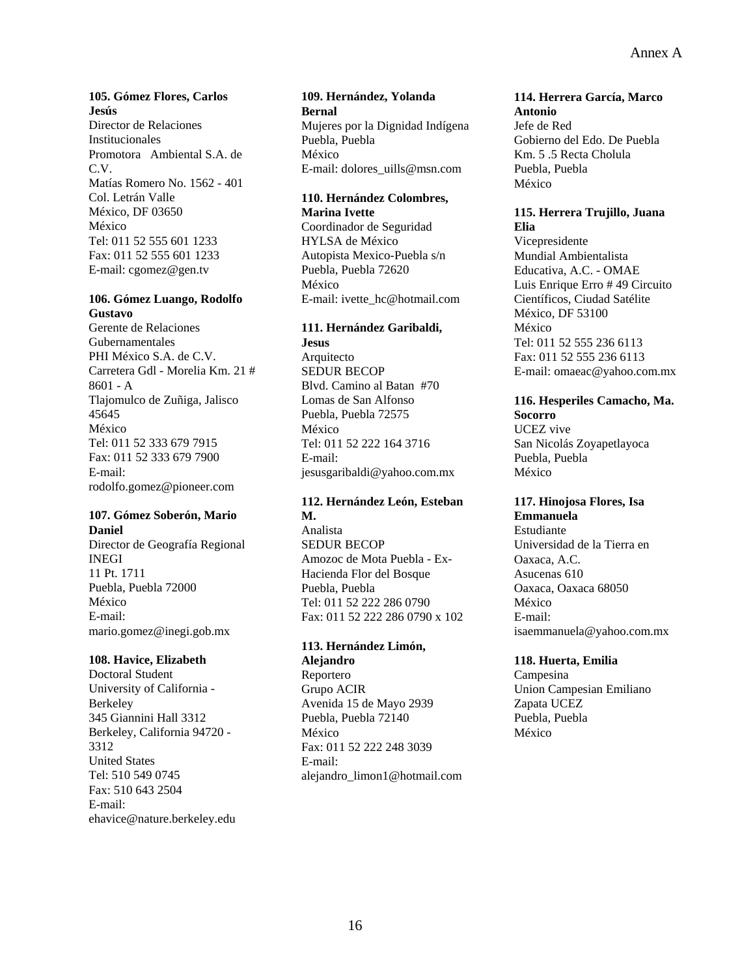## **105. Gómez Flores, Carlos Jesús**

Director de Relaciones Institucionales Promotora Ambiental S.A. de C.V. Matías Romero No. 1562 - 401 Col. Letrán Valle México, DF 03650 México Tel: 011 52 555 601 1233 Fax: 011 52 555 601 1233 E-mail: cgomez@gen.tv

#### **106. Gómez Luango, Rodolfo Gustavo**

Gerente de Relaciones Gubernamentales PHI México S.A. de C.V. Carretera Gdl - Morelia Km. 21 # 8601 - A Tlajomulco de Zuñiga, Jalisco 45645 México Tel: 011 52 333 679 7915 Fax: 011 52 333 679 7900 E-mail: rodolfo.gomez@pioneer.com

## **107. Gómez Soberón, Mario Daniel**

Director de Geografía Regional INEGI 11 Pt. 1711 Puebla, Puebla 72000 México E-mail: mario.gomez@inegi.gob.mx

#### **108. Havice, Elizabeth**

Doctoral Student University of California - Berkeley 345 Giannini Hall 3312 Berkeley, California 94720 - 3312 United States Tel: 510 549 0745 Fax: 510 643 2504 E-mail: ehavice@nature.berkeley.edu

#### **109. Hernández, Yolanda Bernal**  Mujeres por la Dignidad Indígena Puebla, Puebla México E-mail: dolores\_uills@msn.com

#### **110. Hernández Colombres, Marina Ivette**

Coordinador de Seguridad HYLSA de México Autopista Mexico-Puebla s/n Puebla, Puebla 72620 México E-mail: ivette\_hc@hotmail.com

## **111. Hernández Garibaldi,**

**Jesus**  Arquitecto SEDUR BECOP Blvd. Camino al Batan #70 Lomas de San Alfonso Puebla, Puebla 72575 México Tel: 011 52 222 164 3716 E-mail: jesusgaribaldi@yahoo.com.mx

## **112. Hernández León, Esteban M.**

Analista SEDUR BECOP Amozoc de Mota Puebla - Ex-Hacienda Flor del Bosque Puebla, Puebla Tel: 011 52 222 286 0790 Fax: 011 52 222 286 0790 x 102

## **113. Hernández Limón,**

**Alejandro**  Reportero Grupo ACIR Avenida 15 de Mayo 2939 Puebla, Puebla 72140 México Fax: 011 52 222 248 3039 E-mail: alejandro\_limon1@hotmail.com

## **114. Herrera García, Marco**

**Antonio**  Jefe de Red Gobierno del Edo. De Puebla Km. 5 .5 Recta Cholula Puebla, Puebla México

#### **115. Herrera Trujillo, Juana Elia**

Vicepresidente Mundial Ambientalista Educativa, A.C. - OMAE Luis Enrique Erro # 49 Circuito Científicos, Ciudad Satélite México, DF 53100 México Tel: 011 52 555 236 6113 Fax: 011 52 555 236 6113 E-mail: omaeac@yahoo.com.mx

## **116. Hesperiles Camacho, Ma.**

**Socorro**  UCEZ vive San Nicolás Zoyapetlayoca Puebla, Puebla México

#### **117. Hinojosa Flores, Isa Emmanuela**

Estudiante Universidad de la Tierra en Oaxaca, A.C. Asucenas 610 Oaxaca, Oaxaca 68050 México E-mail: isaemmanuela@yahoo.com.mx

## **118. Huerta, Emilia**

Campesina Union Campesian Emiliano Zapata UCEZ Puebla, Puebla México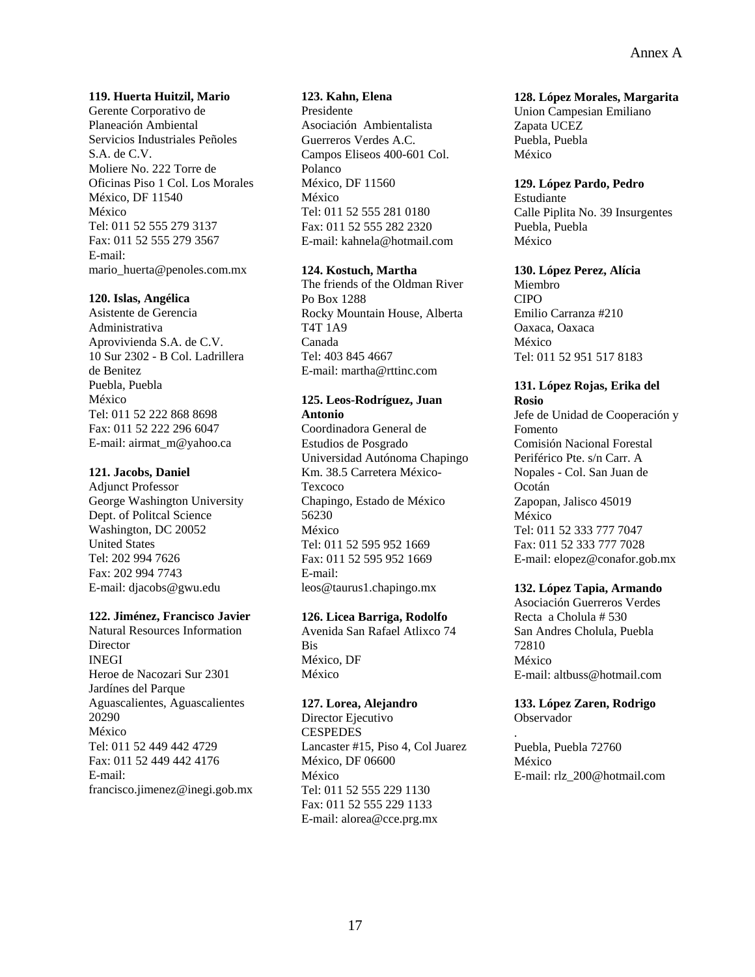#### **119. Huerta Huitzil, Mario**

Gerente Corporativo de Planeación Ambiental Servicios Industriales Peñoles S.A. de C.V. Moliere No. 222 Torre de Oficinas Piso 1 Col. Los Morales México, DF 11540 México Tel: 011 52 555 279 3137 Fax: 011 52 555 279 3567 E-mail: mario\_huerta@penoles.com.mx

#### **120. Islas, Angélica**

Asistente de Gerencia Administrativa Aprovivienda S.A. de C.V. 10 Sur 2302 - B Col. Ladrillera de Benitez Puebla, Puebla México Tel: 011 52 222 868 8698 Fax: 011 52 222 296 6047 E-mail: airmat\_m@yahoo.ca

#### **121. Jacobs, Daniel**

Adjunct Professor George Washington University Dept. of Politcal Science Washington, DC 20052 United States Tel: 202 994 7626 Fax: 202 994 7743 E-mail: djacobs@gwu.edu

#### **122. Jiménez, Francisco Javier**

Natural Resources Information **Director** INEGI Heroe de Nacozari Sur 2301 Jardínes del Parque Aguascalientes, Aguascalientes 20290 México Tel: 011 52 449 442 4729 Fax: 011 52 449 442 4176 E-mail: francisco.jimenez@inegi.gob.mx

## **123. Kahn, Elena**

Presidente Asociación Ambientalista Guerreros Verdes A.C. Campos Eliseos 400-601 Col. Polanco México, DF 11560 México Tel: 011 52 555 281 0180 Fax: 011 52 555 282 2320 E-mail: kahnela@hotmail.com

#### **124. Kostuch, Martha**

The friends of the Oldman River Po Box 1288 Rocky Mountain House, Alberta T4T 1A9 Canada Tel: 403 845 4667 E-mail: martha@rttinc.com

## **125. Leos-Rodríguez, Juan**

**Antonio**  Coordinadora General de Estudios de Posgrado Universidad Autónoma Chapingo Km. 38.5 Carretera México-**Texcoco** Chapingo, Estado de México 56230 México Tel: 011 52 595 952 1669 Fax: 011 52 595 952 1669 E-mail: leos@taurus1.chapingo.mx

#### **126. Licea Barriga, Rodolfo**

Avenida San Rafael Atlixco 74 Bis México, DF México

#### **127. Lorea, Alejandro**

Director Ejecutivo **CESPEDES** Lancaster #15, Piso 4, Col Juarez México, DF 06600 México Tel: 011 52 555 229 1130 Fax: 011 52 555 229 1133 E-mail: alorea@cce.prg.mx

#### **128. López Morales, Margarita**

Union Campesian Emiliano Zapata UCEZ Puebla, Puebla México

#### **129. López Pardo, Pedro**

Estudiante Calle Piplita No. 39 Insurgentes Puebla, Puebla México

## **130. López Perez, Alícia**

Miembro CIPO Emilio Carranza #210 Oaxaca, Oaxaca México Tel: 011 52 951 517 8183

#### **131. López Rojas, Erika del Rosio**

Jefe de Unidad de Cooperación y Fomento Comisión Nacional Forestal Periférico Pte. s/n Carr. A Nopales - Col. San Juan de Ocotán Zapopan, Jalisco 45019 México Tel: 011 52 333 777 7047 Fax: 011 52 333 777 7028 E-mail: elopez@conafor.gob.mx

## **132. López Tapia, Armando**

Asociación Guerreros Verdes Recta a Cholula # 530 San Andres Cholula, Puebla 72810 México E-mail: altbuss@hotmail.com

#### **133. López Zaren, Rodrigo**  Observador

.

Puebla, Puebla 72760 México E-mail: rlz\_200@hotmail.com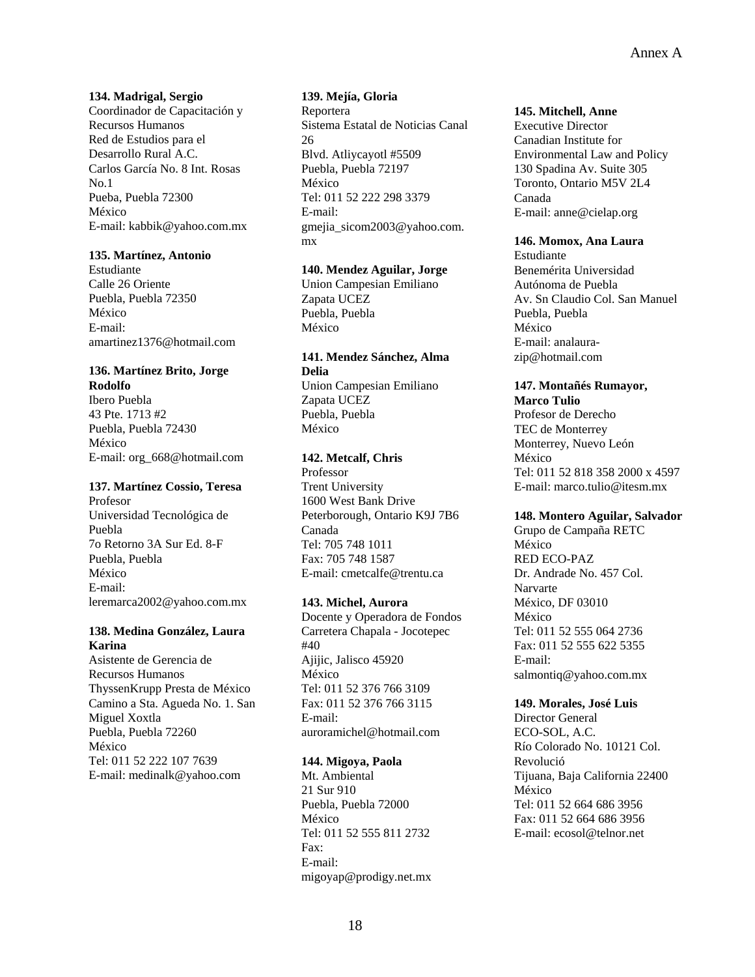#### **134. Madrigal, Sergio**

Coordinador de Capacitación y Recursos Humanos Red de Estudios para el Desarrollo Rural A.C. Carlos García No. 8 Int. Rosas  $N<sub>0</sub>$  1 Pueba, Puebla 72300 México E-mail: kabbik@yahoo.com.mx

#### **135. Martínez, Antonio**

Estudiante Calle 26 Oriente Puebla, Puebla 72350 México E-mail: amartinez1376@hotmail.com

## **136. Martínez Brito, Jorge Rodolfo**

Ibero Puebla 43 Pte. 1713 #2 Puebla, Puebla 72430 México E-mail: org\_668@hotmail.com

#### **137. Martínez Cossio, Teresa**

Profesor Universidad Tecnológica de Puebla 7o Retorno 3A Sur Ed. 8-F Puebla, Puebla México E-mail: leremarca2002@yahoo.com.mx

#### **138. Medina González, Laura Karina**

Asistente de Gerencia de Recursos Humanos ThyssenKrupp Presta de México Camino a Sta. Agueda No. 1. San Miguel Xoxtla Puebla, Puebla 72260 México Tel: 011 52 222 107 7639 E-mail: medinalk@yahoo.com

#### **139. Mejía, Gloria**

Reportera Sistema Estatal de Noticias Canal 26 Blvd. Atliycayotl #5509 Puebla, Puebla 72197 México Tel: 011 52 222 298 3379 E-mail: gmejia\_sicom2003@yahoo.com. mx

#### **140. Mendez Aguilar, Jorge**

Union Campesian Emiliano Zapata UCEZ Puebla, Puebla México

#### **141. Mendez Sánchez, Alma Delia**  Union Campesian Emiliano Zapata UCEZ

Puebla, Puebla México

## **142. Metcalf, Chris**

Professor Trent University 1600 West Bank Drive Peterborough, Ontario K9J 7B6 Canada Tel: 705 748 1011 Fax: 705 748 1587 E-mail: cmetcalfe@trentu.ca

#### **143. Michel, Aurora**

Docente y Operadora de Fondos Carretera Chapala - Jocotepec #40 Ajijic, Jalisco 45920 México Tel: 011 52 376 766 3109 Fax: 011 52 376 766 3115 E-mail: auroramichel@hotmail.com

#### **144. Migoya, Paola**

Mt. Ambiental 21 Sur 910 Puebla, Puebla 72000 México Tel: 011 52 555 811 2732 Fax: E-mail: migoyap@prodigy.net.mx

#### **145. Mitchell, Anne**

Executive Director Canadian Institute for Environmental Law and Policy 130 Spadina Av. Suite 305 Toronto, Ontario M5V 2L4 Canada E-mail: anne@cielap.org

#### **146. Momox, Ana Laura**

Estudiante Benemérita Universidad Autónoma de Puebla Av. Sn Claudio Col. San Manuel Puebla, Puebla México E-mail: analaurazip@hotmail.com

#### **147. Montañés Rumayor, Marco Tulio**

Profesor de Derecho TEC de Monterrey Monterrey, Nuevo León México Tel: 011 52 818 358 2000 x 4597 E-mail: marco.tulio@itesm.mx

#### **148. Montero Aguilar, Salvador**

Grupo de Campaña RETC México RED ECO-PAZ Dr. Andrade No. 457 Col. Narvarte México, DF 03010 México Tel: 011 52 555 064 2736 Fax: 011 52 555 622 5355 E-mail: salmontiq@yahoo.com.mx

#### **149. Morales, José Luis**

Director General ECO-SOL, A.C. Río Colorado No. 10121 Col. Revolució Tijuana, Baja California 22400 México Tel: 011 52 664 686 3956 Fax: 011 52 664 686 3956 E-mail: ecosol@telnor.net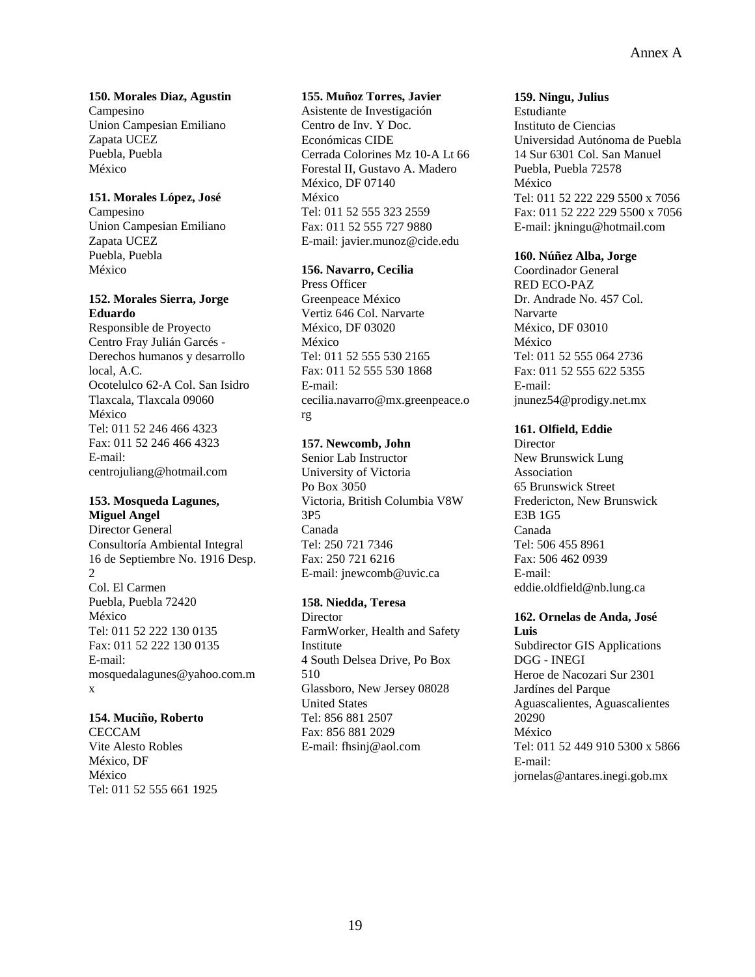**150. Morales Diaz, Agustin**  Campesino Union Campesian Emiliano Zapata UCEZ Puebla, Puebla México

#### **151. Morales López, José**

Campesino Union Campesian Emiliano Zapata UCEZ Puebla, Puebla México

#### **152. Morales Sierra, Jorge Eduardo**

Responsible de Proyecto Centro Fray Julián Garcés - Derechos humanos y desarrollo local, A.C. Ocotelulco 62-A Col. San Isidro Tlaxcala, Tlaxcala 09060 México Tel: 011 52 246 466 4323 Fax: 011 52 246 466 4323 E-mail: centrojuliang@hotmail.com

## **153. Mosqueda Lagunes,**

**Miguel Angel**  Director General Consultoría Ambiental Integral 16 de Septiembre No. 1916 Desp. 2 Col. El Carmen Puebla, Puebla 72420 México Tel: 011 52 222 130 0135 Fax: 011 52 222 130 0135 E-mail: mosquedalagunes@yahoo.com.m x

#### **154. Muciño, Roberto**

CECCAM Vite Alesto Robles México, DF México Tel: 011 52 555 661 1925

#### **155. Muñoz Torres, Javier**

Asistente de Investigación Centro de Inv. Y Doc. Económicas CIDE Cerrada Colorines Mz 10-A Lt 66 Forestal II, Gustavo A. Madero México, DF 07140 México Tel: 011 52 555 323 2559 Fax: 011 52 555 727 9880 E-mail: javier.munoz@cide.edu

## **156. Navarro, Cecilia**

Press Officer Greenpeace México Vertiz 646 Col. Narvarte México, DF 03020 México Tel: 011 52 555 530 2165 Fax: 011 52 555 530 1868 E-mail: cecilia.navarro@mx.greenpeace.o rg

## **157. Newcomb, John**

Senior Lab Instructor University of Victoria Po Box 3050 Victoria, British Columbia V8W 3P5 Canada Tel: 250 721 7346 Fax: 250 721 6216 E-mail: jnewcomb@uvic.ca

## **158. Niedda, Teresa**

Director FarmWorker, Health and Safety Institute 4 South Delsea Drive, Po Box 510 Glassboro, New Jersey 08028 United States Tel: 856 881 2507 Fax: 856 881 2029 E-mail: fhsinj@aol.com

#### **159. Ningu, Julius**

Estudiante Instituto de Ciencias Universidad Autónoma de Puebla 14 Sur 6301 Col. San Manuel Puebla, Puebla 72578 México Tel: 011 52 222 229 5500 x 7056 Fax: 011 52 222 229 5500 x 7056 E-mail: jkningu@hotmail.com

## **160. Núñez Alba, Jorge**

Coordinador General RED ECO-PAZ Dr. Andrade No. 457 Col. Narvarte México, DF 03010 México Tel: 011 52 555 064 2736 Fax: 011 52 555 622 5355 E-mail: jnunez54@prodigy.net.mx

## **161. Olfield, Eddie**

**Director** New Brunswick Lung Association 65 Brunswick Street Fredericton, New Brunswick E3B 1G5 Canada Tel: 506 455 8961 Fax: 506 462 0939 E-mail: eddie.oldfield@nb.lung.ca

## **162. Ornelas de Anda, José**

**Luis**  Subdirector GIS Applications DGG - INEGI Heroe de Nacozari Sur 2301 Jardínes del Parque Aguascalientes, Aguascalientes 20290 México Tel: 011 52 449 910 5300 x 5866 E-mail: jornelas@antares.inegi.gob.mx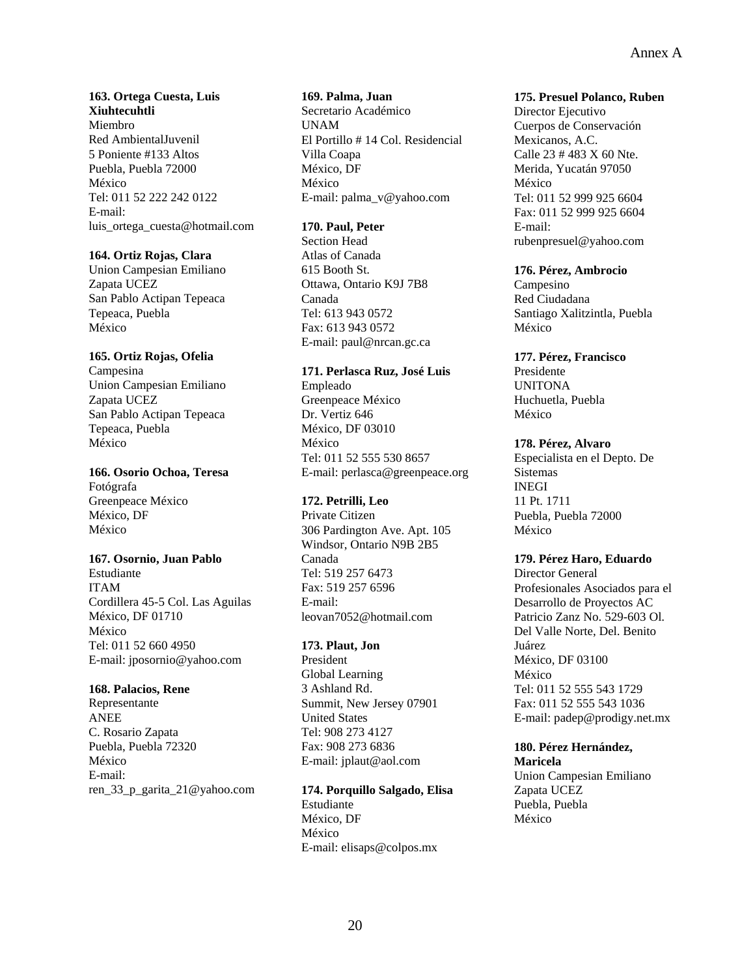#### **163. Ortega Cuesta, Luis Xiuhtecuhtli**  Miembro Red AmbientalJuvenil 5 Poniente #133 Altos Puebla, Puebla 72000 México Tel: 011 52 222 242 0122 E-mail: luis\_ortega\_cuesta@hotmail.com

## **164. Ortiz Rojas, Clara**

Union Campesian Emiliano Zapata UCEZ San Pablo Actipan Tepeaca Tepeaca, Puebla México

## **165. Ortiz Rojas, Ofelia**

Campesina Union Campesian Emiliano Zapata UCEZ San Pablo Actipan Tepeaca Tepeaca, Puebla México

#### **166. Osorio Ochoa, Teresa**

Fotógrafa Greenpeace México México, DF México

#### **167. Osornio, Juan Pablo**

Estudiante ITAM Cordillera 45-5 Col. Las Aguilas México, DF 01710 México Tel: 011 52 660 4950 E-mail: jposornio@yahoo.com

## **168. Palacios, Rene**

Representante ANEE C. Rosario Zapata Puebla, Puebla 72320 México E-mail: ren\_33\_p\_garita\_21@yahoo.com

## **169. Palma, Juan**

Secretario Académico UNAM El Portillo # 14 Col. Residencial Villa Coapa México, DF México E-mail: palma\_v@yahoo.com

## **170. Paul, Peter**

Section Head Atlas of Canada 615 Booth St. Ottawa, Ontario K9J 7B8 Canada Tel: 613 943 0572 Fax: 613 943 0572 E-mail: paul@nrcan.gc.ca

#### **171. Perlasca Ruz, José Luis**

Empleado Greenpeace México Dr. Vertiz 646 México, DF 03010 México Tel: 011 52 555 530 8657 E-mail: perlasca@greenpeace.org

## **172. Petrilli, Leo**

Private Citizen 306 Pardington Ave. Apt. 105 Windsor, Ontario N9B 2B5 Canada Tel: 519 257 6473 Fax: 519 257 6596 E-mail: leovan7052@hotmail.com

## **173. Plaut, Jon**

President Global Learning 3 Ashland Rd. Summit, New Jersey 07901 United States Tel: 908 273 4127 Fax: 908 273 6836 E-mail: jplaut@aol.com

#### **174. Porquillo Salgado, Elisa**

Estudiante México, DF México E-mail: elisaps@colpos.mx

#### **175. Presuel Polanco, Ruben**

Director Ejecutivo Cuerpos de Conservación Mexicanos, A.C. Calle 23 # 483 X 60 Nte. Merida, Yucatán 97050 México Tel: 011 52 999 925 6604 Fax: 011 52 999 925 6604 E-mail: rubenpresuel@yahoo.com

#### **176. Pérez, Ambrocio**

Campesino Red Ciudadana Santiago Xalitzintla, Puebla México

## **177. Pérez, Francisco**

Presidente UNITONA Huchuetla, Puebla México

## **178. Pérez, Alvaro**

Especialista en el Depto. De Sistemas INEGI 11 Pt. 1711 Puebla, Puebla 72000 México

#### **179. Pérez Haro, Eduardo**

Director General Profesionales Asociados para el Desarrollo de Proyectos AC Patricio Zanz No. 529-603 Ol. Del Valle Norte, Del. Benito Juárez México, DF 03100 México Tel: 011 52 555 543 1729 Fax: 011 52 555 543 1036 E-mail: padep@prodigy.net.mx

## **180. Pérez Hernández,**

**Maricela**  Union Campesian Emiliano Zapata UCEZ Puebla, Puebla México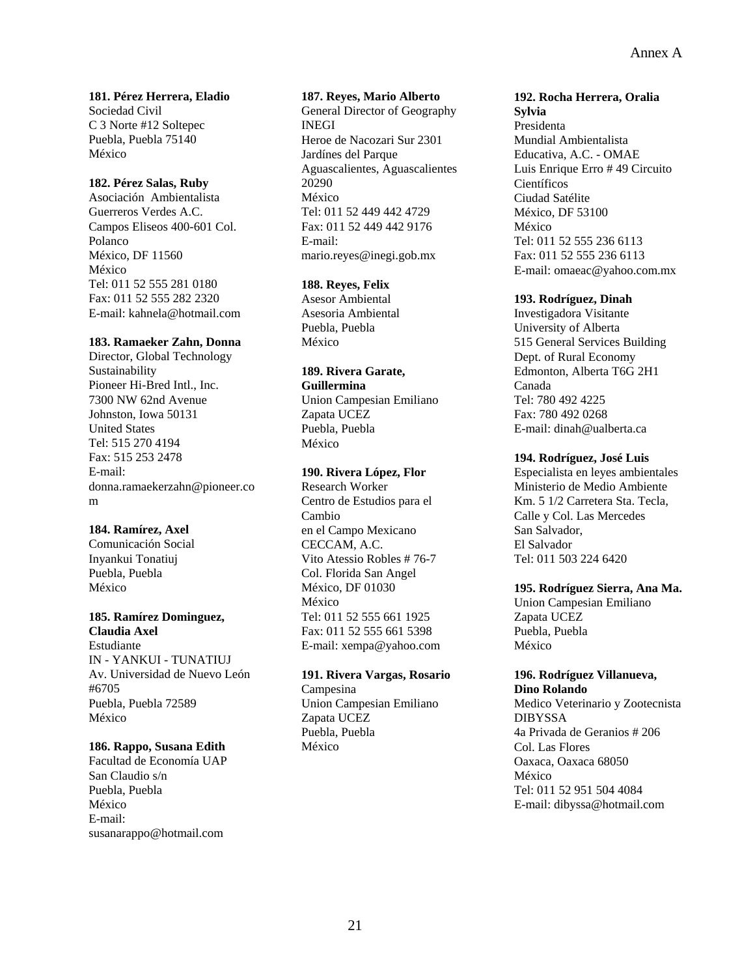**181. Pérez Herrera, Eladio**  Sociedad Civil C 3 Norte #12 Soltepec Puebla, Puebla 75140 México

## **182. Pérez Salas, Ruby**

Asociación Ambientalista Guerreros Verdes A.C. Campos Eliseos 400-601 Col. Polanco México, DF 11560 México Tel: 011 52 555 281 0180 Fax: 011 52 555 282 2320 E-mail: kahnela@hotmail.com

#### **183. Ramaeker Zahn, Donna**

Director, Global Technology Sustainability Pioneer Hi-Bred Intl., Inc. 7300 NW 62nd Avenue Johnston, Iowa 50131 United States Tel: 515 270 4194 Fax: 515 253 2478 E-mail: donna.ramaekerzahn@pioneer.co m

#### **184. Ramírez, Axel**

Comunicación Social Inyankui Tonatiuj Puebla, Puebla México

#### **185. Ramírez Dominguez, Claudia Axel**

Estudiante IN - YANKUI - TUNATIUJ Av. Universidad de Nuevo León #6705 Puebla, Puebla 72589 México

#### **186. Rappo, Susana Edith**

Facultad de Economía UAP San Claudio s/n Puebla, Puebla México E-mail: susanarappo@hotmail.com

#### **187. Reyes, Mario Alberto**

General Director of Geography INEGI Heroe de Nacozari Sur 2301 Jardínes del Parque Aguascalientes, Aguascalientes 20290 México Tel: 011 52 449 442 4729 Fax: 011 52 449 442 9176 E-mail: mario.reyes@inegi.gob.mx

## **188. Reyes, Felix**

Asesor Ambiental Asesoria Ambiental Puebla, Puebla México

#### **189. Rivera Garate, Guillermina**

Union Campesian Emiliano Zapata UCEZ Puebla, Puebla México

#### **190. Rivera López, Flor**

Research Worker Centro de Estudios para el Cambio en el Campo Mexicano CECCAM, A.C. Vito Atessio Robles # 76-7 Col. Florida San Angel México, DF 01030 México Tel: 011 52 555 661 1925 Fax: 011 52 555 661 5398 E-mail: xempa@yahoo.com

#### **191. Rivera Vargas, Rosario**

Campesina Union Campesian Emiliano Zapata UCEZ Puebla, Puebla México

## **192. Rocha Herrera, Oralia**

**Sylvia**  Presidenta Mundial Ambientalista Educativa, A.C. - OMAE Luis Enrique Erro # 49 Circuito Científicos Ciudad Satélite México, DF 53100 México Tel: 011 52 555 236 6113 Fax: 011 52 555 236 6113 E-mail: omaeac@yahoo.com.mx

#### **193. Rodríguez, Dinah**

Investigadora Visitante University of Alberta 515 General Services Building Dept. of Rural Economy Edmonton, Alberta T6G 2H1 Canada Tel: 780 492 4225 Fax: 780 492 0268 E-mail: dinah@ualberta.ca

## **194. Rodríguez, José Luis**

Especialista en leyes ambientales Ministerio de Medio Ambiente Km. 5 1/2 Carretera Sta. Tecla, Calle y Col. Las Mercedes San Salvador, El Salvador Tel: 011 503 224 6420

## **195. Rodríguez Sierra, Ana Ma.**

Union Campesian Emiliano Zapata UCEZ Puebla, Puebla México

#### **196. Rodríguez Villanueva, Dino Rolando**

Medico Veterinario y Zootecnista DIBYSSA 4a Privada de Geranios # 206 Col. Las Flores Oaxaca, Oaxaca 68050 México Tel: 011 52 951 504 4084 E-mail: dibyssa@hotmail.com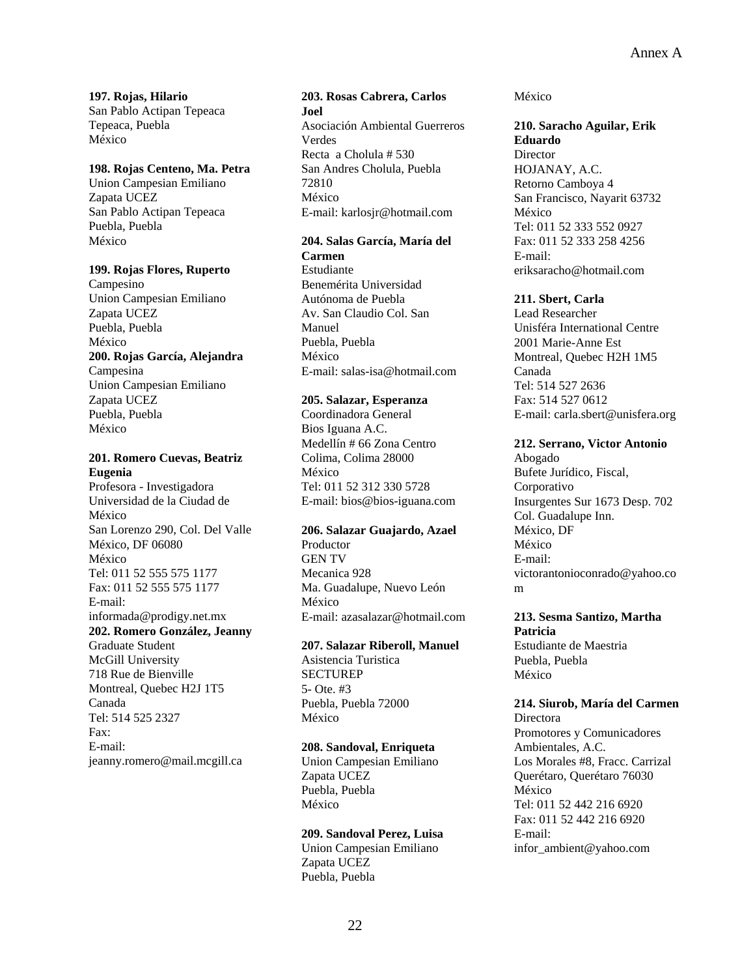**197. Rojas, Hilario**  San Pablo Actipan Tepeaca Tepeaca, Puebla México

#### **198. Rojas Centeno, Ma. Petra**

Union Campesian Emiliano Zapata UCEZ San Pablo Actipan Tepeaca Puebla, Puebla México

#### **199. Rojas Flores, Ruperto**

Campesino Union Campesian Emiliano Zapata UCEZ Puebla, Puebla México **200. Rojas García, Alejandra**  Campesina Union Campesian Emiliano Zapata UCEZ Puebla, Puebla México

#### **201. Romero Cuevas, Beatriz Eugenia**

Profesora - Investigadora Universidad de la Ciudad de México San Lorenzo 290, Col. Del Valle México, DF 06080 México Tel: 011 52 555 575 1177 Fax: 011 52 555 575 1177 E-mail: informada@prodigy.net.mx **202. Romero González, Jeanny**  Graduate Student

McGill University 718 Rue de Bienville Montreal, Quebec H2J 1T5 Canada Tel: 514 525 2327 Fax: E-mail: jeanny.romero@mail.mcgill.ca

## **203. Rosas Cabrera, Carlos Joel**  Asociación Ambiental Guerreros Verdes Recta a Cholula # 530

San Andres Cholula, Puebla 72810 México E-mail: karlosjr@hotmail.com

## **204. Salas García, María del**

**Carmen**  Estudiante Benemérita Universidad Autónoma de Puebla Av. San Claudio Col. San Manuel Puebla, Puebla México E-mail: salas-isa@hotmail.com

#### **205. Salazar, Esperanza**

Coordinadora General Bios Iguana A.C. Medellín # 66 Zona Centro Colima, Colima 28000 México Tel: 011 52 312 330 5728 E-mail: bios@bios-iguana.com

#### **206. Salazar Guajardo, Azael**

Productor GEN TV Mecanica 928 Ma. Guadalupe, Nuevo León México E-mail: azasalazar@hotmail.com

#### **207. Salazar Riberoll, Manuel**

Asistencia Turistica **SECTUREP** 5- Ote. #3 Puebla, Puebla 72000 México

## **208. Sandoval, Enriqueta**

Union Campesian Emiliano Zapata UCEZ Puebla, Puebla México

#### **209. Sandoval Perez, Luisa**

Union Campesian Emiliano Zapata UCEZ Puebla, Puebla

México

#### **210. Saracho Aguilar, Erik Eduardo**

**Director** HOJANAY, A.C. Retorno Camboya 4 San Francisco, Nayarit 63732 México Tel: 011 52 333 552 0927 Fax: 011 52 333 258 4256 E-mail: eriksaracho@hotmail.com

#### **211. Sbert, Carla**

Lead Researcher Unisféra International Centre 2001 Marie-Anne Est Montreal, Quebec H2H 1M5 Canada Tel: 514 527 2636 Fax: 514 527 0612 E-mail: carla.sbert@unisfera.org

#### **212. Serrano, Victor Antonio**

Abogado Bufete Jurídico, Fiscal, Corporativo Insurgentes Sur 1673 Desp. 702 Col. Guadalupe Inn. México, DF México E-mail: victorantonioconrado@yahoo.co m

## **213. Sesma Santizo, Martha Patricia**

Estudiante de Maestria Puebla, Puebla México

#### **214. Siurob, María del Carmen**

Directora Promotores y Comunicadores Ambientales, A.C. Los Morales #8, Fracc. Carrizal Querétaro, Querétaro 76030 México Tel: 011 52 442 216 6920 Fax: 011 52 442 216 6920 E-mail: infor\_ambient@yahoo.com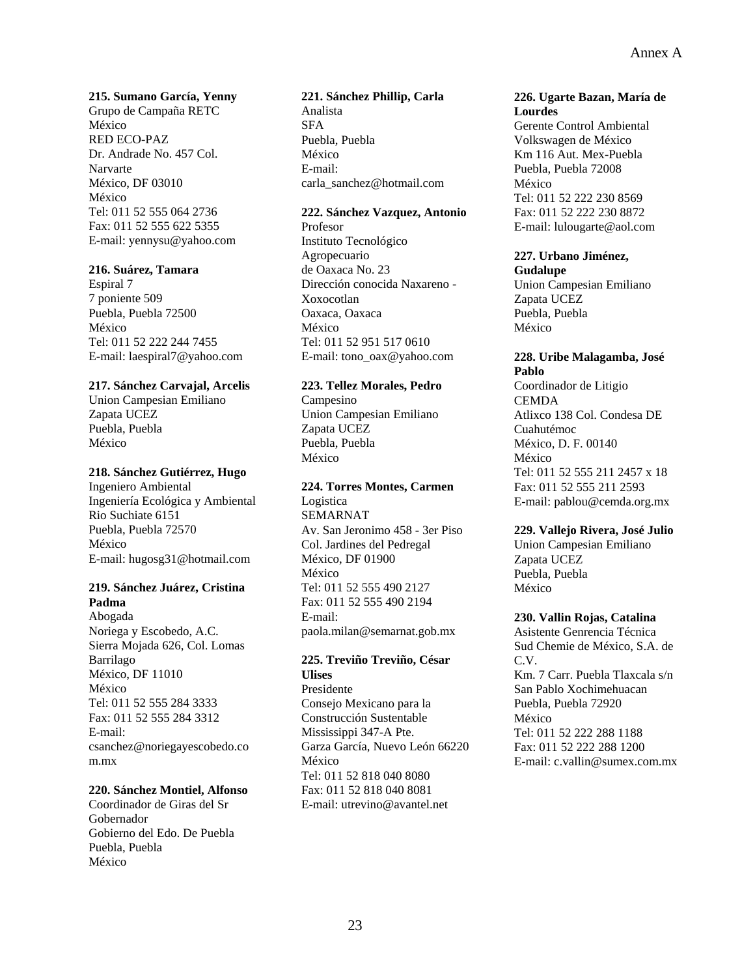#### **215. Sumano García, Yenny**

Grupo de Campaña RETC México RED ECO-PAZ Dr. Andrade No. 457 Col. Narvarte México, DF 03010 México Tel: 011 52 555 064 2736 Fax: 011 52 555 622 5355 E-mail: yennysu@yahoo.com

#### **216. Suárez, Tamara**

Espiral 7 7 poniente 509 Puebla, Puebla 72500 México Tel: 011 52 222 244 7455 E-mail: laespiral7@yahoo.com

#### **217. Sánchez Carvajal, Arcelis**

Union Campesian Emiliano Zapata UCEZ Puebla, Puebla México

#### **218. Sánchez Gutiérrez, Hugo**

Ingeniero Ambiental Ingeniería Ecológica y Ambiental Rio Suchiate 6151 Puebla, Puebla 72570 México E-mail: hugosg31@hotmail.com

#### **219. Sánchez Juárez, Cristina Padma**

Abogada Noriega y Escobedo, A.C. Sierra Mojada 626, Col. Lomas Barrilago México, DF 11010 México Tel: 011 52 555 284 3333 Fax: 011 52 555 284 3312 E-mail: csanchez@noriegayescobedo.co m.mx

#### **220. Sánchez Montiel, Alfonso**

Coordinador de Giras del Sr Gobernador Gobierno del Edo. De Puebla Puebla, Puebla México

#### **221. Sánchez Phillip, Carla**

Analista SFA Puebla, Puebla México E-mail: carla\_sanchez@hotmail.com

#### **222. Sánchez Vazquez, Antonio**

Profesor Instituto Tecnológico Agropecuario de Oaxaca No. 23 Dirección conocida Naxareno - Xoxocotlan Oaxaca, Oaxaca México Tel: 011 52 951 517 0610 E-mail: tono\_oax@yahoo.com

#### **223. Tellez Morales, Pedro**

Campesino Union Campesian Emiliano Zapata UCEZ Puebla, Puebla México

#### **224. Torres Montes, Carmen**

Logistica SEMARNAT Av. San Jeronimo 458 - 3er Piso Col. Jardines del Pedregal México, DF 01900 México Tel: 011 52 555 490 2127 Fax: 011 52 555 490 2194 E-mail: paola.milan@semarnat.gob.mx

#### **225. Treviño Treviño, César Ulises**

Presidente Consejo Mexicano para la Construcción Sustentable Mississippi 347-A Pte. Garza García, Nuevo León 66220 México Tel: 011 52 818 040 8080 Fax: 011 52 818 040 8081 E-mail: utrevino@avantel.net

#### **226. Ugarte Bazan, María de Lourdes**

Gerente Control Ambiental Volkswagen de México Km 116 Aut. Mex-Puebla Puebla, Puebla 72008 México Tel: 011 52 222 230 8569 Fax: 011 52 222 230 8872 E-mail: lulougarte@aol.com

#### **227. Urbano Jiménez, Gudalupe**

Union Campesian Emiliano Zapata UCEZ Puebla, Puebla México

#### **228. Uribe Malagamba, José Pablo**

Coordinador de Litigio **CEMDA** Atlixco 138 Col. Condesa DE Cuahutémoc México, D. F. 00140 México Tel: 011 52 555 211 2457 x 18 Fax: 011 52 555 211 2593 E-mail: pablou@cemda.org.mx

#### **229. Vallejo Rivera, José Julio**

Union Campesian Emiliano Zapata UCEZ Puebla, Puebla México

#### **230. Vallin Rojas, Catalina**

Asistente Genrencia Técnica Sud Chemie de México, S.A. de C.V. Km. 7 Carr. Puebla Tlaxcala s/n San Pablo Xochimehuacan Puebla, Puebla 72920 México Tel: 011 52 222 288 1188 Fax: 011 52 222 288 1200 E-mail: c.vallin@sumex.com.mx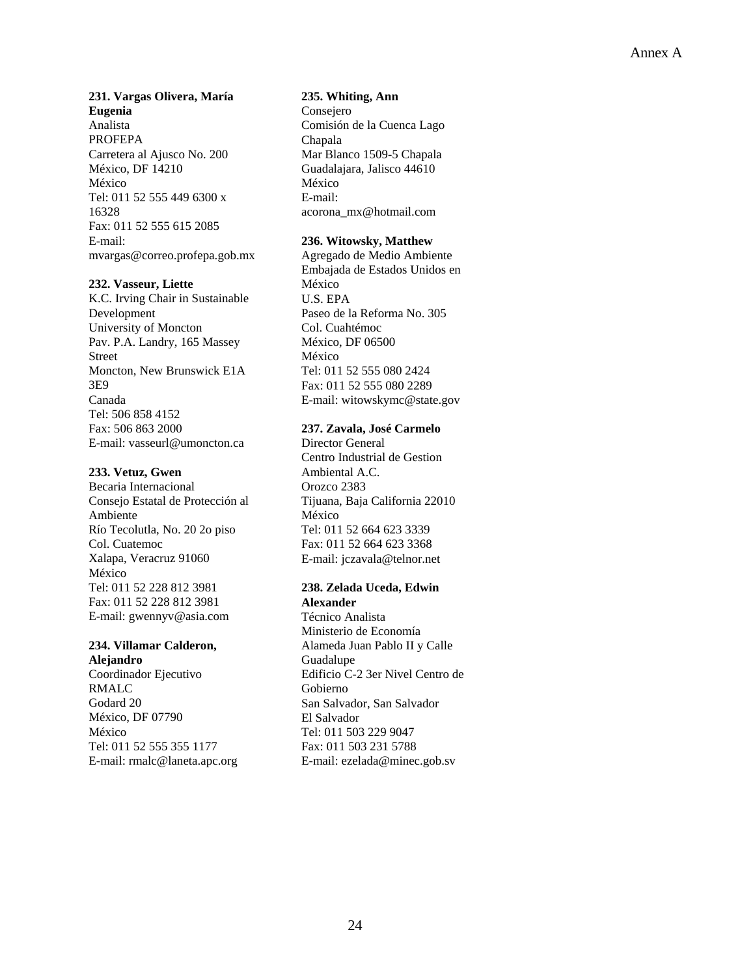## **231. Vargas Olivera, María Eugenia**  Analista PROFEPA

Carretera al Ajusco No. 200 México, DF 14210 México Tel: 011 52 555 449 6300 x 16328 Fax: 011 52 555 615 2085 E-mail: mvargas@correo.profepa.gob.mx

## **232. Vasseur, Liette**

K.C. Irving Chair in Sustainable Development University of Moncton Pav. P.A. Landry, 165 Massey Street Moncton, New Brunswick E1A 3E9 Canada Tel: 506 858 4152 Fax: 506 863 2000 E-mail: vasseurl@umoncton.ca

## **233. Vetuz, Gwen**

Becaria Internacional Consejo Estatal de Protección al Ambiente Río Tecolutla, No. 20 2o piso Col. Cuatemoc Xalapa, Veracruz 91060 México Tel: 011 52 228 812 3981 Fax: 011 52 228 812 3981 E-mail: gwennyv@asia.com

## **234. Villamar Calderon,**

**Alejandro**  Coordinador Ejecutivo RMALC Godard 20 México, DF 07790 México Tel: 011 52 555 355 1177 E-mail: rmalc@laneta.apc.org

#### **235. Whiting, Ann**

Consejero Comisión de la Cuenca Lago Chapala Mar Blanco 1509-5 Chapala Guadalajara, Jalisco 44610 México E-mail: acorona\_mx@hotmail.com

## **236. Witowsky, Matthew**

Agregado de Medio Ambiente Embajada de Estados Unidos en México U.S. EPA Paseo de la Reforma No. 305 Col. Cuahtémoc México, DF 06500 México Tel: 011 52 555 080 2424 Fax: 011 52 555 080 2289 E-mail: witowskymc@state.gov

## **237. Zavala, José Carmelo**

Director General Centro Industrial de Gestion Ambiental A.C. Orozco 2383 Tijuana, Baja California 22010 México Tel: 011 52 664 623 3339 Fax: 011 52 664 623 3368 E-mail: jczavala@telnor.net

#### **238. Zelada Uceda, Edwin Alexander**

Técnico Analista Ministerio de Economía Alameda Juan Pablo II y Calle Guadalupe Edificio C-2 3er Nivel Centro de Gobierno San Salvador, San Salvador El Salvador Tel: 011 503 229 9047 Fax: 011 503 231 5788 E-mail: ezelada@minec.gob.sv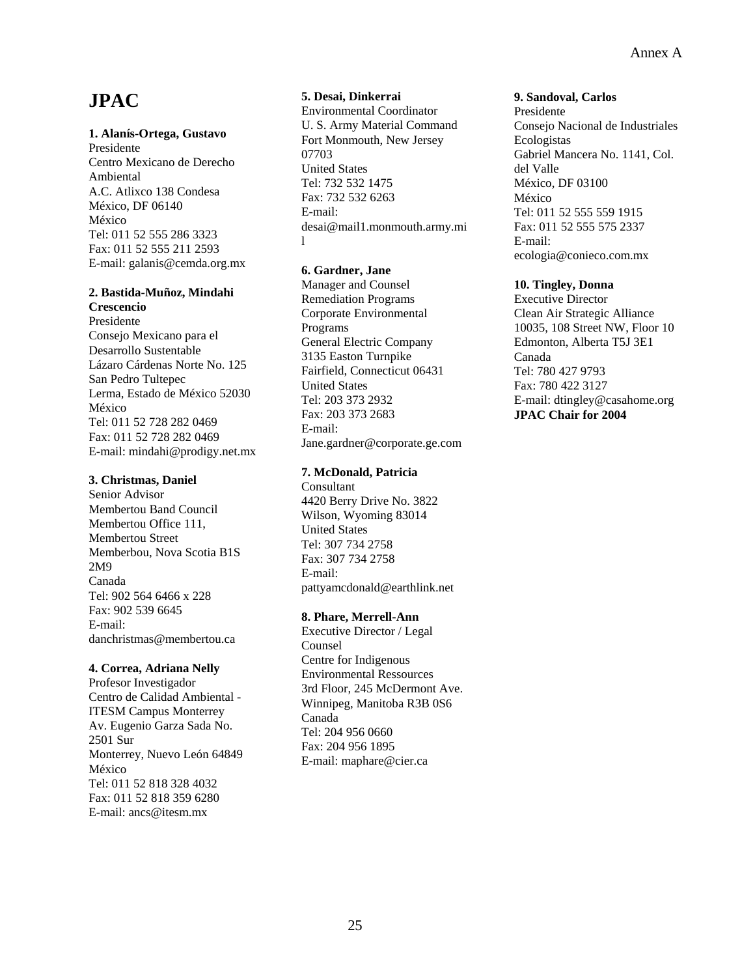# **JPAC**

#### **1. Alanís-Ortega, Gustavo**

Presidente Centro Mexicano de Derecho Ambiental A.C. Atlixco 138 Condesa México, DF 06140 México Tel: 011 52 555 286 3323 Fax: 011 52 555 211 2593 E-mail: galanis@cemda.org.mx

## **2. Bastida-Muñoz, Mindahi Crescencio**

Presidente Consejo Mexicano para el Desarrollo Sustentable Lázaro Cárdenas Norte No. 125 San Pedro Tultepec Lerma, Estado de México 52030 México Tel: 011 52 728 282 0469 Fax: 011 52 728 282 0469 E-mail: mindahi@prodigy.net.mx

#### **3. Christmas, Daniel**

Senior Advisor Membertou Band Council Membertou Office 111, Membertou Street Memberbou, Nova Scotia B1S 2M9 Canada Tel: 902 564 6466 x 228 Fax: 902 539 6645 E-mail: danchristmas@membertou.ca

## **4. Correa, Adriana Nelly**

Profesor Investigador Centro de Calidad Ambiental - ITESM Campus Monterrey Av. Eugenio Garza Sada No. 2501 Sur Monterrey, Nuevo León 64849 México Tel: 011 52 818 328 4032 Fax: 011 52 818 359 6280 E-mail: ancs@itesm.mx

## **5. Desai, Dinkerrai**

Environmental Coordinator U. S. Army Material Command Fort Monmouth, New Jersey 07703 United States Tel: 732 532 1475 Fax: 732 532 6263 E-mail: desai@mail1.monmouth.army.mi l

## **6. Gardner, Jane**

Manager and Counsel Remediation Programs Corporate Environmental Programs General Electric Company 3135 Easton Turnpike Fairfield, Connecticut 06431 United States Tel: 203 373 2932 Fax: 203 373 2683 E-mail: Jane.gardner@corporate.ge.com

## **7. McDonald, Patricia**

**Consultant** 4420 Berry Drive No. 3822 Wilson, Wyoming 83014 United States Tel: 307 734 2758 Fax: 307 734 2758 E-mail: pattyamcdonald@earthlink.net

## **8. Phare, Merrell-Ann**

Executive Director / Legal Counsel Centre for Indigenous Environmental Ressources 3rd Floor, 245 McDermont Ave. Winnipeg, Manitoba R3B 0S6 Canada Tel: 204 956 0660 Fax: 204 956 1895 E-mail: maphare@cier.ca

#### **9. Sandoval, Carlos**

Presidente Consejo Nacional de Industriales Ecologistas Gabriel Mancera No. 1141, Col. del Valle México, DF 03100 México Tel: 011 52 555 559 1915 Fax: 011 52 555 575 2337 E-mail: ecologia@conieco.com.mx

## **10. Tingley, Donna**

Executive Director Clean Air Strategic Alliance 10035, 108 Street NW, Floor 10 Edmonton, Alberta T5J 3E1 Canada Tel: 780 427 9793 Fax: 780 422 3127 E-mail: dtingley@casahome.org **JPAC Chair for 2004**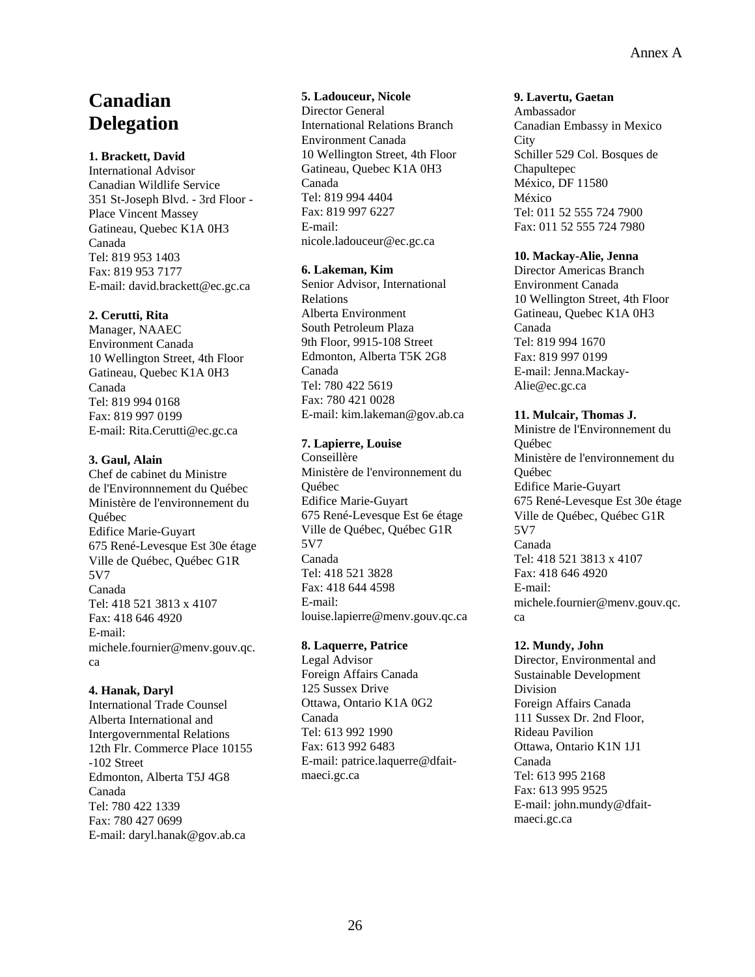## **Canadian Delegation**

## **1. Brackett, David**

International Advisor Canadian Wildlife Service 351 St-Joseph Blvd. - 3rd Floor - Place Vincent Massey Gatineau, Quebec K1A 0H3 Canada Tel: 819 953 1403 Fax: 819 953 7177 E-mail: david.brackett@ec.gc.ca

## **2. Cerutti, Rita**

Manager, NAAEC Environment Canada 10 Wellington Street, 4th Floor Gatineau, Quebec K1A 0H3 Canada Tel: 819 994 0168 Fax: 819 997 0199 E-mail: Rita.Cerutti@ec.gc.ca

## **3. Gaul, Alain**

Chef de cabinet du Ministre de l'Environnnement du Québec Ministère de l'environnement du Québec Edifice Marie-Guyart 675 René-Levesque Est 30e étage Ville de Québec, Québec G1R 5V7 Canada Tel: 418 521 3813 x 4107 Fax: 418 646 4920 E-mail: michele.fournier@menv.gouv.qc. ca

## **4. Hanak, Daryl**

International Trade Counsel Alberta International and Intergovernmental Relations 12th Flr. Commerce Place 10155 -102 Street Edmonton, Alberta T5J 4G8 Canada Tel: 780 422 1339 Fax: 780 427 0699 E-mail: daryl.hanak@gov.ab.ca

#### **5. Ladouceur, Nicole**  Director General International Relations Branch Environment Canada 10 Wellington Street, 4th Floor Gatineau, Quebec K1A 0H3 Canada Tel: 819 994 4404 Fax: 819 997 6227 E-mail: nicole.ladouceur@ec.gc.ca

#### **6. Lakeman, Kim**

Senior Advisor, International Relations Alberta Environment South Petroleum Plaza 9th Floor, 9915-108 Street Edmonton, Alberta T5K 2G8 Canada Tel: 780 422 5619 Fax: 780 421 0028 E-mail: kim.lakeman@gov.ab.ca

## **7. Lapierre, Louise**

Conseillère Ministère de l'environnement du Québec Edifice Marie-Guyart 675 René-Levesque Est 6e étage Ville de Québec, Québec G1R 5V7 Canada Tel: 418 521 3828 Fax: 418 644 4598 E-mail: louise.lapierre@menv.gouv.qc.ca

#### **8. Laquerre, Patrice**

Legal Advisor Foreign Affairs Canada 125 Sussex Drive Ottawa, Ontario K1A 0G2 Canada Tel: 613 992 1990 Fax: 613 992 6483 E-mail: patrice.laquerre@dfaitmaeci.gc.ca

#### **9. Lavertu, Gaetan**

Ambassador Canadian Embassy in Mexico **City** Schiller 529 Col. Bosques de Chapultepec México, DF 11580 México Tel: 011 52 555 724 7900 Fax: 011 52 555 724 7980

## **10. Mackay-Alie, Jenna**

Director Americas Branch Environment Canada 10 Wellington Street, 4th Floor Gatineau, Quebec K1A 0H3 Canada Tel: 819 994 1670 Fax: 819 997 0199 E-mail: Jenna.Mackay-Alie@ec.gc.ca

## **11. Mulcair, Thomas J.**

Ministre de l'Environnement du Québec Ministère de l'environnement du Québec Edifice Marie-Guyart 675 René-Levesque Est 30e étage Ville de Québec, Québec G1R 5V7 Canada Tel: 418 521 3813 x 4107 Fax: 418 646 4920 E-mail: michele.fournier@menv.gouv.qc. ca

## **12. Mundy, John**

Director, Environmental and Sustainable Development Division Foreign Affairs Canada 111 Sussex Dr. 2nd Floor, Rideau Pavilion Ottawa, Ontario K1N 1J1 Canada Tel: 613 995 2168 Fax: 613 995 9525 E-mail: john.mundy@dfaitmaeci.gc.ca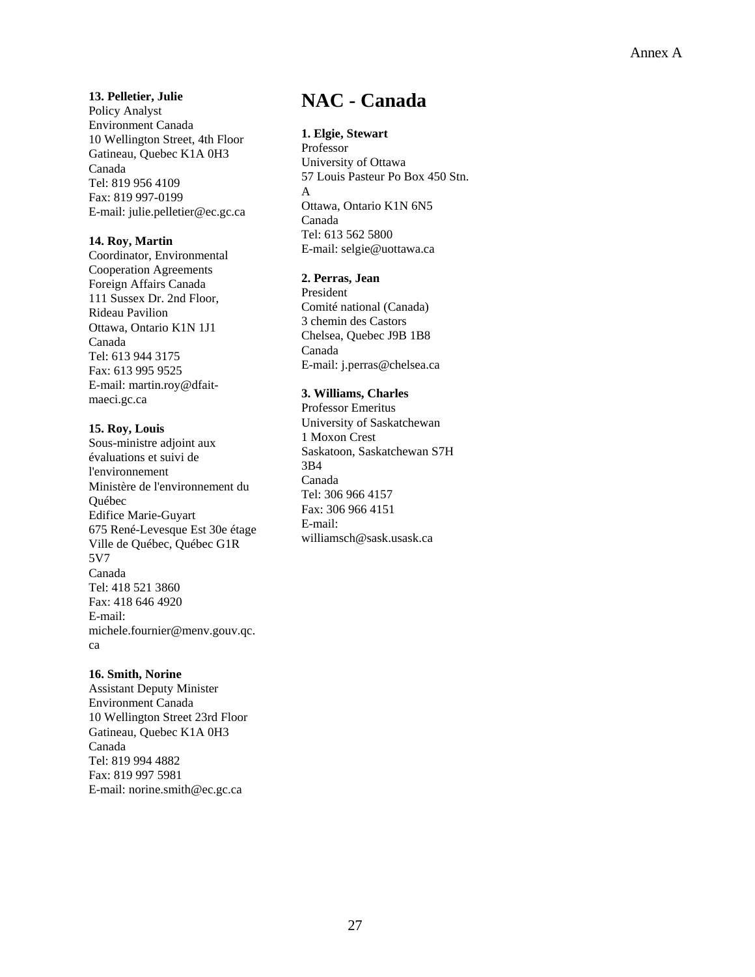**13. Pelletier, Julie**  Policy Analyst Environment Canada 10 Wellington Street, 4th Floor Gatineau, Quebec K1A 0H3

Canada Tel: 819 956 4109 Fax: 819 997-0199 E-mail: julie.pelletier@ec.gc.ca

## **14. Roy, Martin**

Coordinator, Environmental Cooperation Agreements Foreign Affairs Canada 111 Sussex Dr. 2nd Floor, Rideau Pavilion Ottawa, Ontario K1N 1J1 Canada Tel: 613 944 3175 Fax: 613 995 9525 E-mail: martin.roy@dfaitmaeci.gc.ca

## **15. Roy, Louis**

Sous-ministre adjoint aux évaluations et suivi de l'environnement Ministère de l'environnement du Québec Edifice Marie-Guyart 675 René-Levesque Est 30e étage Ville de Québec, Québec G1R 5V7 Canada Tel: 418 521 3860 Fax: 418 646 4920 E-mail: michele.fournier@menv.gouv.qc. ca

#### **16. Smith, Norine**

Assistant Deputy Minister Environment Canada 10 Wellington Street 23rd Floor Gatineau, Quebec K1A 0H3 Canada Tel: 819 994 4882 Fax: 819 997 5981 E-mail: norine.smith@ec.gc.ca

## **NAC - Canada**

## **1. Elgie, Stewart**

Professor University of Ottawa 57 Louis Pasteur Po Box 450 Stn. A Ottawa, Ontario K1N 6N5 Canada Tel: 613 562 5800 E-mail: selgie@uottawa.ca

## **2. Perras, Jean**

President Comité national (Canada) 3 chemin des Castors Chelsea, Quebec J9B 1B8 Canada E-mail: j.perras@chelsea.ca

## **3. Williams, Charles**

Professor Emeritus University of Saskatchewan 1 Moxon Crest Saskatoon, Saskatchewan S7H 3B4 Canada Tel: 306 966 4157 Fax: 306 966 4151 E-mail: williamsch@sask.usask.ca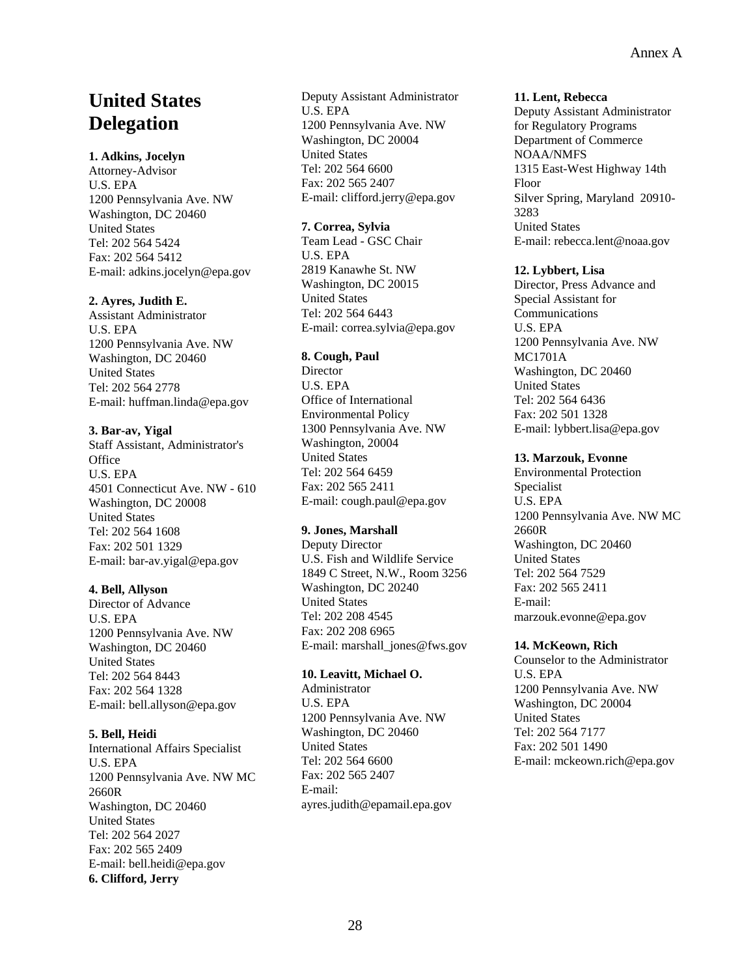## **United States Delegation**

## **1. Adkins, Jocelyn**

Attorney-Advisor U.S. EPA 1200 Pennsylvania Ave. NW Washington, DC 20460 United States Tel: 202 564 5424 Fax: 202 564 5412 E-mail: adkins.jocelyn@epa.gov

## **2. Ayres, Judith E.**

Assistant Administrator U.S. EPA 1200 Pennsylvania Ave. NW Washington, DC 20460 United States Tel: 202 564 2778 E-mail: huffman.linda@epa.gov

## **3. Bar-av, Yigal**

Staff Assistant, Administrator's **Office** U.S. EPA 4501 Connecticut Ave. NW - 610 Washington, DC 20008 United States Tel: 202 564 1608 Fax: 202 501 1329 E-mail: bar-av.yigal@epa.gov

## **4. Bell, Allyson**

Director of Advance U.S. EPA 1200 Pennsylvania Ave. NW Washington, DC 20460 United States Tel: 202 564 8443 Fax: 202 564 1328 E-mail: bell.allyson@epa.gov

## **5. Bell, Heidi**

International Affairs Specialist U.S. EPA 1200 Pennsylvania Ave. NW MC 2660R Washington, DC 20460 United States Tel: 202 564 2027 Fax: 202 565 2409 E-mail: bell.heidi@epa.gov **6. Clifford, Jerry** 

Deputy Assistant Administrator U.S. EPA 1200 Pennsylvania Ave. NW Washington, DC 20004 United States Tel: 202 564 6600 Fax: 202 565 2407 E-mail: clifford.jerry@epa.gov

## **7. Correa, Sylvia**

Team Lead - GSC Chair U.S. EPA 2819 Kanawhe St. NW Washington, DC 20015 United States Tel: 202 564 6443 E-mail: correa.sylvia@epa.gov

## **8. Cough, Paul**

**Director** U.S. EPA Office of International Environmental Policy 1300 Pennsylvania Ave. NW Washington, 20004 United States Tel: 202 564 6459 Fax: 202 565 2411 E-mail: cough.paul@epa.gov

## **9. Jones, Marshall**

Deputy Director U.S. Fish and Wildlife Service 1849 C Street, N.W., Room 3256 Washington, DC 20240 United States Tel: 202 208 4545 Fax: 202 208 6965 E-mail: marshall\_jones@fws.gov

## **10. Leavitt, Michael O.**

Administrator U.S. EPA 1200 Pennsylvania Ave. NW Washington, DC 20460 United States Tel: 202 564 6600 Fax: 202 565 2407 E-mail: ayres.judith@epamail.epa.gov

#### **11. Lent, Rebecca**

Deputy Assistant Administrator for Regulatory Programs Department of Commerce NOAA/NMFS 1315 East-West Highway 14th Floor Silver Spring, Maryland 20910- 3283 United States E-mail: rebecca.lent@noaa.gov

## **12. Lybbert, Lisa**

Director, Press Advance and Special Assistant for Communications U.S. EPA 1200 Pennsylvania Ave. NW MC1701A Washington, DC 20460 United States Tel: 202 564 6436 Fax: 202 501 1328 E-mail: lybbert.lisa@epa.gov

## **13. Marzouk, Evonne**

Environmental Protection Specialist U.S. EPA 1200 Pennsylvania Ave. NW MC 2660R Washington, DC 20460 United States Tel: 202 564 7529 Fax: 202 565 2411 E-mail: marzouk.evonne@epa.gov

#### **14. McKeown, Rich**

Counselor to the Administrator U.S. EPA 1200 Pennsylvania Ave. NW Washington, DC 20004 United States Tel: 202 564 7177 Fax: 202 501 1490 E-mail: mckeown.rich@epa.gov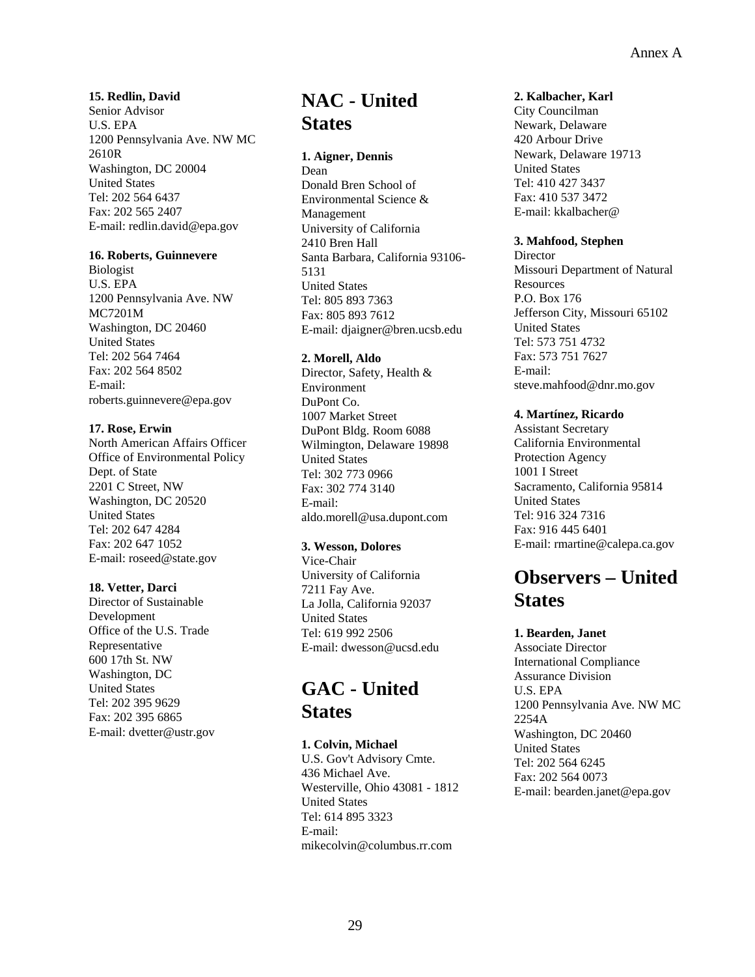#### **15. Redlin, David**

Senior Advisor U.S. EPA 1200 Pennsylvania Ave. NW MC 2610R Washington, DC 20004 United States Tel: 202 564 6437 Fax: 202 565 2407 E-mail: redlin.david@epa.gov

#### **16. Roberts, Guinnevere**

Biologist U.S. EPA 1200 Pennsylvania Ave. NW MC7201M Washington, DC 20460 United States Tel: 202 564 7464 Fax: 202 564 8502 E-mail: roberts.guinnevere@epa.gov

#### **17. Rose, Erwin**

North American Affairs Officer Office of Environmental Policy Dept. of State 2201 C Street, NW Washington, DC 20520 United States Tel: 202 647 4284 Fax: 202 647 1052 E-mail: roseed@state.gov

## **18. Vetter, Darci**

Director of Sustainable Development Office of the U.S. Trade Representative 600 17th St. NW Washington, DC United States Tel: 202 395 9629 Fax: 202 395 6865 E-mail: dvetter@ustr.gov

## **NAC - United States**

#### **1. Aigner, Dennis**

Dean Donald Bren School of Environmental Science & Management University of California 2410 Bren Hall Santa Barbara, California 93106- 5131 United States Tel: 805 893 7363 Fax: 805 893 7612 E-mail: djaigner@bren.ucsb.edu

#### **2. Morell, Aldo**

Director, Safety, Health & Environment DuPont Co. 1007 Market Street DuPont Bldg. Room 6088 Wilmington, Delaware 19898 United States Tel: 302 773 0966 Fax: 302 774 3140 E-mail: aldo.morell@usa.dupont.com

## **3. Wesson, Dolores**

Vice-Chair University of California 7211 Fay Ave. La Jolla, California 92037 United States Tel: 619 992 2506 E-mail: dwesson@ucsd.edu

## **GAC - United States**

#### **1. Colvin, Michael**

U.S. Gov't Advisory Cmte. 436 Michael Ave. Westerville, Ohio 43081 - 1812 United States Tel: 614 895 3323 E-mail: mikecolvin@columbus.rr.com

#### **2. Kalbacher, Karl**

City Councilman Newark, Delaware 420 Arbour Drive Newark, Delaware 19713 United States Tel: 410 427 3437 Fax: 410 537 3472 E-mail: kkalbacher@

## **3. Mahfood, Stephen**

**Director** Missouri Department of Natural Resources P.O. Box 176 Jefferson City, Missouri 65102 United States Tel: 573 751 4732 Fax: 573 751 7627 E-mail: steve.mahfood@dnr.mo.gov

## **4. Martínez, Ricardo**

Assistant Secretary California Environmental Protection Agency 1001 I Street Sacramento, California 95814 United States Tel: 916 324 7316 Fax: 916 445 6401 E-mail: rmartine@calepa.ca.gov

## **Observers – United States**

## **1. Bearden, Janet**

Associate Director International Compliance Assurance Division U.S. EPA 1200 Pennsylvania Ave. NW MC 2254A Washington, DC 20460 United States Tel: 202 564 6245 Fax: 202 564 0073 E-mail: bearden.janet@epa.gov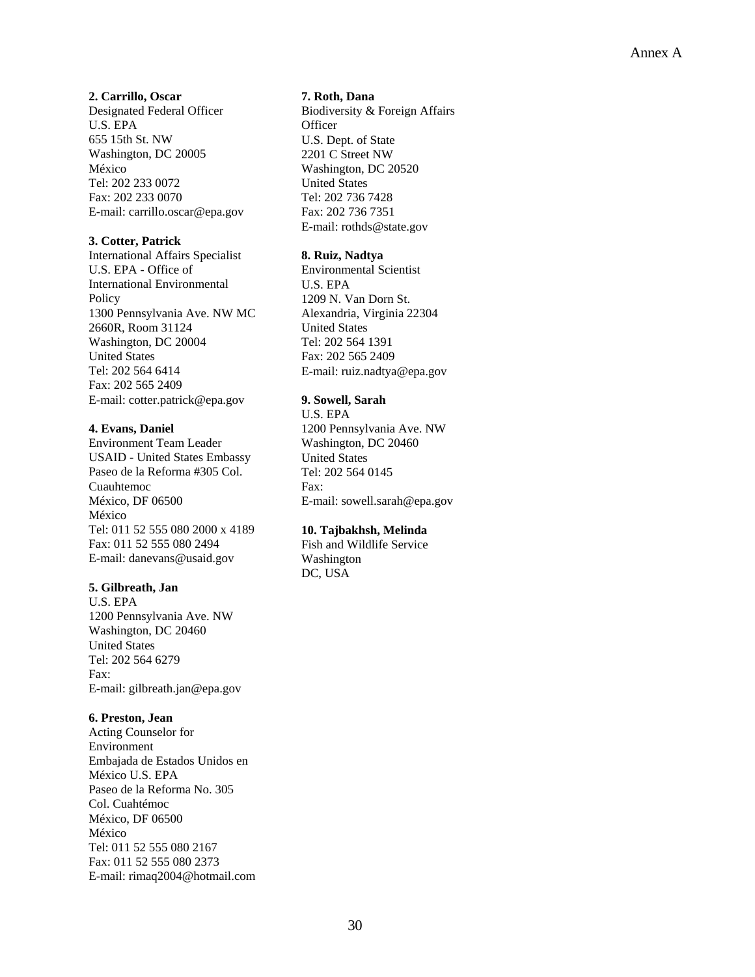**2. Carrillo, Oscar** 

Designated Federal Officer U.S. EPA 655 15th St. NW Washington, DC 20005 México Tel: 202 233 0072 Fax: 202 233 0070 E-mail: carrillo.oscar@epa.gov

## **3. Cotter, Patrick**

International Affairs Specialist U.S. EPA - Office of International Environmental Policy 1300 Pennsylvania Ave. NW MC 2660R, Room 31124 Washington, DC 20004 United States Tel: 202 564 6414 Fax: 202 565 2409 E-mail: cotter.patrick@epa.gov

## **4. Evans, Daniel**

Environment Team Leader USAID - United States Embassy Paseo de la Reforma #305 Col. Cuauhtemoc México, DF 06500 México Tel: 011 52 555 080 2000 x 4189 Fax: 011 52 555 080 2494 E-mail: danevans@usaid.gov

#### **5. Gilbreath, Jan**

U.S. EPA 1200 Pennsylvania Ave. NW Washington, DC 20460 United States Tel: 202 564 6279 Fax: E-mail: gilbreath.jan@epa.gov

## **6. Preston, Jean**

Acting Counselor for Environment Embajada de Estados Unidos en México U.S. EPA Paseo de la Reforma No. 305 Col. Cuahtémoc México, DF 06500 México Tel: 011 52 555 080 2167 Fax: 011 52 555 080 2373 E-mail: rimaq2004@hotmail.com

#### **7. Roth, Dana**

Biodiversity & Foreign Affairs **Officer** U.S. Dept. of State 2201 C Street NW Washington, DC 20520 United States Tel: 202 736 7428 Fax: 202 736 7351 E-mail: rothds@state.gov

## **8. Ruiz, Nadtya**

Environmental Scientist U.S. EPA 1209 N. Van Dorn St. Alexandria, Virginia 22304 United States Tel: 202 564 1391 Fax: 202 565 2409 E-mail: ruiz.nadtya@epa.gov

## **9. Sowell, Sarah**

U.S. EPA 1200 Pennsylvania Ave. NW Washington, DC 20460 United States Tel: 202 564 0145 Fax: E-mail: sowell.sarah@epa.gov

## **10. Tajbakhsh, Melinda**

Fish and Wildlife Service Washington DC, USA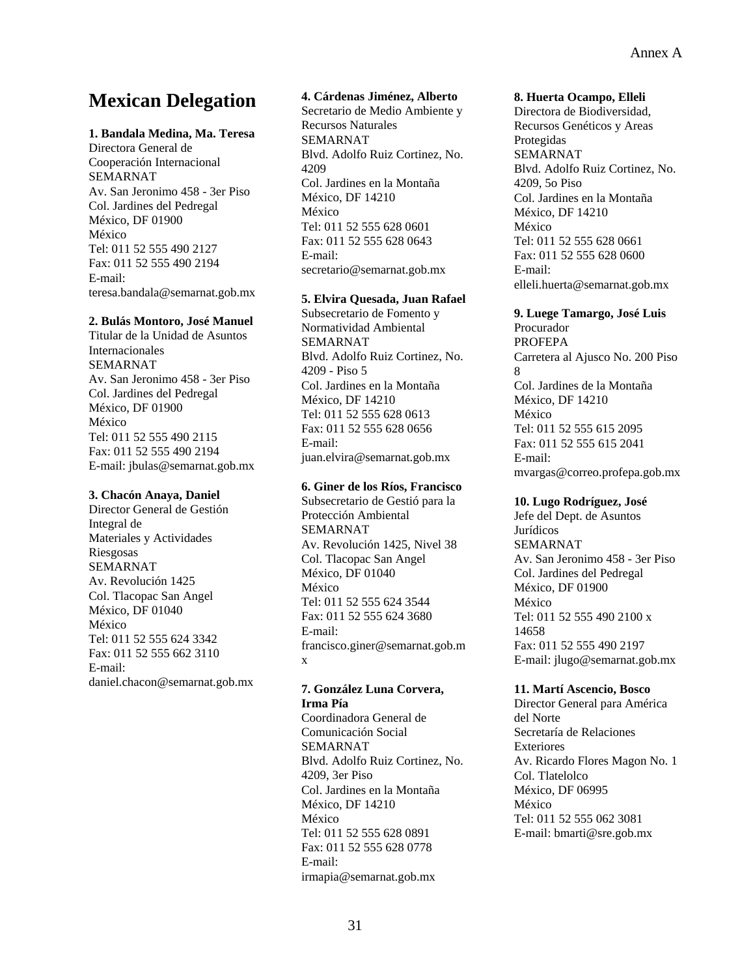## **Mexican Delegation**

#### **1. Bandala Medina, Ma. Teresa**

Directora General de Cooperación Internacional SEMARNAT Av. San Jeronimo 458 - 3er Piso Col. Jardines del Pedregal México, DF 01900 México Tel: 011 52 555 490 2127 Fax: 011 52 555 490 2194 E-mail: teresa.bandala@semarnat.gob.mx

#### **2. Bulás Montoro, José Manuel**

Titular de la Unidad de Asuntos Internacionales SEMARNAT Av. San Jeronimo 458 - 3er Piso Col. Jardines del Pedregal México, DF 01900 México Tel: 011 52 555 490 2115 Fax: 011 52 555 490 2194 E-mail: jbulas@semarnat.gob.mx

#### **3. Chacón Anaya, Daniel**

Director General de Gestión Integral de Materiales y Actividades Riesgosas SEMARNAT Av. Revolución 1425 Col. Tlacopac San Angel México, DF 01040 México Tel: 011 52 555 624 3342 Fax: 011 52 555 662 3110 E-mail: daniel.chacon@semarnat.gob.mx

## **4. Cárdenas Jiménez, Alberto**

Secretario de Medio Ambiente y Recursos Naturales SEMARNAT Blvd. Adolfo Ruiz Cortinez, No. 4209 Col. Jardines en la Montaña México, DF 14210 México Tel: 011 52 555 628 0601 Fax: 011 52 555 628 0643 E-mail: secretario@semarnat.gob.mx

#### **5. Elvira Quesada, Juan Rafael**

Subsecretario de Fomento y Normatividad Ambiental SEMARNAT Blvd. Adolfo Ruiz Cortinez, No. 4209 - Piso 5 Col. Jardines en la Montaña México, DF 14210 Tel: 011 52 555 628 0613 Fax: 011 52 555 628 0656 E-mail: juan.elvira@semarnat.gob.mx

#### **6. Giner de los Ríos, Francisco**

Subsecretario de Gestió para la Protección Ambiental SEMARNAT Av. Revolución 1425, Nivel 38 Col. Tlacopac San Angel México, DF 01040 México Tel: 011 52 555 624 3544 Fax: 011 52 555 624 3680 E-mail: francisco.giner@semarnat.gob.m x

#### **7. González Luna Corvera, Irma Pía**  Coordinadora General de

Comunicación Social SEMARNAT Blvd. Adolfo Ruiz Cortinez, No. 4209, 3er Piso Col. Jardines en la Montaña México, DF 14210 México Tel: 011 52 555 628 0891 Fax: 011 52 555 628 0778 E-mail: irmapia@semarnat.gob.mx

#### **8. Huerta Ocampo, Elleli**

Directora de Biodiversidad, Recursos Genéticos y Areas Protegidas SEMARNAT Blvd. Adolfo Ruiz Cortinez, No. 4209, 5o Piso Col. Jardines en la Montaña México, DF 14210 México Tel: 011 52 555 628 0661 Fax: 011 52 555 628 0600 E-mail: elleli.huerta@semarnat.gob.mx

#### **9. Luege Tamargo, José Luis**

Procurador PROFEPA Carretera al Ajusco No. 200 Piso 8 Col. Jardines de la Montaña México, DF 14210 México Tel: 011 52 555 615 2095 Fax: 011 52 555 615 2041 E-mail: mvargas@correo.profepa.gob.mx

#### **10. Lugo Rodríguez, José**

Jefe del Dept. de Asuntos Jurídicos SEMARNAT Av. San Jeronimo 458 - 3er Piso Col. Jardines del Pedregal México, DF 01900 México Tel: 011 52 555 490 2100 x 14658 Fax: 011 52 555 490 2197 E-mail: jlugo@semarnat.gob.mx

#### **11. Martí Ascencio, Bosco**

Director General para América del Norte Secretaría de Relaciones Exteriores Av. Ricardo Flores Magon No. 1 Col. Tlatelolco México, DF 06995 México Tel: 011 52 555 062 3081 E-mail: bmarti@sre.gob.mx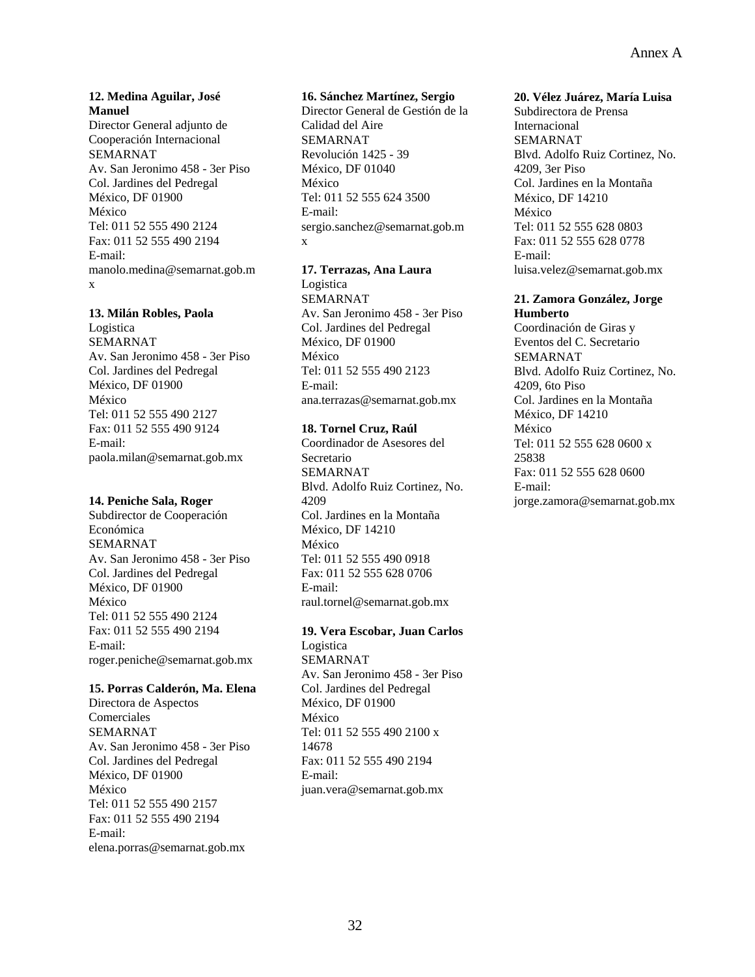## **12. Medina Aguilar, José Manuel**

Director General adjunto de Cooperación Internacional SEMARNAT Av. San Jeronimo 458 - 3er Piso Col. Jardines del Pedregal México, DF 01900 México Tel: 011 52 555 490 2124 Fax: 011 52 555 490 2194 E-mail: manolo.medina@semarnat.gob.m x

#### **13. Milán Robles, Paola**

Logistica SEMARNAT Av. San Jeronimo 458 - 3er Piso Col. Jardines del Pedregal México, DF 01900 México Tel: 011 52 555 490 2127 Fax: 011 52 555 490 9124 E-mail: paola.milan@semarnat.gob.mx

#### **14. Peniche Sala, Roger**

Subdirector de Cooperación Económica SEMARNAT Av. San Jeronimo 458 - 3er Piso Col. Jardines del Pedregal México, DF 01900 México Tel: 011 52 555 490 2124 Fax: 011 52 555 490 2194 E-mail: roger.peniche@semarnat.gob.mx

#### **15. Porras Calderón, Ma. Elena**

Directora de Aspectos Comerciales SEMARNAT Av. San Jeronimo 458 - 3er Piso Col. Jardines del Pedregal México, DF 01900 México Tel: 011 52 555 490 2157 Fax: 011 52 555 490 2194 E-mail: elena.porras@semarnat.gob.mx

#### **16. Sánchez Martínez, Sergio**

Director General de Gestión de la Calidad del Aire SEMARNAT Revolución 1425 - 39 México, DF 01040 México Tel: 011 52 555 624 3500 E-mail: sergio.sanchez@semarnat.gob.m x

#### **17. Terrazas, Ana Laura**

Logistica SEMARNAT Av. San Jeronimo 458 - 3er Piso Col. Jardines del Pedregal México, DF 01900 México Tel: 011 52 555 490 2123 E-mail: ana.terrazas@semarnat.gob.mx

### **18. Tornel Cruz, Raúl**

Coordinador de Asesores del Secretario SEMARNAT Blvd. Adolfo Ruiz Cortinez, No. 4209 Col. Jardines en la Montaña México, DF 14210 México Tel: 011 52 555 490 0918 Fax: 011 52 555 628 0706 E-mail: raul.tornel@semarnat.gob.mx

## **19. Vera Escobar, Juan Carlos**

Logistica SEMARNAT Av. San Jeronimo 458 - 3er Piso Col. Jardines del Pedregal México, DF 01900 México Tel: 011 52 555 490 2100 x 14678 Fax: 011 52 555 490 2194 E-mail: juan.vera@semarnat.gob.mx

#### **20. Vélez Juárez, María Luisa**

Subdirectora de Prensa Internacional SEMARNAT Blvd. Adolfo Ruiz Cortinez, No. 4209, 3er Piso Col. Jardines en la Montaña México, DF 14210 México Tel: 011 52 555 628 0803 Fax: 011 52 555 628 0778 E-mail: luisa.velez@semarnat.gob.mx

#### **21. Zamora González, Jorge Humberto**

Coordinación de Giras y Eventos del C. Secretario SEMARNAT Blvd. Adolfo Ruiz Cortinez, No. 4209, 6to Piso Col. Jardines en la Montaña México, DF 14210 México Tel: 011 52 555 628 0600 x 25838 Fax: 011 52 555 628 0600 E-mail: jorge.zamora@semarnat.gob.mx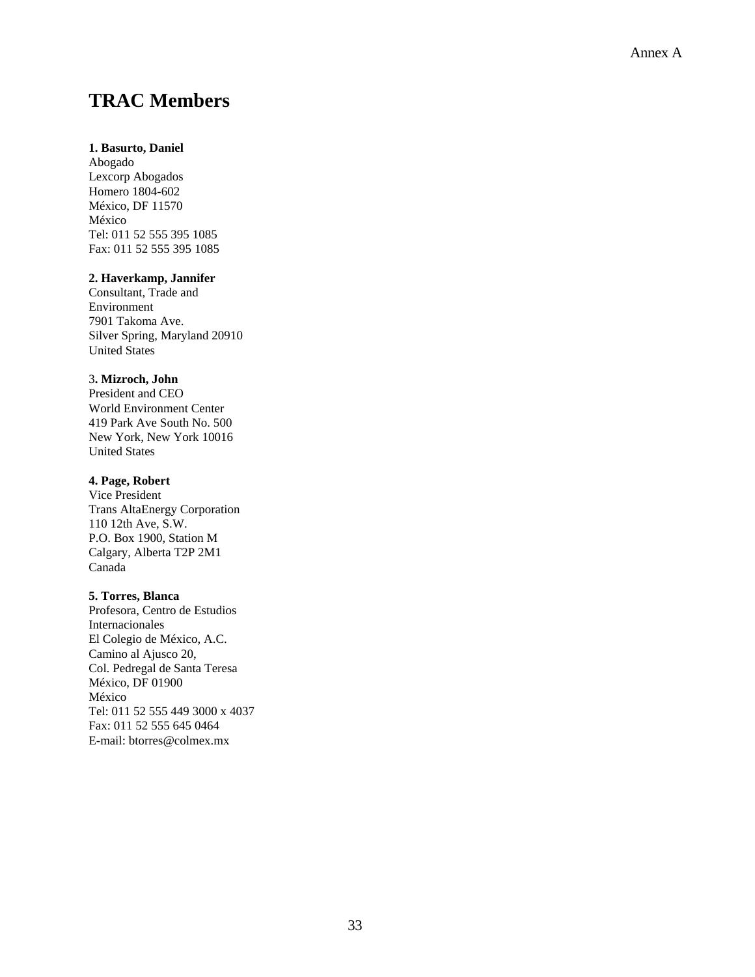## **TRAC Members**

#### **1. Basurto, Daniel**

Abogado Lexcorp Abogados Homero 1804-602 México, DF 11570 México Tel: 011 52 555 395 1085 Fax: 011 52 555 395 1085

## **2. Haverkamp, Jannifer**

Consultant, Trade and Environment 7901 Takoma Ave. Silver Spring, Maryland 20910 United States 3**. Mizroch, John** 

President and CEO World Environment Center 419 Park Ave South No. 500 New York, New York 10016 United States

#### **4. Page, Robert**

Vice President Trans AltaEnergy Corporation 110 12th Ave, S.W. P.O. Box 1900, Station M Calgary, Alberta T2P 2M1 Canada

#### **5. Torres, Blanca**

Profesora, Centro de Estudios Internacionales El Colegio de México, A.C. Camino al Ajusco 20, Col. Pedregal de Santa Teresa México, DF 01900 México Tel: 011 52 555 449 3000 x 4037 Fax: 011 52 555 645 0464 E-mail: btorres@colmex.mx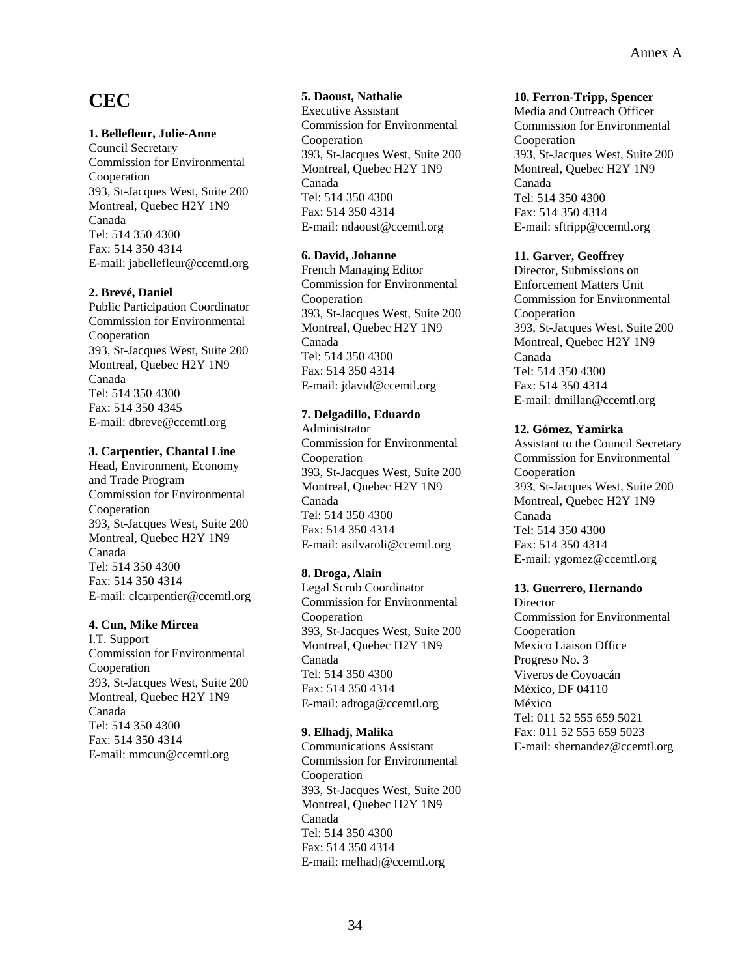## **CEC**

#### **1. Bellefleur, Julie-Anne**

Council Secretary Commission for Environmental Cooperation 393, St-Jacques West, Suite 200 Montreal, Quebec H2Y 1N9 Canada Tel: 514 350 4300 Fax: 514 350 4314 E-mail: jabellefleur@ccemtl.org

#### **2. Brevé, Daniel**

Public Participation Coordinator Commission for Environmental Cooperation 393, St-Jacques West, Suite 200 Montreal, Quebec H2Y 1N9 Canada Tel: 514 350 4300 Fax: 514 350 4345 E-mail: dbreve@ccemtl.org

## **3. Carpentier, Chantal Line**

Head, Environment, Economy and Trade Program Commission for Environmental Cooperation 393, St-Jacques West, Suite 200 Montreal, Quebec H2Y 1N9 Canada Tel: 514 350 4300 Fax: 514 350 4314 E-mail: clcarpentier@ccemtl.org

#### **4. Cun, Mike Mircea**

I.T. Support Commission for Environmental Cooperation 393, St-Jacques West, Suite 200 Montreal, Quebec H2Y 1N9 Canada Tel: 514 350 4300 Fax: 514 350 4314 E-mail: mmcun@ccemtl.org

## **5. Daoust, Nathalie**

Executive Assistant Commission for Environmental Cooperation 393, St-Jacques West, Suite 200 Montreal, Quebec H2Y 1N9 Canada Tel: 514 350 4300 Fax: 514 350 4314 E-mail: ndaoust@ccemtl.org

## **6. David, Johanne**

French Managing Editor Commission for Environmental Cooperation 393, St-Jacques West, Suite 200 Montreal, Quebec H2Y 1N9 Canada Tel: 514 350 4300 Fax: 514 350 4314 E-mail: jdavid@ccemtl.org

## **7. Delgadillo, Eduardo**

Administrator Commission for Environmental Cooperation 393, St-Jacques West, Suite 200 Montreal, Quebec H2Y 1N9 Canada Tel: 514 350 4300 Fax: 514 350 4314 E-mail: asilvaroli@ccemtl.org

#### **8. Droga, Alain**

Legal Scrub Coordinator Commission for Environmental Cooperation 393, St-Jacques West, Suite 200 Montreal, Quebec H2Y 1N9 Canada Tel: 514 350 4300 Fax: 514 350 4314 E-mail: adroga@ccemtl.org

## **9. Elhadj, Malika**

Communications Assistant Commission for Environmental Cooperation 393, St-Jacques West, Suite 200 Montreal, Quebec H2Y 1N9 Canada Tel: 514 350 4300 Fax: 514 350 4314 E-mail: melhadj@ccemtl.org

#### **10. Ferron-Tripp, Spencer**

Media and Outreach Officer Commission for Environmental Cooperation 393, St-Jacques West, Suite 200 Montreal, Quebec H2Y 1N9 Canada Tel: 514 350 4300 Fax: 514 350 4314 E-mail: sftripp@ccemtl.org

## **11. Garver, Geoffrey**

Director, Submissions on Enforcement Matters Unit Commission for Environmental Cooperation 393, St-Jacques West, Suite 200 Montreal, Quebec H2Y 1N9 Canada Tel: 514 350 4300 Fax: 514 350 4314 E-mail: dmillan@ccemtl.org

## **12. Gómez, Yamirka**

Assistant to the Council Secretary Commission for Environmental Cooperation 393, St-Jacques West, Suite 200 Montreal, Quebec H2Y 1N9 Canada Tel: 514 350 4300 Fax: 514 350 4314 E-mail: ygomez@ccemtl.org

## **13. Guerrero, Hernando**

**Director** Commission for Environmental Cooperation Mexico Liaison Office Progreso No. 3 Viveros de Coyoacán México, DF 04110 México Tel: 011 52 555 659 5021 Fax: 011 52 555 659 5023 E-mail: shernandez@ccemtl.org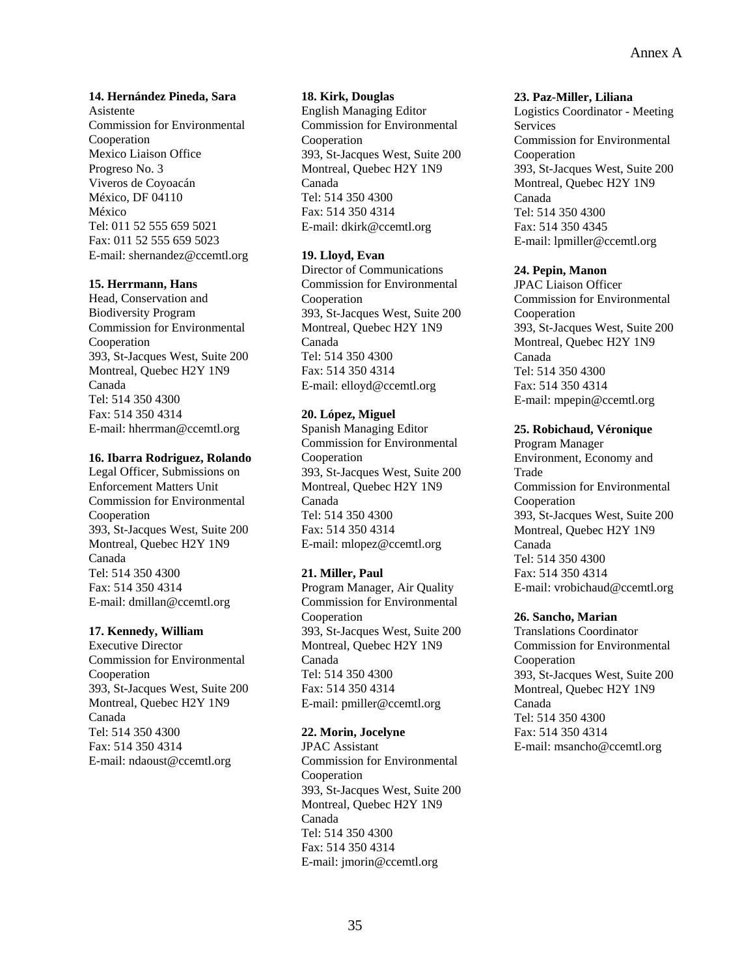**14. Hernández Pineda, Sara**  Asistente Commission for Environmental Cooperation Mexico Liaison Office Progreso No. 3 Viveros de Coyoacán México, DF 04110 México Tel: 011 52 555 659 5021 Fax: 011 52 555 659 5023 E-mail: shernandez@ccemtl.org

#### **15. Herrmann, Hans**

Head, Conservation and Biodiversity Program Commission for Environmental Cooperation 393, St-Jacques West, Suite 200 Montreal, Quebec H2Y 1N9 Canada Tel: 514 350 4300 Fax: 514 350 4314 E-mail: hherrman@ccemtl.org

#### **16. Ibarra Rodriguez, Rolando**

Legal Officer, Submissions on Enforcement Matters Unit Commission for Environmental Cooperation 393, St-Jacques West, Suite 200 Montreal, Quebec H2Y 1N9 Canada Tel: 514 350 4300 Fax: 514 350 4314 E-mail: dmillan@ccemtl.org

## **17. Kennedy, William**

Executive Director Commission for Environmental Cooperation 393, St-Jacques West, Suite 200 Montreal, Quebec H2Y 1N9 Canada Tel: 514 350 4300 Fax: 514 350 4314 E-mail: ndaoust@ccemtl.org

## **18. Kirk, Douglas**

English Managing Editor Commission for Environmental Cooperation 393, St-Jacques West, Suite 200 Montreal, Quebec H2Y 1N9 Canada Tel: 514 350 4300 Fax: 514 350 4314 E-mail: dkirk@ccemtl.org

#### **19. Lloyd, Evan**

Director of Communications Commission for Environmental Cooperation 393, St-Jacques West, Suite 200 Montreal, Quebec H2Y 1N9 Canada Tel: 514 350 4300 Fax: 514 350 4314 E-mail: elloyd@ccemtl.org

#### **20. López, Miguel**

Spanish Managing Editor Commission for Environmental Cooperation 393, St-Jacques West, Suite 200 Montreal, Quebec H2Y 1N9 Canada Tel: 514 350 4300 Fax: 514 350 4314 E-mail: mlopez@ccemtl.org

#### **21. Miller, Paul**

Program Manager, Air Quality Commission for Environmental Cooperation 393, St-Jacques West, Suite 200 Montreal, Quebec H2Y 1N9 Canada Tel: 514 350 4300 Fax: 514 350 4314 E-mail: pmiller@ccemtl.org

#### **22. Morin, Jocelyne**

JPAC Assistant Commission for Environmental Cooperation 393, St-Jacques West, Suite 200 Montreal, Quebec H2Y 1N9 Canada Tel: 514 350 4300 Fax: 514 350 4314 E-mail: jmorin@ccemtl.org

#### **23. Paz-Miller, Liliana**

Logistics Coordinator - Meeting Services Commission for Environmental Cooperation 393, St-Jacques West, Suite 200 Montreal, Quebec H2Y 1N9 Canada Tel: 514 350 4300 Fax: 514 350 4345 E-mail: lpmiller@ccemtl.org

#### **24. Pepin, Manon**

JPAC Liaison Officer Commission for Environmental Cooperation 393, St-Jacques West, Suite 200 Montreal, Quebec H2Y 1N9 Canada Tel: 514 350 4300 Fax: 514 350 4314 E-mail: mpepin@ccemtl.org

#### **25. Robichaud, Véronique**

Program Manager Environment, Economy and Trade Commission for Environmental Cooperation 393, St-Jacques West, Suite 200 Montreal, Quebec H2Y 1N9 Canada Tel: 514 350 4300 Fax: 514 350 4314 E-mail: vrobichaud@ccemtl.org

#### **26. Sancho, Marian**

Translations Coordinator Commission for Environmental Cooperation 393, St-Jacques West, Suite 200 Montreal, Quebec H2Y 1N9 Canada Tel: 514 350 4300 Fax: 514 350 4314 E-mail: msancho@ccemtl.org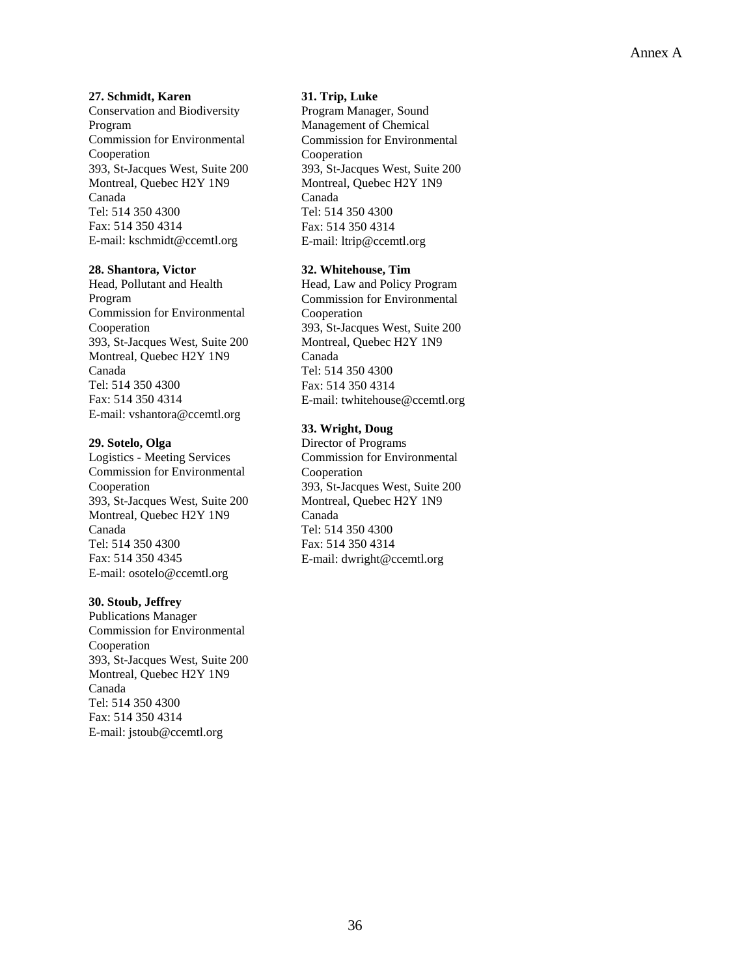**27. Schmidt, Karen** 

Conservation and Biodiversity Program Commission for Environmental Cooperation 393, St-Jacques West, Suite 200 Montreal, Quebec H2Y 1N9 Canada Tel: 514 350 4300 Fax: 514 350 4314 E-mail: kschmidt@ccemtl.org

#### **28. Shantora, Victor**

Head, Pollutant and Health Program Commission for Environmental Cooperation 393, St-Jacques West, Suite 200 Montreal, Quebec H2Y 1N9 Canada Tel: 514 350 4300 Fax: 514 350 4314 E-mail: vshantora@ccemtl.org

#### **29. Sotelo, Olga**

Logistics - Meeting Services Commission for Environmental Cooperation 393, St-Jacques West, Suite 200 Montreal, Quebec H2Y 1N9 Canada Tel: 514 350 4300 Fax: 514 350 4345 E-mail: osotelo@ccemtl.org

#### **30. Stoub, Jeffrey**

Publications Manager Commission for Environmental Cooperation 393, St-Jacques West, Suite 200 Montreal, Quebec H2Y 1N9 Canada Tel: 514 350 4300 Fax: 514 350 4314 E-mail: jstoub@ccemtl.org

#### **31. Trip, Luke**

Program Manager, Sound Management of Chemical Commission for Environmental Cooperation 393, St-Jacques West, Suite 200 Montreal, Quebec H2Y 1N9 Canada Tel: 514 350 4300 Fax: 514 350 4314 E-mail: ltrip@ccemtl.org

#### **32. Whitehouse, Tim**

Head, Law and Policy Program Commission for Environmental Cooperation 393, St-Jacques West, Suite 200 Montreal, Quebec H2Y 1N9 Canada Tel: 514 350 4300 Fax: 514 350 4314 E-mail: twhitehouse@ccemtl.org

## **33. Wright, Doug**

Director of Programs Commission for Environmental Cooperation 393, St-Jacques West, Suite 200 Montreal, Quebec H2Y 1N9 Canada Tel: 514 350 4300 Fax: 514 350 4314 E-mail: dwright@ccemtl.org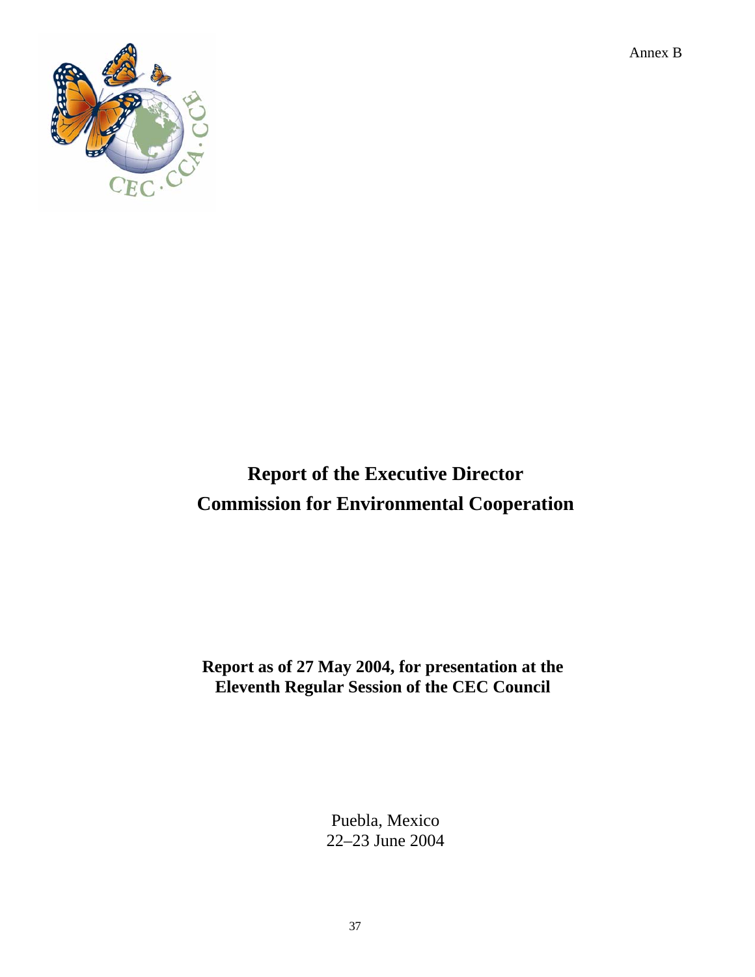Annex B



# **Report of the Executive Director Commission for Environmental Cooperation**

**Report as of 27 May 2004, for presentation at the Eleventh Regular Session of the CEC Council** 

> Puebla, Mexico 22–23 June 2004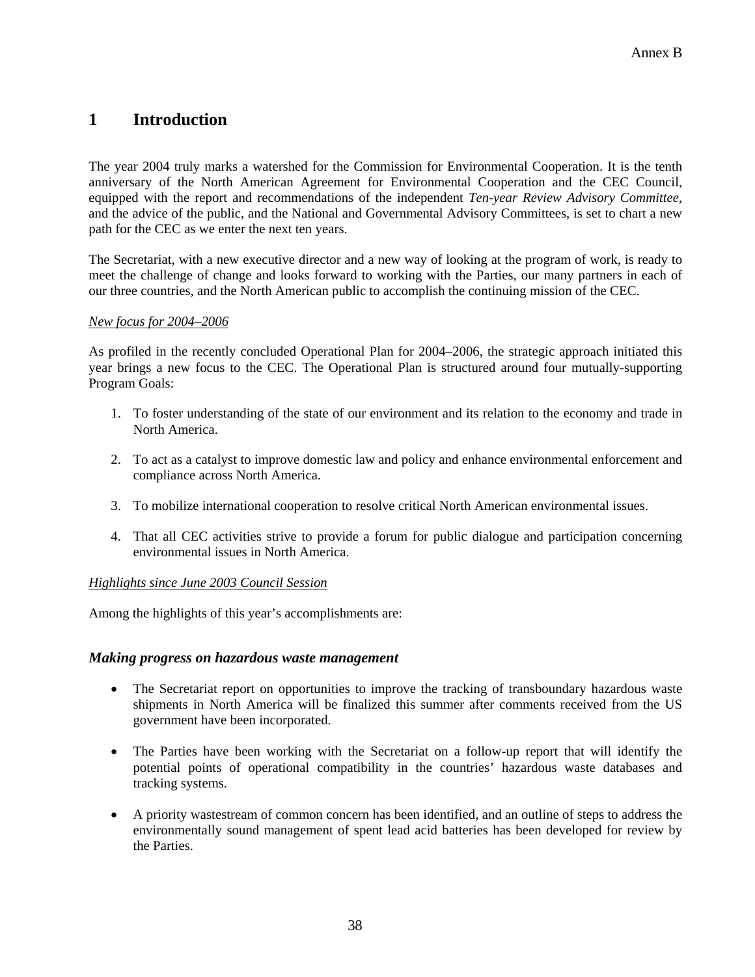# **1 Introduction**

The year 2004 truly marks a watershed for the Commission for Environmental Cooperation. It is the tenth anniversary of the North American Agreement for Environmental Cooperation and the CEC Council, equipped with the report and recommendations of the independent *Ten-year Review Advisory Committee*, and the advice of the public, and the National and Governmental Advisory Committees, is set to chart a new path for the CEC as we enter the next ten years.

The Secretariat, with a new executive director and a new way of looking at the program of work, is ready to meet the challenge of change and looks forward to working with the Parties, our many partners in each of our three countries, and the North American public to accomplish the continuing mission of the CEC.

#### *New focus for 2004–2006*

As profiled in the recently concluded Operational Plan for 2004–2006, the strategic approach initiated this year brings a new focus to the CEC. The Operational Plan is structured around four mutually-supporting Program Goals:

- 1. To foster understanding of the state of our environment and its relation to the economy and trade in North America.
- 2. To act as a catalyst to improve domestic law and policy and enhance environmental enforcement and compliance across North America.
- 3. To mobilize international cooperation to resolve critical North American environmental issues.
- 4. That all CEC activities strive to provide a forum for public dialogue and participation concerning environmental issues in North America.

# *Highlights since June 2003 Council Session*

Among the highlights of this year's accomplishments are:

# *Making progress on hazardous waste management*

- The Secretariat report on opportunities to improve the tracking of transboundary hazardous waste shipments in North America will be finalized this summer after comments received from the US government have been incorporated.
- The Parties have been working with the Secretariat on a follow-up report that will identify the potential points of operational compatibility in the countries' hazardous waste databases and tracking systems.
- A priority wastestream of common concern has been identified, and an outline of steps to address the environmentally sound management of spent lead acid batteries has been developed for review by the Parties.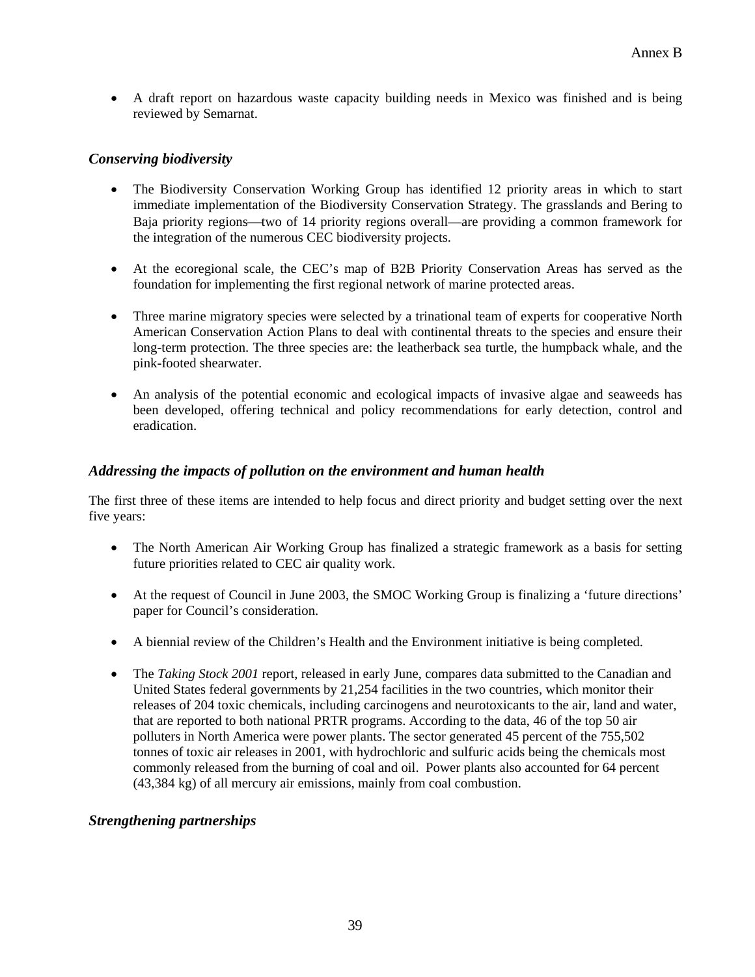• A draft report on hazardous waste capacity building needs in Mexico was finished and is being reviewed by Semarnat.

# *Conserving biodiversity*

- The Biodiversity Conservation Working Group has identified 12 priority areas in which to start immediate implementation of the Biodiversity Conservation Strategy. The grasslands and Bering to Baja priority regions—two of 14 priority regions overall—are providing a common framework for the integration of the numerous CEC biodiversity projects.
- At the ecoregional scale, the CEC's map of B2B Priority Conservation Areas has served as the foundation for implementing the first regional network of marine protected areas.
- Three marine migratory species were selected by a trinational team of experts for cooperative North American Conservation Action Plans to deal with continental threats to the species and ensure their long-term protection. The three species are: the leatherback sea turtle, the humpback whale, and the pink-footed shearwater.
- An analysis of the potential economic and ecological impacts of invasive algae and seaweeds has been developed, offering technical and policy recommendations for early detection, control and eradication.

# *Addressing the impacts of pollution on the environment and human health*

The first three of these items are intended to help focus and direct priority and budget setting over the next five years:

- The North American Air Working Group has finalized a strategic framework as a basis for setting future priorities related to CEC air quality work.
- At the request of Council in June 2003, the SMOC Working Group is finalizing a 'future directions' paper for Council's consideration.
- A biennial review of the Children's Health and the Environment initiative is being completed.
- The *Taking Stock 2001* report, released in early June, compares data submitted to the Canadian and United States federal governments by 21,254 facilities in the two countries, which monitor their releases of 204 toxic chemicals, including carcinogens and neurotoxicants to the air, land and water, that are reported to both national PRTR programs. According to the data, 46 of the top 50 air polluters in North America were power plants. The sector generated 45 percent of the 755,502 tonnes of toxic air releases in 2001, with hydrochloric and sulfuric acids being the chemicals most commonly released from the burning of coal and oil. Power plants also accounted for 64 percent (43,384 kg) of all mercury air emissions, mainly from coal combustion.

# *Strengthening partnerships*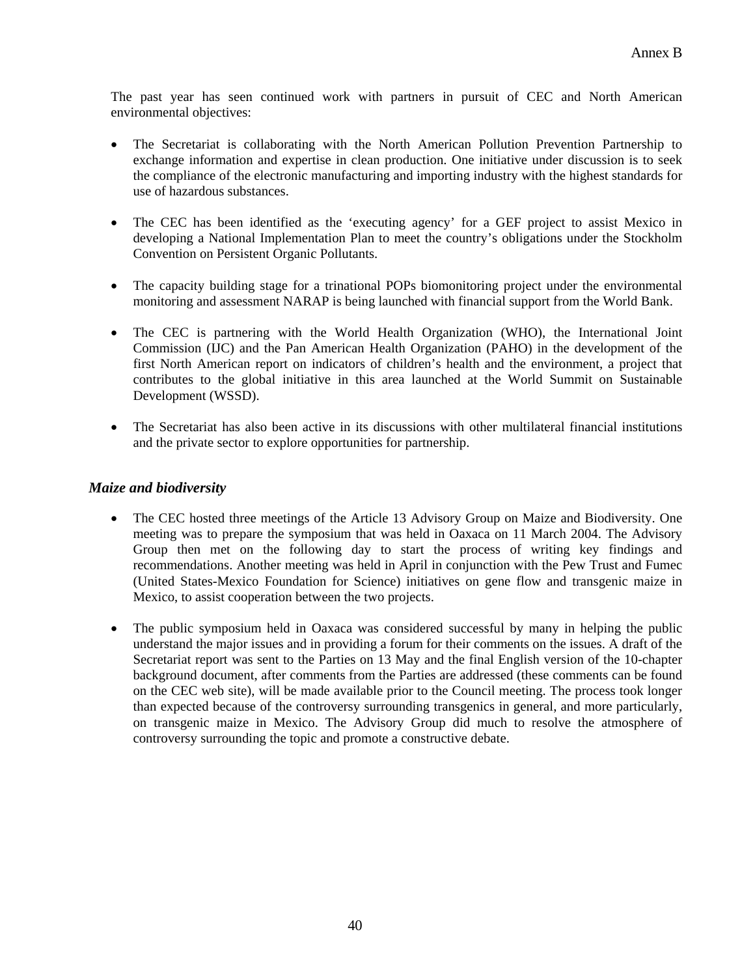The past year has seen continued work with partners in pursuit of CEC and North American environmental objectives:

- The Secretariat is collaborating with the North American Pollution Prevention Partnership to exchange information and expertise in clean production. One initiative under discussion is to seek the compliance of the electronic manufacturing and importing industry with the highest standards for use of hazardous substances.
- The CEC has been identified as the 'executing agency' for a GEF project to assist Mexico in developing a National Implementation Plan to meet the country's obligations under the Stockholm Convention on Persistent Organic Pollutants.
- The capacity building stage for a trinational POPs biomonitoring project under the environmental monitoring and assessment NARAP is being launched with financial support from the World Bank.
- The CEC is partnering with the World Health Organization (WHO), the International Joint Commission (IJC) and the Pan American Health Organization (PAHO) in the development of the first North American report on indicators of children's health and the environment, a project that contributes to the global initiative in this area launched at the World Summit on Sustainable Development (WSSD).
- The Secretariat has also been active in its discussions with other multilateral financial institutions and the private sector to explore opportunities for partnership.

# *Maize and biodiversity*

- The CEC hosted three meetings of the Article 13 Advisory Group on Maize and Biodiversity. One meeting was to prepare the symposium that was held in Oaxaca on 11 March 2004. The Advisory Group then met on the following day to start the process of writing key findings and recommendations. Another meeting was held in April in conjunction with the Pew Trust and Fumec (United States-Mexico Foundation for Science) initiatives on gene flow and transgenic maize in Mexico, to assist cooperation between the two projects.
- The public symposium held in Oaxaca was considered successful by many in helping the public understand the major issues and in providing a forum for their comments on the issues. A draft of the Secretariat report was sent to the Parties on 13 May and the final English version of the 10-chapter background document, after comments from the Parties are addressed (these comments can be found on the CEC web site), will be made available prior to the Council meeting. The process took longer than expected because of the controversy surrounding transgenics in general, and more particularly, on transgenic maize in Mexico. The Advisory Group did much to resolve the atmosphere of controversy surrounding the topic and promote a constructive debate.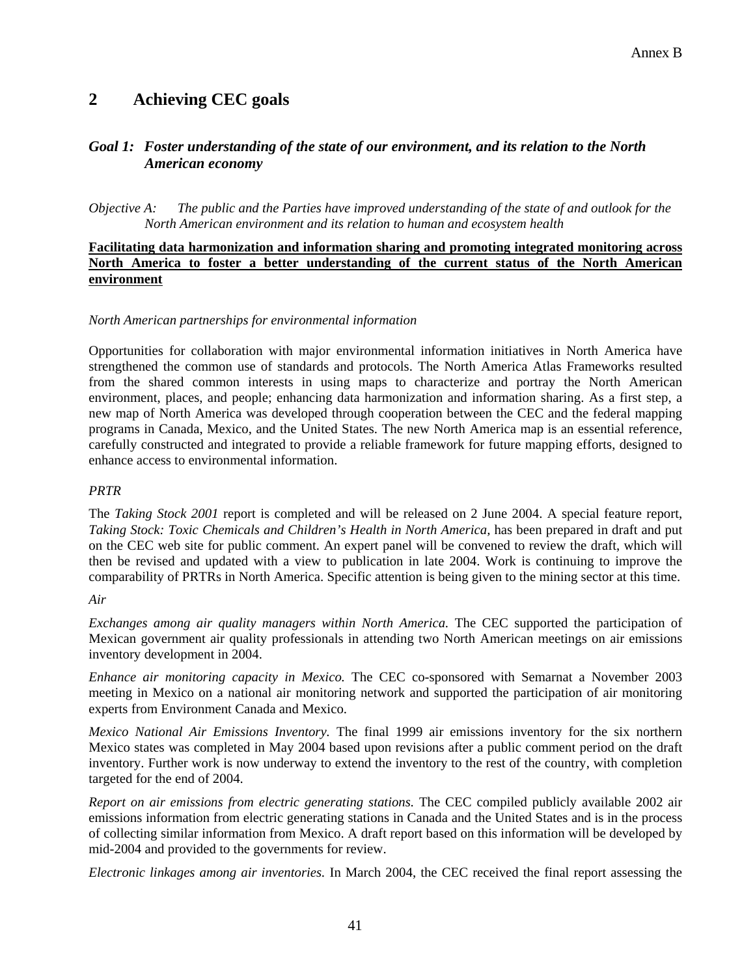# **2 Achieving CEC goals**

# *Goal 1: Foster understanding of the state of our environment, and its relation to the North American economy*

*Objective A: The public and the Parties have improved understanding of the state of and outlook for the North American environment and its relation to human and ecosystem health* 

#### **Facilitating data harmonization and information sharing and promoting integrated monitoring across North America to foster a better understanding of the current status of the North American environment**

#### *North American partnerships for environmental information*

Opportunities for collaboration with major environmental information initiatives in North America have strengthened the common use of standards and protocols. The North America Atlas Frameworks resulted from the shared common interests in using maps to characterize and portray the North American environment, places, and people; enhancing data harmonization and information sharing. As a first step, a new map of North America was developed through cooperation between the CEC and the federal mapping programs in Canada, Mexico, and the United States. The new North America map is an essential reference, carefully constructed and integrated to provide a reliable framework for future mapping efforts, designed to enhance access to environmental information.

#### *PRTR*

The *Taking Stock 2001* report is completed and will be released on 2 June 2004. A special feature report, *Taking Stock: Toxic Chemicals and Children's Health in North America,* has been prepared in draft and put on the CEC web site for public comment. An expert panel will be convened to review the draft, which will then be revised and updated with a view to publication in late 2004. Work is continuing to improve the comparability of PRTRs in North America. Specific attention is being given to the mining sector at this time.

#### *Air*

*Exchanges among air quality managers within North America.* The CEC supported the participation of Mexican government air quality professionals in attending two North American meetings on air emissions inventory development in 2004.

*Enhance air monitoring capacity in Mexico.* The CEC co-sponsored with Semarnat a November 2003 meeting in Mexico on a national air monitoring network and supported the participation of air monitoring experts from Environment Canada and Mexico.

*Mexico National Air Emissions Inventory.* The final 1999 air emissions inventory for the six northern Mexico states was completed in May 2004 based upon revisions after a public comment period on the draft inventory. Further work is now underway to extend the inventory to the rest of the country, with completion targeted for the end of 2004.

*Report on air emissions from electric generating stations.* The CEC compiled publicly available 2002 air emissions information from electric generating stations in Canada and the United States and is in the process of collecting similar information from Mexico. A draft report based on this information will be developed by mid-2004 and provided to the governments for review.

*Electronic linkages among air inventories.* In March 2004, the CEC received the final report assessing the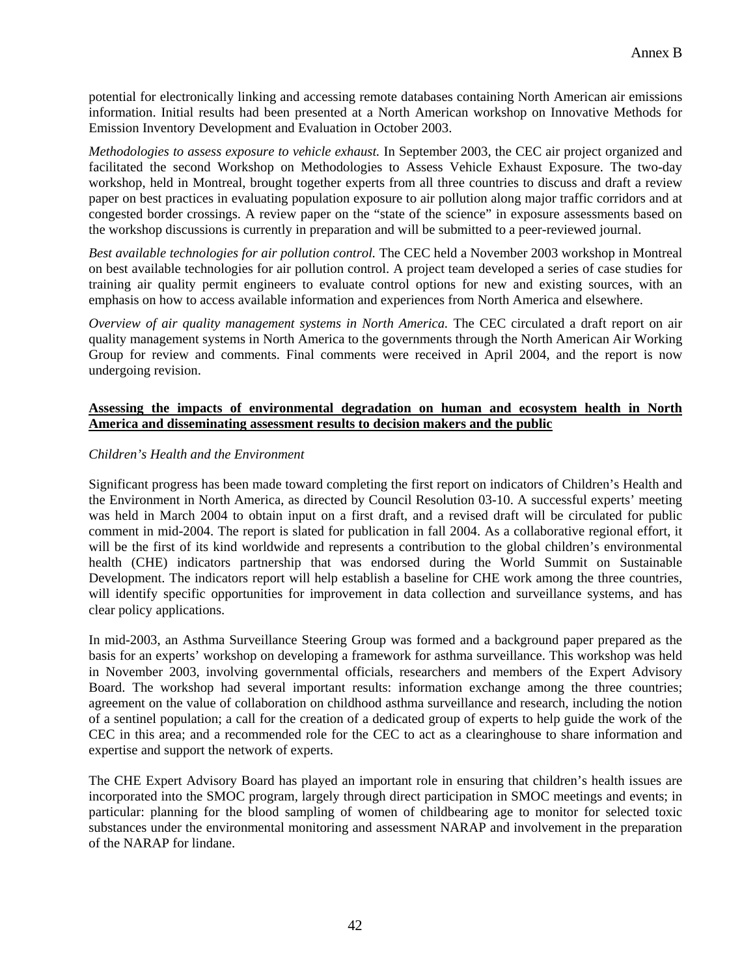potential for electronically linking and accessing remote databases containing North American air emissions information. Initial results had been presented at a North American workshop on Innovative Methods for Emission Inventory Development and Evaluation in October 2003.

*Methodologies to assess exposure to vehicle exhaust.* In September 2003, the CEC air project organized and facilitated the second Workshop on Methodologies to Assess Vehicle Exhaust Exposure. The two-day workshop, held in Montreal, brought together experts from all three countries to discuss and draft a review paper on best practices in evaluating population exposure to air pollution along major traffic corridors and at congested border crossings. A review paper on the "state of the science" in exposure assessments based on the workshop discussions is currently in preparation and will be submitted to a peer-reviewed journal.

*Best available technologies for air pollution control.* The CEC held a November 2003 workshop in Montreal on best available technologies for air pollution control. A project team developed a series of case studies for training air quality permit engineers to evaluate control options for new and existing sources, with an emphasis on how to access available information and experiences from North America and elsewhere.

*Overview of air quality management systems in North America.* The CEC circulated a draft report on air quality management systems in North America to the governments through the North American Air Working Group for review and comments. Final comments were received in April 2004, and the report is now undergoing revision.

### **Assessing the impacts of environmental degradation on human and ecosystem health in North America and disseminating assessment results to decision makers and the public**

#### *Children's Health and the Environment*

Significant progress has been made toward completing the first report on indicators of Children's Health and the Environment in North America, as directed by Council Resolution 03-10. A successful experts' meeting was held in March 2004 to obtain input on a first draft, and a revised draft will be circulated for public comment in mid-2004. The report is slated for publication in fall 2004. As a collaborative regional effort, it will be the first of its kind worldwide and represents a contribution to the global children's environmental health (CHE) indicators partnership that was endorsed during the World Summit on Sustainable Development. The indicators report will help establish a baseline for CHE work among the three countries, will identify specific opportunities for improvement in data collection and surveillance systems, and has clear policy applications.

In mid-2003, an Asthma Surveillance Steering Group was formed and a background paper prepared as the basis for an experts' workshop on developing a framework for asthma surveillance. This workshop was held in November 2003, involving governmental officials, researchers and members of the Expert Advisory Board. The workshop had several important results: information exchange among the three countries; agreement on the value of collaboration on childhood asthma surveillance and research, including the notion of a sentinel population; a call for the creation of a dedicated group of experts to help guide the work of the CEC in this area; and a recommended role for the CEC to act as a clearinghouse to share information and expertise and support the network of experts.

The CHE Expert Advisory Board has played an important role in ensuring that children's health issues are incorporated into the SMOC program, largely through direct participation in SMOC meetings and events; in particular: planning for the blood sampling of women of childbearing age to monitor for selected toxic substances under the environmental monitoring and assessment NARAP and involvement in the preparation of the NARAP for lindane.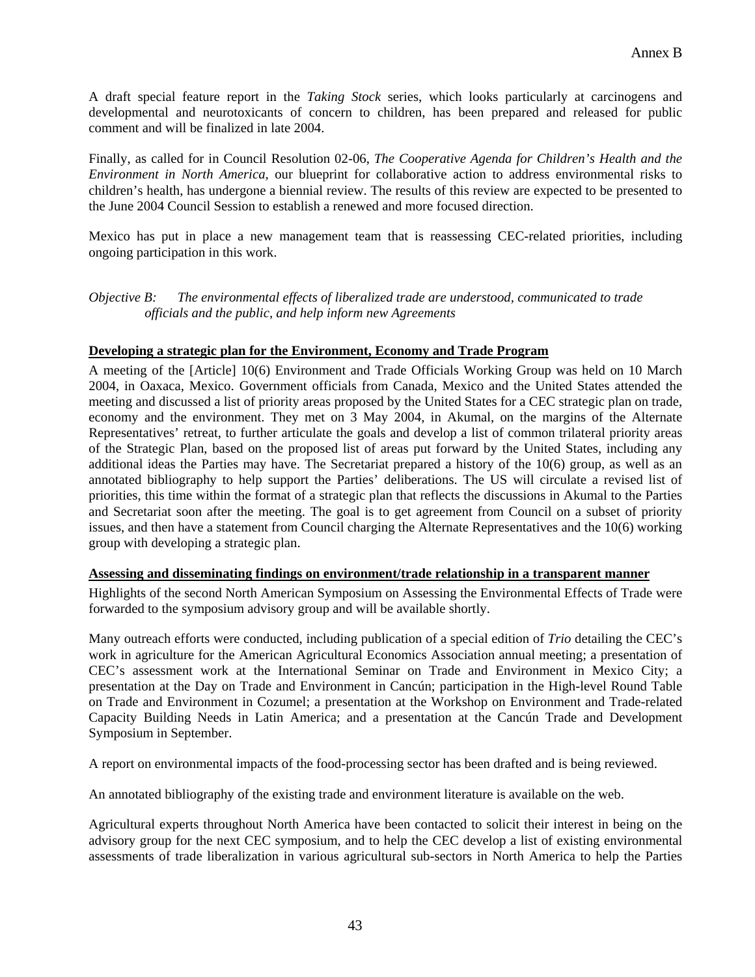A draft special feature report in the *Taking Stock* series, which looks particularly at carcinogens and developmental and neurotoxicants of concern to children, has been prepared and released for public comment and will be finalized in late 2004.

Finally, as called for in Council Resolution 02-06, *The Cooperative Agenda for Children's Health and the Environment in North America,* our blueprint for collaborative action to address environmental risks to children's health, has undergone a biennial review. The results of this review are expected to be presented to the June 2004 Council Session to establish a renewed and more focused direction.

Mexico has put in place a new management team that is reassessing CEC-related priorities, including ongoing participation in this work.

*Objective B: The environmental effects of liberalized trade are understood, communicated to trade officials and the public, and help inform new Agreements* 

#### **Developing a strategic plan for the Environment, Economy and Trade Program**

A meeting of the [Article] 10(6) Environment and Trade Officials Working Group was held on 10 March 2004, in Oaxaca, Mexico. Government officials from Canada, Mexico and the United States attended the meeting and discussed a list of priority areas proposed by the United States for a CEC strategic plan on trade, economy and the environment. They met on 3 May 2004, in Akumal, on the margins of the Alternate Representatives' retreat, to further articulate the goals and develop a list of common trilateral priority areas of the Strategic Plan, based on the proposed list of areas put forward by the United States, including any additional ideas the Parties may have. The Secretariat prepared a history of the 10(6) group, as well as an annotated bibliography to help support the Parties' deliberations. The US will circulate a revised list of priorities, this time within the format of a strategic plan that reflects the discussions in Akumal to the Parties and Secretariat soon after the meeting. The goal is to get agreement from Council on a subset of priority issues, and then have a statement from Council charging the Alternate Representatives and the 10(6) working group with developing a strategic plan.

#### **Assessing and disseminating findings on environment/trade relationship in a transparent manner**

Highlights of the second North American Symposium on Assessing the Environmental Effects of Trade were forwarded to the symposium advisory group and will be available shortly.

Many outreach efforts were conducted, including publication of a special edition of *Trio* detailing the CEC's work in agriculture for the American Agricultural Economics Association annual meeting; a presentation of CEC's assessment work at the International Seminar on Trade and Environment in Mexico City; a presentation at the Day on Trade and Environment in Cancún; participation in the High-level Round Table on Trade and Environment in Cozumel; a presentation at the Workshop on Environment and Trade-related Capacity Building Needs in Latin America; and a presentation at the Cancún Trade and Development Symposium in September.

A report on environmental impacts of the food-processing sector has been drafted and is being reviewed.

An annotated bibliography of the existing trade and environment literature is available on the web.

Agricultural experts throughout North America have been contacted to solicit their interest in being on the advisory group for the next CEC symposium, and to help the CEC develop a list of existing environmental assessments of trade liberalization in various agricultural sub-sectors in North America to help the Parties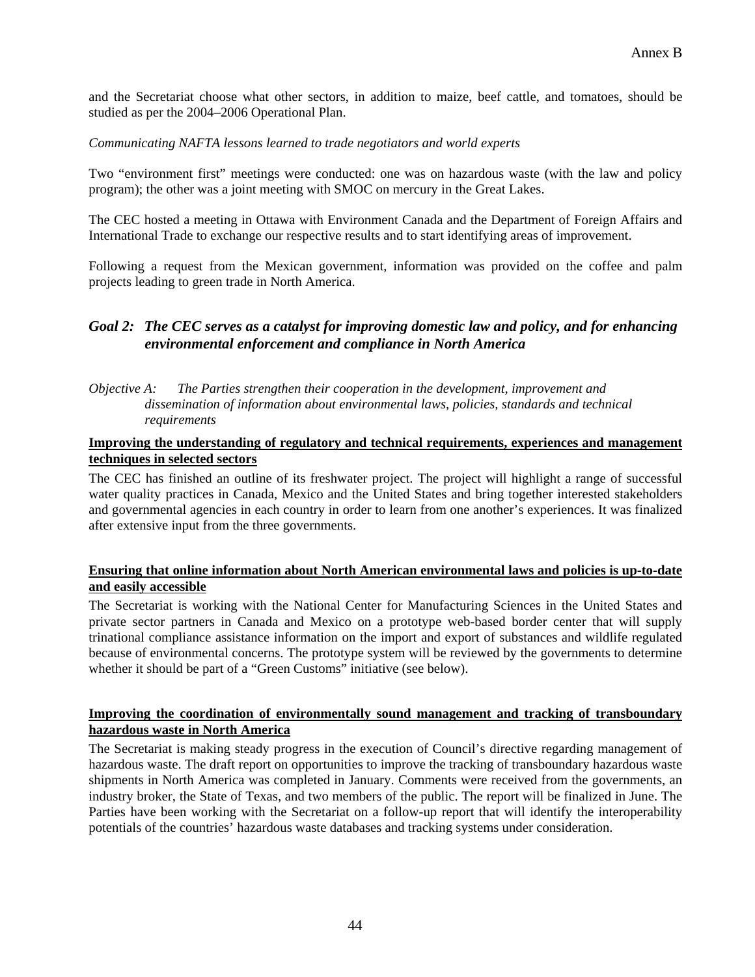and the Secretariat choose what other sectors, in addition to maize, beef cattle, and tomatoes, should be studied as per the 2004–2006 Operational Plan.

#### *Communicating NAFTA lessons learned to trade negotiators and world experts*

Two "environment first" meetings were conducted: one was on hazardous waste (with the law and policy program); the other was a joint meeting with SMOC on mercury in the Great Lakes.

The CEC hosted a meeting in Ottawa with Environment Canada and the Department of Foreign Affairs and International Trade to exchange our respective results and to start identifying areas of improvement.

Following a request from the Mexican government, information was provided on the coffee and palm projects leading to green trade in North America.

# *Goal 2: The CEC serves as a catalyst for improving domestic law and policy, and for enhancing environmental enforcement and compliance in North America*

#### *Objective A: The Parties strengthen their cooperation in the development, improvement and dissemination of information about environmental laws, policies, standards and technical requirements*

#### **Improving the understanding of regulatory and technical requirements, experiences and management techniques in selected sectors**

The CEC has finished an outline of its freshwater project. The project will highlight a range of successful water quality practices in Canada, Mexico and the United States and bring together interested stakeholders and governmental agencies in each country in order to learn from one another's experiences. It was finalized after extensive input from the three governments.

#### **Ensuring that online information about North American environmental laws and policies is up-to-date and easily accessible**

The Secretariat is working with the National Center for Manufacturing Sciences in the United States and private sector partners in Canada and Mexico on a prototype web-based border center that will supply trinational compliance assistance information on the import and export of substances and wildlife regulated because of environmental concerns. The prototype system will be reviewed by the governments to determine whether it should be part of a "Green Customs" initiative (see below).

#### **Improving the coordination of environmentally sound management and tracking of transboundary hazardous waste in North America**

The Secretariat is making steady progress in the execution of Council's directive regarding management of hazardous waste. The draft report on opportunities to improve the tracking of transboundary hazardous waste shipments in North America was completed in January. Comments were received from the governments, an industry broker, the State of Texas, and two members of the public. The report will be finalized in June. The Parties have been working with the Secretariat on a follow-up report that will identify the interoperability potentials of the countries' hazardous waste databases and tracking systems under consideration.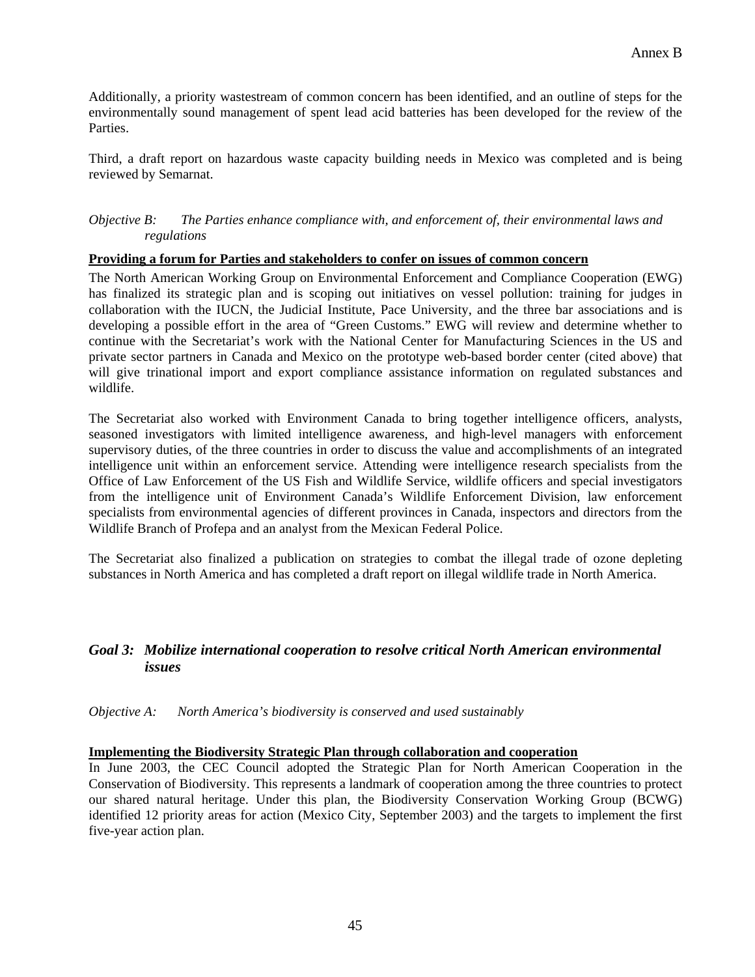Additionally, a priority wastestream of common concern has been identified, and an outline of steps for the environmentally sound management of spent lead acid batteries has been developed for the review of the Parties.

Third, a draft report on hazardous waste capacity building needs in Mexico was completed and is being reviewed by Semarnat.

#### *Objective B: The Parties enhance compliance with, and enforcement of, their environmental laws and regulations*

#### **Providing a forum for Parties and stakeholders to confer on issues of common concern**

The North American Working Group on Environmental Enforcement and Compliance Cooperation (EWG) has finalized its strategic plan and is scoping out initiatives on vessel pollution: training for judges in collaboration with the IUCN, the JudiciaI Institute, Pace University, and the three bar associations and is developing a possible effort in the area of "Green Customs." EWG will review and determine whether to continue with the Secretariat's work with the National Center for Manufacturing Sciences in the US and private sector partners in Canada and Mexico on the prototype web-based border center (cited above) that will give trinational import and export compliance assistance information on regulated substances and wildlife.

The Secretariat also worked with Environment Canada to bring together intelligence officers, analysts, seasoned investigators with limited intelligence awareness, and high-level managers with enforcement supervisory duties, of the three countries in order to discuss the value and accomplishments of an integrated intelligence unit within an enforcement service. Attending were intelligence research specialists from the Office of Law Enforcement of the US Fish and Wildlife Service, wildlife officers and special investigators from the intelligence unit of Environment Canada's Wildlife Enforcement Division, law enforcement specialists from environmental agencies of different provinces in Canada, inspectors and directors from the Wildlife Branch of Profepa and an analyst from the Mexican Federal Police.

The Secretariat also finalized a publication on strategies to combat the illegal trade of ozone depleting substances in North America and has completed a draft report on illegal wildlife trade in North America.

#### *Goal 3: Mobilize international cooperation to resolve critical North American environmental issues*

*Objective A: North America's biodiversity is conserved and used sustainably* 

#### **Implementing the Biodiversity Strategic Plan through collaboration and cooperation**

In June 2003, the CEC Council adopted the Strategic Plan for North American Cooperation in the Conservation of Biodiversity. This represents a landmark of cooperation among the three countries to protect our shared natural heritage. Under this plan, the Biodiversity Conservation Working Group (BCWG) identified 12 priority areas for action (Mexico City, September 2003) and the targets to implement the first five-year action plan.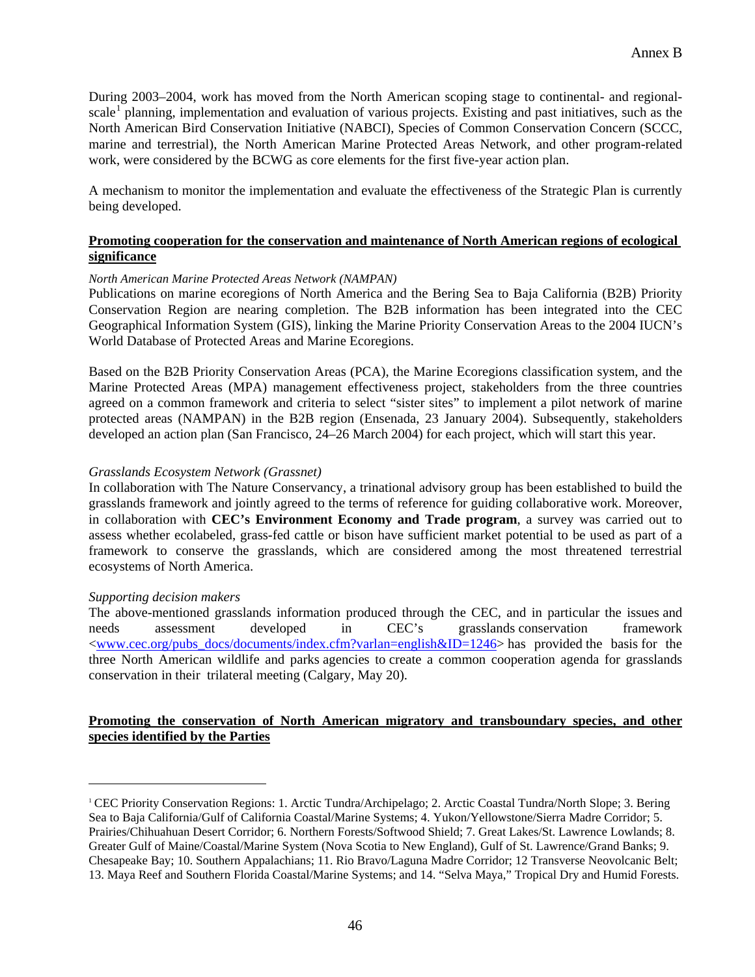During 2003–2004, work has moved from the North American scoping stage to continental- and regional-scale<sup>[1](#page-45-0)</sup> planning, implementation and evaluation of various projects. Existing and past initiatives, such as the North American Bird Conservation Initiative (NABCI), Species of Common Conservation Concern (SCCC, marine and terrestrial), the North American Marine Protected Areas Network, and other program-related work, were considered by the BCWG as core elements for the first five-year action plan.

A mechanism to monitor the implementation and evaluate the effectiveness of the Strategic Plan is currently being developed.

### **Promoting cooperation for the conservation and maintenance of North American regions of ecological significance**

#### *North American Marine Protected Areas Network (NAMPAN)*

Publications on marine ecoregions of North America and the Bering Sea to Baja California (B2B) Priority Conservation Region are nearing completion. The B2B information has been integrated into the CEC Geographical Information System (GIS), linking the Marine Priority Conservation Areas to the 2004 IUCN's World Database of Protected Areas and Marine Ecoregions.

Based on the B2B Priority Conservation Areas (PCA), the Marine Ecoregions classification system, and the Marine Protected Areas (MPA) management effectiveness project, stakeholders from the three countries agreed on a common framework and criteria to select "sister sites" to implement a pilot network of marine protected areas (NAMPAN) in the B2B region (Ensenada, 23 January 2004). Subsequently, stakeholders developed an action plan (San Francisco, 24–26 March 2004) for each project, which will start this year.

#### *Grasslands Ecosystem Network (Grassnet)*

In collaboration with The Nature Conservancy, a trinational advisory group has been established to build the grasslands framework and jointly agreed to the terms of reference for guiding collaborative work. Moreover, in collaboration with **CEC's Environment Economy and Trade program**, a survey was carried out to assess whether ecolabeled, grass-fed cattle or bison have sufficient market potential to be used as part of a framework to conserve the grasslands, which are considered among the most threatened terrestrial ecosystems of North America.

#### *Supporting decision makers*

 $\overline{a}$ 

The above-mentioned grasslands information produced through the CEC, and in particular the issues and needs assessment developed in CEC's grasslands conservation framework  $\langle$ www.cec.org/pubs\_docs/documents/index.cfm?varlan=english&ID=1246> has provided the basis for the three North American wildlife and parks agencies to create a common cooperation agenda for grasslands conservation in their trilateral meeting (Calgary, May 20).

#### **Promoting the conservation of North American migratory and transboundary species, and other species identified by the Parties**

<span id="page-45-0"></span><sup>1</sup> CEC Priority Conservation Regions: 1. Arctic Tundra/Archipelago; 2. Arctic Coastal Tundra/North Slope; 3. Bering Sea to Baja California/Gulf of California Coastal/Marine Systems; 4. Yukon/Yellowstone/Sierra Madre Corridor; 5. Prairies/Chihuahuan Desert Corridor; 6. Northern Forests/Softwood Shield; 7. Great Lakes/St. Lawrence Lowlands; 8. Greater Gulf of Maine/Coastal/Marine System (Nova Scotia to New England), Gulf of St. Lawrence/Grand Banks; 9. Chesapeake Bay; 10. Southern Appalachians; 11. Rio Bravo/Laguna Madre Corridor; 12 Transverse Neovolcanic Belt; 13. Maya Reef and Southern Florida Coastal/Marine Systems; and 14. "Selva Maya," Tropical Dry and Humid Forests.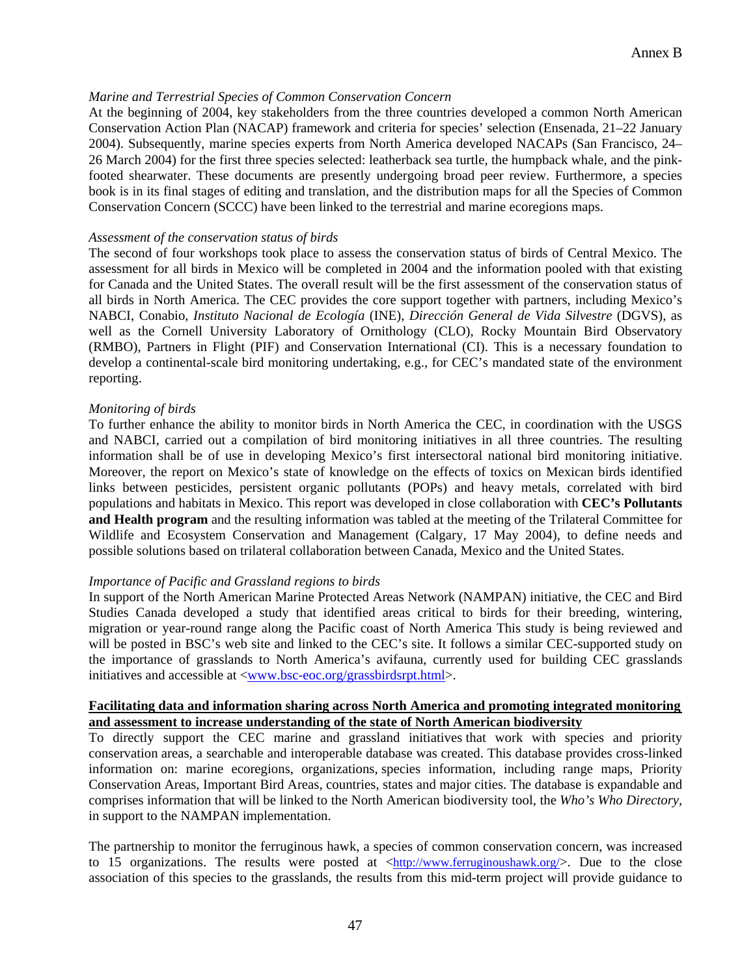#### *Marine and Terrestrial Species of Common Conservation Concern*

At the beginning of 2004, key stakeholders from the three countries developed a common North American Conservation Action Plan (NACAP) framework and criteria for species' selection (Ensenada, 21–22 January 2004). Subsequently, marine species experts from North America developed NACAPs (San Francisco, 24– 26 March 2004) for the first three species selected: leatherback sea turtle, the humpback whale, and the pinkfooted shearwater. These documents are presently undergoing broad peer review. Furthermore, a species book is in its final stages of editing and translation, and the distribution maps for all the Species of Common Conservation Concern (SCCC) have been linked to the terrestrial and marine ecoregions maps.

#### *Assessment of the conservation status of birds*

The second of four workshops took place to assess the conservation status of birds of Central Mexico. The assessment for all birds in Mexico will be completed in 2004 and the information pooled with that existing for Canada and the United States. The overall result will be the first assessment of the conservation status of all birds in North America. The CEC provides the core support together with partners, including Mexico's NABCI, Conabio, *Instituto Nacional de Ecología* (INE), *Dirección General de Vida Silvestre* (DGVS), as well as the Cornell University Laboratory of Ornithology (CLO), Rocky Mountain Bird Observatory (RMBO), Partners in Flight (PIF) and Conservation International (CI). This is a necessary foundation to develop a continental-scale bird monitoring undertaking, e.g., for CEC's mandated state of the environment reporting.

#### *Monitoring of birds*

To further enhance the ability to monitor birds in North America the CEC, in coordination with the USGS and NABCI, carried out a compilation of bird monitoring initiatives in all three countries. The resulting information shall be of use in developing Mexico's first intersectoral national bird monitoring initiative. Moreover, the report on Mexico's state of knowledge on the effects of toxics on Mexican birds identified links between pesticides, persistent organic pollutants (POPs) and heavy metals, correlated with bird populations and habitats in Mexico. This report was developed in close collaboration with **CEC's Pollutants and Health program** and the resulting information was tabled at the meeting of the Trilateral Committee for Wildlife and Ecosystem Conservation and Management (Calgary, 17 May 2004), to define needs and possible solutions based on trilateral collaboration between Canada, Mexico and the United States.

#### *Importance of Pacific and Grassland regions to birds*

In support of the North American Marine Protected Areas Network (NAMPAN) initiative, the CEC and Bird Studies Canada developed a study that identified areas critical to birds for their breeding, wintering, migration or year-round range along the Pacific coast of North America This study is being reviewed and will be posted in BSC's web site and linked to the CEC's site. It follows a similar CEC-supported study on the importance of grasslands to North America's avifauna, currently used for building CEC grasslands initiatives and accessible at <[www.bsc-eoc.org/grassbirdsrpt.html](http://www.bsc-eoc.org/grassbirdsrpt.html)>.

#### **Facilitating data and information sharing across North America and promoting integrated monitoring and assessment to increase understanding of the state of North American biodiversity**

To directly support the CEC marine and grassland initiatives that work with species and priority conservation areas, a searchable and interoperable database was created. This database provides cross-linked information on: marine ecoregions, organizations, species information, including range maps, Priority Conservation Areas, Important Bird Areas, countries, states and major cities. The database is expandable and comprises information that will be linked to the North American biodiversity tool, the *Who's Who Directory,* in support to the NAMPAN implementation.

The partnership to monitor the ferruginous hawk, a species of common conservation concern, was increased to 15 organizations. The results were posted at [<http://www.ferruginoushawk.org/](http://www.ferruginoushawk.org/)>. Due to the close association of this species to the grasslands, the results from this mid-term project will provide guidance to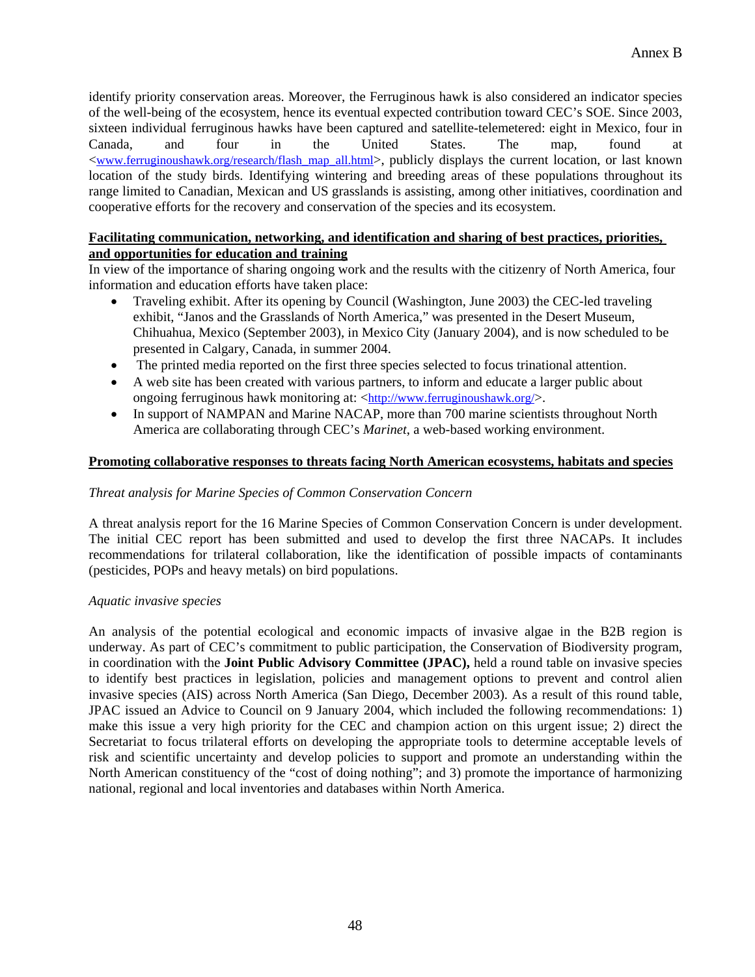identify priority conservation areas. Moreover, the Ferruginous hawk is also considered an indicator species of the well-being of the ecosystem, hence its eventual expected contribution toward CEC's SOE. Since 2003, sixteen individual ferruginous hawks have been captured and satellite-telemetered: eight in Mexico, four in Canada, and four in the United States. The map, found at [<www.ferruginoushawk.org/research/flash\\_map\\_all.html](http://www.ferruginoushawk.org/research/flash_map_all.html)>, publicly displays the current location, or last known location of the study birds. Identifying wintering and breeding areas of these populations throughout its range limited to Canadian, Mexican and US grasslands is assisting, among other initiatives, coordination and cooperative efforts for the recovery and conservation of the species and its ecosystem.

#### **Facilitating communication, networking, and identification and sharing of best practices, priorities, and opportunities for education and training**

In view of the importance of sharing ongoing work and the results with the citizenry of North America, four information and education efforts have taken place:

- Traveling exhibit. After its opening by Council (Washington, June 2003) the CEC-led traveling exhibit, "Janos and the Grasslands of North America," was presented in the Desert Museum, Chihuahua, Mexico (September 2003), in Mexico City (January 2004), and is now scheduled to be presented in Calgary, Canada, in summer 2004.
- The printed media reported on the first three species selected to focus trinational attention.
- A web site has been created with various partners, to inform and educate a larger public about ongoing ferruginous hawk monitoring at: <[http://www.ferruginoushawk.org/>](http://www.ferruginoushawk.org/).
- In support of NAMPAN and Marine NACAP, more than 700 marine scientists throughout North America are collaborating through CEC's *Marinet*, a web-based working environment.

#### **Promoting collaborative responses to threats facing North American ecosystems, habitats and species**

#### *Threat analysis for Marine Species of Common Conservation Concern*

A threat analysis report for the 16 Marine Species of Common Conservation Concern is under development. The initial CEC report has been submitted and used to develop the first three NACAPs. It includes recommendations for trilateral collaboration, like the identification of possible impacts of contaminants (pesticides, POPs and heavy metals) on bird populations.

#### *Aquatic invasive species*

An analysis of the potential ecological and economic impacts of invasive algae in the B2B region is underway. As part of CEC's commitment to public participation, the Conservation of Biodiversity program, in coordination with the **Joint Public Advisory Committee (JPAC),** held a round table on invasive species to identify best practices in legislation, policies and management options to prevent and control alien invasive species (AIS) across North America (San Diego, December 2003). As a result of this round table, JPAC issued an Advice to Council on 9 January 2004, which included the following recommendations: 1) make this issue a very high priority for the CEC and champion action on this urgent issue; 2) direct the Secretariat to focus trilateral efforts on developing the appropriate tools to determine acceptable levels of risk and scientific uncertainty and develop policies to support and promote an understanding within the North American constituency of the "cost of doing nothing"; and 3) promote the importance of harmonizing national, regional and local inventories and databases within North America.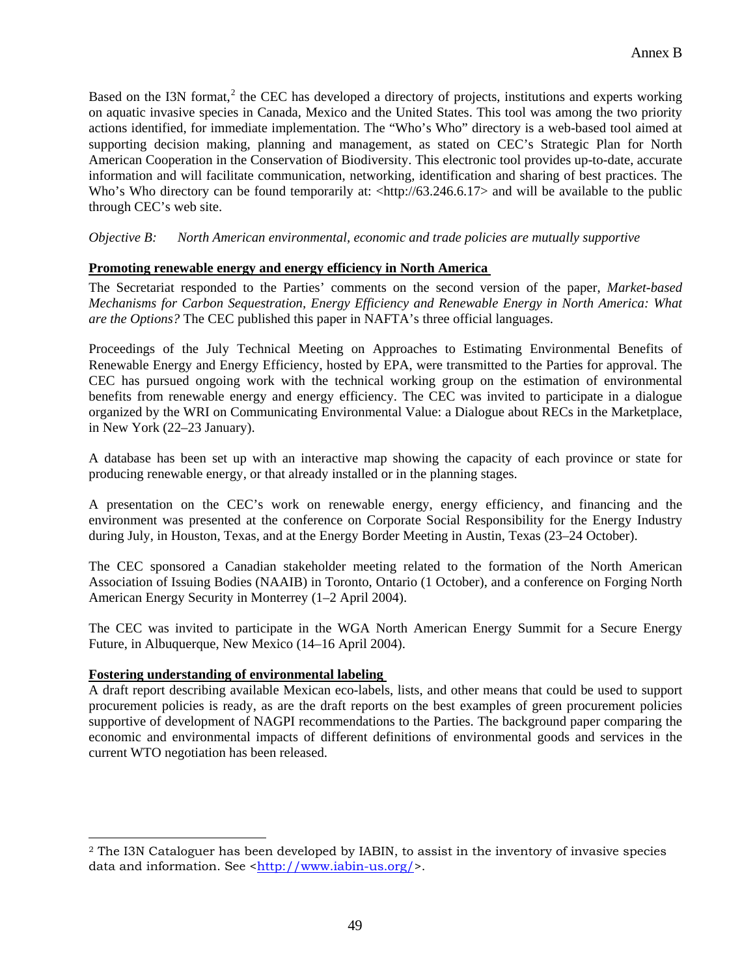Based on the I3N format,<sup>[2](#page-48-0)</sup> the CEC has developed a directory of projects, institutions and experts working on aquatic invasive species in Canada, Mexico and the United States. This tool was among the two priority actions identified, for immediate implementation. The "Who's Who" directory is a web-based tool aimed at supporting decision making, planning and management, as stated on CEC's Strategic Plan for North American Cooperation in the Conservation of Biodiversity. This electronic tool provides up-to-date, accurate information and will facilitate communication, networking, identification and sharing of best practices. The Who's Who directory can be found temporarily at:  $\langle \frac{h(t)}{63.246.6.17} \rangle$  and will be available to the public through CEC's web site.

*Objective B: North American environmental, economic and trade policies are mutually supportive* 

# **Promoting renewable energy and energy efficiency in North America**

The Secretariat responded to the Parties' comments on the second version of the paper, *Market-based Mechanisms for Carbon Sequestration, Energy Efficiency and Renewable Energy in North America: What are the Options?* The CEC published this paper in NAFTA's three official languages.

Proceedings of the July Technical Meeting on Approaches to Estimating Environmental Benefits of Renewable Energy and Energy Efficiency, hosted by EPA, were transmitted to the Parties for approval. The CEC has pursued ongoing work with the technical working group on the estimation of environmental benefits from renewable energy and energy efficiency. The CEC was invited to participate in a dialogue organized by the WRI on Communicating Environmental Value: a Dialogue about RECs in the Marketplace, in New York (22–23 January).

A database has been set up with an interactive map showing the capacity of each province or state for producing renewable energy, or that already installed or in the planning stages.

A presentation on the CEC's work on renewable energy, energy efficiency, and financing and the environment was presented at the conference on Corporate Social Responsibility for the Energy Industry during July, in Houston, Texas, and at the Energy Border Meeting in Austin, Texas (23–24 October).

The CEC sponsored a Canadian stakeholder meeting related to the formation of the North American Association of Issuing Bodies (NAAIB) in Toronto, Ontario (1 October), and a conference on Forging North American Energy Security in Monterrey (1–2 April 2004).

The CEC was invited to participate in the WGA North American Energy Summit for a Secure Energy Future, in Albuquerque, New Mexico (14–16 April 2004).

# **Fostering understanding of environmental labeling**

 $\overline{a}$ 

A draft report describing available Mexican eco-labels, lists, and other means that could be used to support procurement policies is ready, as are the draft reports on the best examples of green procurement policies supportive of development of NAGPI recommendations to the Parties. The background paper comparing the economic and environmental impacts of different definitions of environmental goods and services in the current WTO negotiation has been released.

<span id="page-48-0"></span><sup>2</sup> The I3N Cataloguer has been developed by IABIN, to assist in the inventory of invasive species data and information. See <http://www.iabin-us.org/>.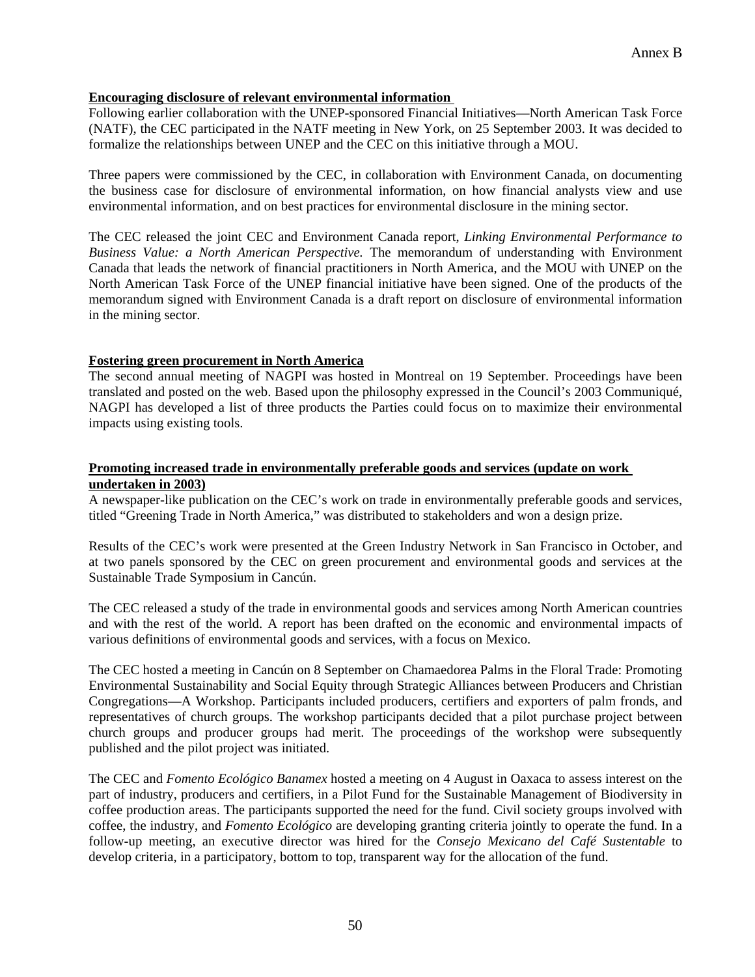#### **Encouraging disclosure of relevant environmental information**

Following earlier collaboration with the UNEP-sponsored Financial Initiatives—North American Task Force (NATF), the CEC participated in the NATF meeting in New York, on 25 September 2003. It was decided to formalize the relationships between UNEP and the CEC on this initiative through a MOU.

Three papers were commissioned by the CEC, in collaboration with Environment Canada, on documenting the business case for disclosure of environmental information, on how financial analysts view and use environmental information, and on best practices for environmental disclosure in the mining sector.

The CEC released the joint CEC and Environment Canada report, *Linking Environmental Performance to Business Value: a North American Perspective.* The memorandum of understanding with Environment Canada that leads the network of financial practitioners in North America, and the MOU with UNEP on the North American Task Force of the UNEP financial initiative have been signed. One of the products of the memorandum signed with Environment Canada is a draft report on disclosure of environmental information in the mining sector.

#### **Fostering green procurement in North America**

The second annual meeting of NAGPI was hosted in Montreal on 19 September. Proceedings have been translated and posted on the web. Based upon the philosophy expressed in the Council's 2003 Communiqué, NAGPI has developed a list of three products the Parties could focus on to maximize their environmental impacts using existing tools.

# **Promoting increased trade in environmentally preferable goods and services (update on work undertaken in 2003)**

A newspaper-like publication on the CEC's work on trade in environmentally preferable goods and services, titled "Greening Trade in North America," was distributed to stakeholders and won a design prize.

Results of the CEC's work were presented at the Green Industry Network in San Francisco in October, and at two panels sponsored by the CEC on green procurement and environmental goods and services at the Sustainable Trade Symposium in Cancún.

The CEC released a study of the trade in environmental goods and services among North American countries and with the rest of the world. A report has been drafted on the economic and environmental impacts of various definitions of environmental goods and services, with a focus on Mexico.

The CEC hosted a meeting in Cancún on 8 September on Chamaedorea Palms in the Floral Trade: Promoting Environmental Sustainability and Social Equity through Strategic Alliances between Producers and Christian Congregations—A Workshop. Participants included producers, certifiers and exporters of palm fronds, and representatives of church groups. The workshop participants decided that a pilot purchase project between church groups and producer groups had merit. The proceedings of the workshop were subsequently published and the pilot project was initiated.

The CEC and *Fomento Ecológico Banamex* hosted a meeting on 4 August in Oaxaca to assess interest on the part of industry, producers and certifiers, in a Pilot Fund for the Sustainable Management of Biodiversity in coffee production areas. The participants supported the need for the fund. Civil society groups involved with coffee, the industry, and *Fomento Ecológico* are developing granting criteria jointly to operate the fund. In a follow-up meeting, an executive director was hired for the *Consejo Mexicano del Café Sustentable* to develop criteria, in a participatory, bottom to top, transparent way for the allocation of the fund.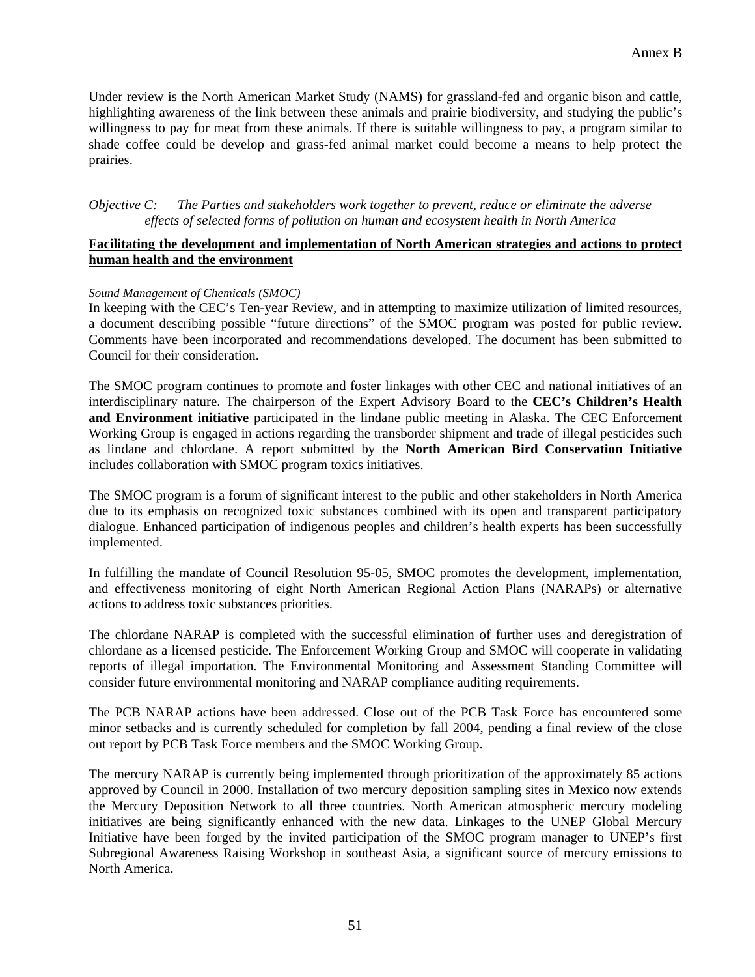Under review is the North American Market Study (NAMS) for grassland-fed and organic bison and cattle, highlighting awareness of the link between these animals and prairie biodiversity, and studying the public's willingness to pay for meat from these animals. If there is suitable willingness to pay, a program similar to shade coffee could be develop and grass-fed animal market could become a means to help protect the prairies.

*Objective C: The Parties and stakeholders work together to prevent, reduce or eliminate the adverse effects of selected forms of pollution on human and ecosystem health in North America* 

#### **Facilitating the development and implementation of North American strategies and actions to protect human health and the environment**

#### *Sound Management of Chemicals (SMOC)*

In keeping with the CEC's Ten-year Review, and in attempting to maximize utilization of limited resources, a document describing possible "future directions" of the SMOC program was posted for public review. Comments have been incorporated and recommendations developed. The document has been submitted to Council for their consideration.

The SMOC program continues to promote and foster linkages with other CEC and national initiatives of an interdisciplinary nature. The chairperson of the Expert Advisory Board to the **CEC's Children's Health and Environment initiative** participated in the lindane public meeting in Alaska. The CEC Enforcement Working Group is engaged in actions regarding the transborder shipment and trade of illegal pesticides such as lindane and chlordane. A report submitted by the **North American Bird Conservation Initiative** includes collaboration with SMOC program toxics initiatives.

The SMOC program is a forum of significant interest to the public and other stakeholders in North America due to its emphasis on recognized toxic substances combined with its open and transparent participatory dialogue. Enhanced participation of indigenous peoples and children's health experts has been successfully implemented.

In fulfilling the mandate of Council Resolution 95-05, SMOC promotes the development, implementation, and effectiveness monitoring of eight North American Regional Action Plans (NARAPs) or alternative actions to address toxic substances priorities.

The chlordane NARAP is completed with the successful elimination of further uses and deregistration of chlordane as a licensed pesticide. The Enforcement Working Group and SMOC will cooperate in validating reports of illegal importation. The Environmental Monitoring and Assessment Standing Committee will consider future environmental monitoring and NARAP compliance auditing requirements.

The PCB NARAP actions have been addressed. Close out of the PCB Task Force has encountered some minor setbacks and is currently scheduled for completion by fall 2004, pending a final review of the close out report by PCB Task Force members and the SMOC Working Group.

The mercury NARAP is currently being implemented through prioritization of the approximately 85 actions approved by Council in 2000. Installation of two mercury deposition sampling sites in Mexico now extends the Mercury Deposition Network to all three countries. North American atmospheric mercury modeling initiatives are being significantly enhanced with the new data. Linkages to the UNEP Global Mercury Initiative have been forged by the invited participation of the SMOC program manager to UNEP's first Subregional Awareness Raising Workshop in southeast Asia, a significant source of mercury emissions to North America.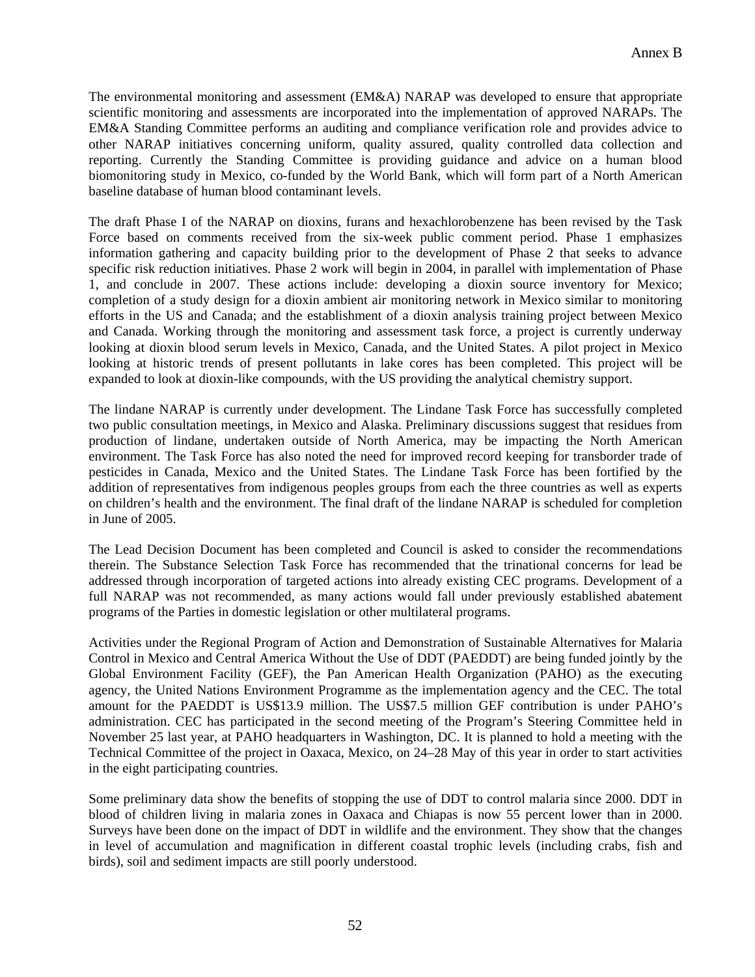The environmental monitoring and assessment (EM&A) NARAP was developed to ensure that appropriate scientific monitoring and assessments are incorporated into the implementation of approved NARAPs. The EM&A Standing Committee performs an auditing and compliance verification role and provides advice to other NARAP initiatives concerning uniform, quality assured, quality controlled data collection and reporting. Currently the Standing Committee is providing guidance and advice on a human blood biomonitoring study in Mexico, co-funded by the World Bank, which will form part of a North American baseline database of human blood contaminant levels.

The draft Phase I of the NARAP on dioxins, furans and hexachlorobenzene has been revised by the Task Force based on comments received from the six-week public comment period. Phase 1 emphasizes information gathering and capacity building prior to the development of Phase 2 that seeks to advance specific risk reduction initiatives. Phase 2 work will begin in 2004, in parallel with implementation of Phase 1, and conclude in 2007. These actions include: developing a dioxin source inventory for Mexico; completion of a study design for a dioxin ambient air monitoring network in Mexico similar to monitoring efforts in the US and Canada; and the establishment of a dioxin analysis training project between Mexico and Canada. Working through the monitoring and assessment task force, a project is currently underway looking at dioxin blood serum levels in Mexico, Canada, and the United States. A pilot project in Mexico looking at historic trends of present pollutants in lake cores has been completed. This project will be expanded to look at dioxin-like compounds, with the US providing the analytical chemistry support.

The lindane NARAP is currently under development. The Lindane Task Force has successfully completed two public consultation meetings, in Mexico and Alaska. Preliminary discussions suggest that residues from production of lindane, undertaken outside of North America, may be impacting the North American environment. The Task Force has also noted the need for improved record keeping for transborder trade of pesticides in Canada, Mexico and the United States. The Lindane Task Force has been fortified by the addition of representatives from indigenous peoples groups from each the three countries as well as experts on children's health and the environment. The final draft of the lindane NARAP is scheduled for completion in June of 2005.

The Lead Decision Document has been completed and Council is asked to consider the recommendations therein. The Substance Selection Task Force has recommended that the trinational concerns for lead be addressed through incorporation of targeted actions into already existing CEC programs. Development of a full NARAP was not recommended, as many actions would fall under previously established abatement programs of the Parties in domestic legislation or other multilateral programs.

Activities under the Regional Program of Action and Demonstration of Sustainable Alternatives for Malaria Control in Mexico and Central America Without the Use of DDT (PAEDDT) are being funded jointly by the Global Environment Facility (GEF), the Pan American Health Organization (PAHO) as the executing agency, the United Nations Environment Programme as the implementation agency and the CEC. The total amount for the PAEDDT is US\$13.9 million. The US\$7.5 million GEF contribution is under PAHO's administration. CEC has participated in the second meeting of the Program's Steering Committee held in November 25 last year, at PAHO headquarters in Washington, DC. It is planned to hold a meeting with the Technical Committee of the project in Oaxaca, Mexico, on 24–28 May of this year in order to start activities in the eight participating countries.

Some preliminary data show the benefits of stopping the use of DDT to control malaria since 2000. DDT in blood of children living in malaria zones in Oaxaca and Chiapas is now 55 percent lower than in 2000. Surveys have been done on the impact of DDT in wildlife and the environment. They show that the changes in level of accumulation and magnification in different coastal trophic levels (including crabs, fish and birds), soil and sediment impacts are still poorly understood.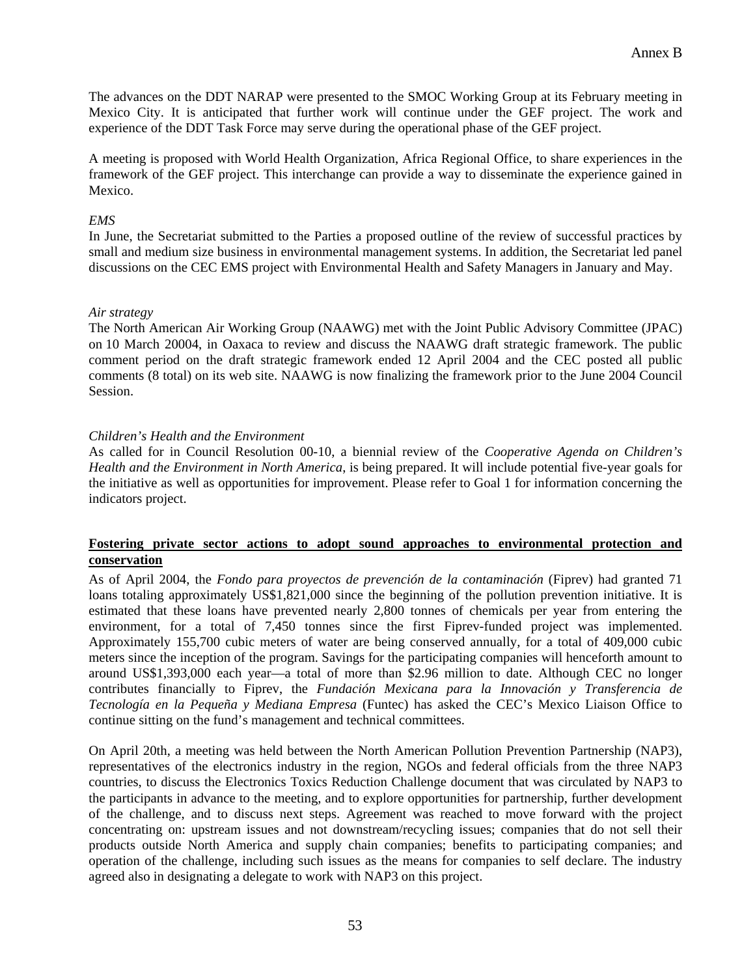The advances on the DDT NARAP were presented to the SMOC Working Group at its February meeting in Mexico City. It is anticipated that further work will continue under the GEF project. The work and experience of the DDT Task Force may serve during the operational phase of the GEF project.

A meeting is proposed with World Health Organization, Africa Regional Office, to share experiences in the framework of the GEF project. This interchange can provide a way to disseminate the experience gained in Mexico.

#### *EMS*

In June, the Secretariat submitted to the Parties a proposed outline of the review of successful practices by small and medium size business in environmental management systems. In addition, the Secretariat led panel discussions on the CEC EMS project with Environmental Health and Safety Managers in January and May.

#### *Air strategy*

The North American Air Working Group (NAAWG) met with the Joint Public Advisory Committee (JPAC) on 10 March 20004, in Oaxaca to review and discuss the NAAWG draft strategic framework. The public comment period on the draft strategic framework ended 12 April 2004 and the CEC posted all public comments (8 total) on its web site. NAAWG is now finalizing the framework prior to the June 2004 Council Session.

#### *Children's Health and the Environment*

As called for in Council Resolution 00-10, a biennial review of the *Cooperative Agenda on Children's Health and the Environment in North America*, is being prepared. It will include potential five-year goals for the initiative as well as opportunities for improvement. Please refer to Goal 1 for information concerning the indicators project.

#### **Fostering private sector actions to adopt sound approaches to environmental protection and conservation**

As of April 2004, the *Fondo para proyectos de prevención de la contaminación* (Fiprev) had granted 71 loans totaling approximately US\$1,821,000 since the beginning of the pollution prevention initiative. It is estimated that these loans have prevented nearly 2,800 tonnes of chemicals per year from entering the environment, for a total of 7,450 tonnes since the first Fiprev-funded project was implemented. Approximately 155,700 cubic meters of water are being conserved annually, for a total of 409,000 cubic meters since the inception of the program. Savings for the participating companies will henceforth amount to around US\$1,393,000 each year—a total of more than \$2.96 million to date. Although CEC no longer contributes financially to Fiprev, the *Fundación Mexicana para la Innovación y Transferencia de Tecnología en la Pequeña y Mediana Empresa* (Funtec) has asked the CEC's Mexico Liaison Office to continue sitting on the fund's management and technical committees.

On April 20th, a meeting was held between the North American Pollution Prevention Partnership (NAP3), representatives of the electronics industry in the region, NGOs and federal officials from the three NAP3 countries, to discuss the Electronics Toxics Reduction Challenge document that was circulated by NAP3 to the participants in advance to the meeting, and to explore opportunities for partnership, further development of the challenge, and to discuss next steps. Agreement was reached to move forward with the project concentrating on: upstream issues and not downstream/recycling issues; companies that do not sell their products outside North America and supply chain companies; benefits to participating companies; and operation of the challenge, including such issues as the means for companies to self declare. The industry agreed also in designating a delegate to work with NAP3 on this project.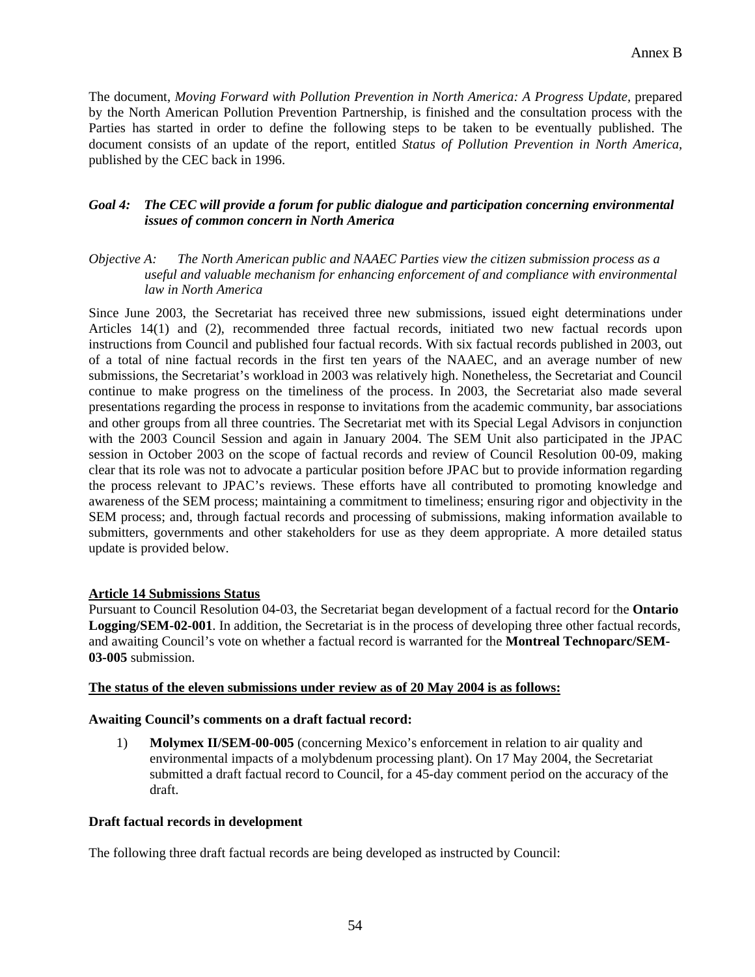The document, *Moving Forward with Pollution Prevention in North America: A Progress Update,* prepared by the North American Pollution Prevention Partnership, is finished and the consultation process with the Parties has started in order to define the following steps to be taken to be eventually published. The document consists of an update of the report, entitled *Status of Pollution Prevention in North America,* published by the CEC back in 1996.

#### *Goal 4: The CEC will provide a forum for public dialogue and participation concerning environmental issues of common concern in North America*

#### *Objective A: The North American public and NAAEC Parties view the citizen submission process as a useful and valuable mechanism for enhancing enforcement of and compliance with environmental law in North America*

Since June 2003, the Secretariat has received three new submissions, issued eight determinations under Articles 14(1) and (2), recommended three factual records, initiated two new factual records upon instructions from Council and published four factual records. With six factual records published in 2003, out of a total of nine factual records in the first ten years of the NAAEC, and an average number of new submissions, the Secretariat's workload in 2003 was relatively high. Nonetheless, the Secretariat and Council continue to make progress on the timeliness of the process. In 2003, the Secretariat also made several presentations regarding the process in response to invitations from the academic community, bar associations and other groups from all three countries. The Secretariat met with its Special Legal Advisors in conjunction with the 2003 Council Session and again in January 2004. The SEM Unit also participated in the JPAC session in October 2003 on the scope of factual records and review of Council Resolution 00-09, making clear that its role was not to advocate a particular position before JPAC but to provide information regarding the process relevant to JPAC's reviews. These efforts have all contributed to promoting knowledge and awareness of the SEM process; maintaining a commitment to timeliness; ensuring rigor and objectivity in the SEM process; and, through factual records and processing of submissions, making information available to submitters, governments and other stakeholders for use as they deem appropriate. A more detailed status update is provided below.

#### **Article 14 Submissions Status**

Pursuant to Council Resolution 04-03, the Secretariat began development of a factual record for the **Ontario Logging/SEM-02-001**. In addition, the Secretariat is in the process of developing three other factual records, and awaiting Council's vote on whether a factual record is warranted for the **Montreal Technoparc/SEM-03-005** submission.

#### **The status of the eleven submissions under review as of 20 May 2004 is as follows:**

#### **Awaiting Council's comments on a draft factual record:**

1) **Molymex II/SEM-00-005** (concerning Mexico's enforcement in relation to air quality and environmental impacts of a molybdenum processing plant). On 17 May 2004, the Secretariat submitted a draft factual record to Council, for a 45-day comment period on the accuracy of the draft.

#### **Draft factual records in development**

The following three draft factual records are being developed as instructed by Council: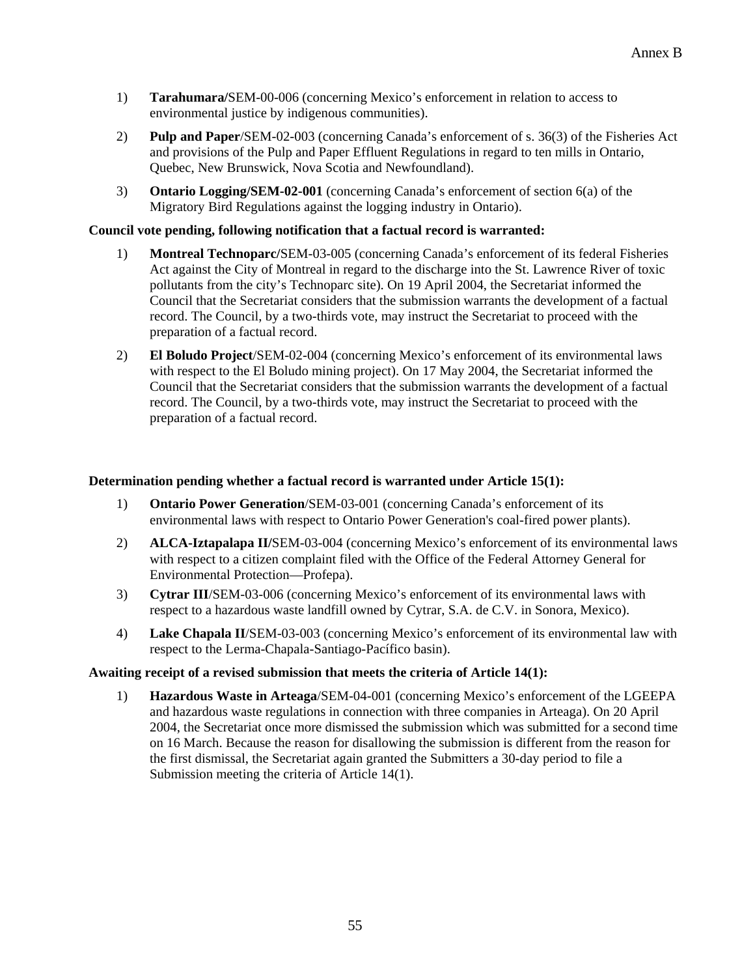- 1) **Tarahumara/**SEM-00-006 (concerning Mexico's enforcement in relation to access to environmental justice by indigenous communities).
- 2) **Pulp and Paper**/SEM-02-003 (concerning Canada's enforcement of s. 36(3) of the Fisheries Act and provisions of the Pulp and Paper Effluent Regulations in regard to ten mills in Ontario, Quebec, New Brunswick, Nova Scotia and Newfoundland).
- 3) **Ontario Logging/SEM-02-001** (concerning Canada's enforcement of section 6(a) of the Migratory Bird Regulations against the logging industry in Ontario).

# **Council vote pending, following notification that a factual record is warranted:**

- 1) **Montreal Technoparc/**SEM-03-005 (concerning Canada's enforcement of its federal Fisheries Act against the City of Montreal in regard to the discharge into the St. Lawrence River of toxic pollutants from the city's Technoparc site). On 19 April 2004, the Secretariat informed the Council that the Secretariat considers that the submission warrants the development of a factual record. The Council, by a two-thirds vote, may instruct the Secretariat to proceed with the preparation of a factual record.
- 2) **El Boludo Project**/SEM-02-004 (concerning Mexico's enforcement of its environmental laws with respect to the El Boludo mining project). On 17 May 2004, the Secretariat informed the Council that the Secretariat considers that the submission warrants the development of a factual record. The Council, by a two-thirds vote, may instruct the Secretariat to proceed with the preparation of a factual record.

#### **Determination pending whether a factual record is warranted under Article 15(1):**

- 1) **Ontario Power Generation**/SEM-03-001 (concerning Canada's enforcement of its environmental laws with respect to Ontario Power Generation's coal-fired power plants).
- 2) **ALCA-Iztapalapa II/**SEM-03-004 (concerning Mexico's enforcement of its environmental laws with respect to a citizen complaint filed with the Office of the Federal Attorney General for Environmental Protection—Profepa).
- 3) **Cytrar III**/SEM-03-006 (concerning Mexico's enforcement of its environmental laws with respect to a hazardous waste landfill owned by Cytrar, S.A. de C.V. in Sonora, Mexico).
- 4) **Lake Chapala II**/SEM-03-003 (concerning Mexico's enforcement of its environmental law with respect to the Lerma-Chapala-Santiago-Pacífico basin).

#### **Awaiting receipt of a revised submission that meets the criteria of Article 14(1):**

1) **Hazardous Waste in Arteaga**/SEM-04-001 (concerning Mexico's enforcement of the LGEEPA and hazardous waste regulations in connection with three companies in Arteaga). On 20 April 2004, the Secretariat once more dismissed the submission which was submitted for a second time on 16 March. Because the reason for disallowing the submission is different from the reason for the first dismissal, the Secretariat again granted the Submitters a 30-day period to file a Submission meeting the criteria of Article 14(1).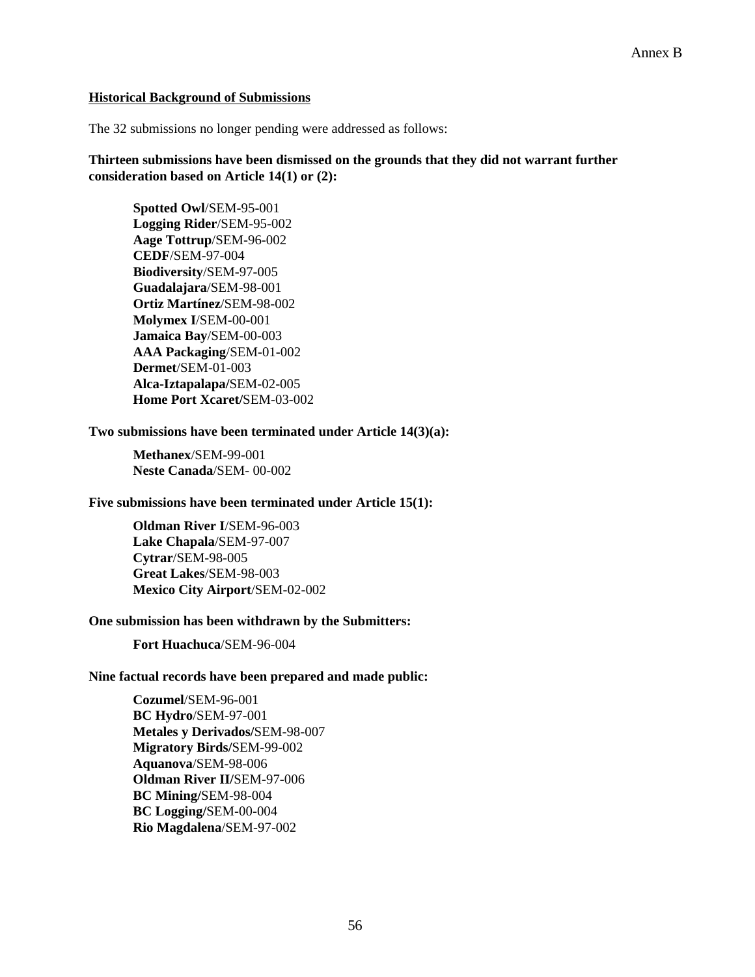#### **Historical Background of Submissions**

The 32 submissions no longer pending were addressed as follows:

**Thirteen submissions have been dismissed on the grounds that they did not warrant further consideration based on Article 14(1) or (2):** 

**Spotted Owl**/SEM-95-001 **Logging Rider**/SEM-95-002 **Aage Tottrup**/SEM-96-002 **CEDF**/SEM-97-004 **Biodiversity**/SEM-97-005 **Guadalajara**/SEM-98-001 **Ortiz Martínez**/SEM-98-002 **Molymex I**/SEM-00-001 **Jamaica Bay**/SEM-00-003 **AAA Packaging**/SEM-01-002 **Dermet**/SEM-01-003 **Alca-Iztapalapa/**SEM-02-005 **Home Port Xcaret/**SEM-03-002

#### **Two submissions have been terminated under Article 14(3)(a):**

**Methanex**/SEM-99-001 **Neste Canada**/SEM- 00-002

#### **Five submissions have been terminated under Article 15(1):**

**Oldman River I**/SEM-96-003 **Lake Chapala**/SEM-97-007 **Cytrar**/SEM-98-005 **Great Lakes**/SEM-98-003 **Mexico City Airport**/SEM-02-002

#### **One submission has been withdrawn by the Submitters:**

**Fort Huachuca**/SEM-96-004

#### **Nine factual records have been prepared and made public:**

**Cozumel**/SEM-96-001 **BC Hydro**/SEM-97-001 **Metales y Derivados/**SEM-98-007 **Migratory Birds/**SEM-99-002 **Aquanova**/SEM-98-006 **Oldman River II/**SEM-97-006 **BC Mining/**SEM-98-004 **BC Logging/**SEM-00-004 **Rio Magdalena**/SEM-97-002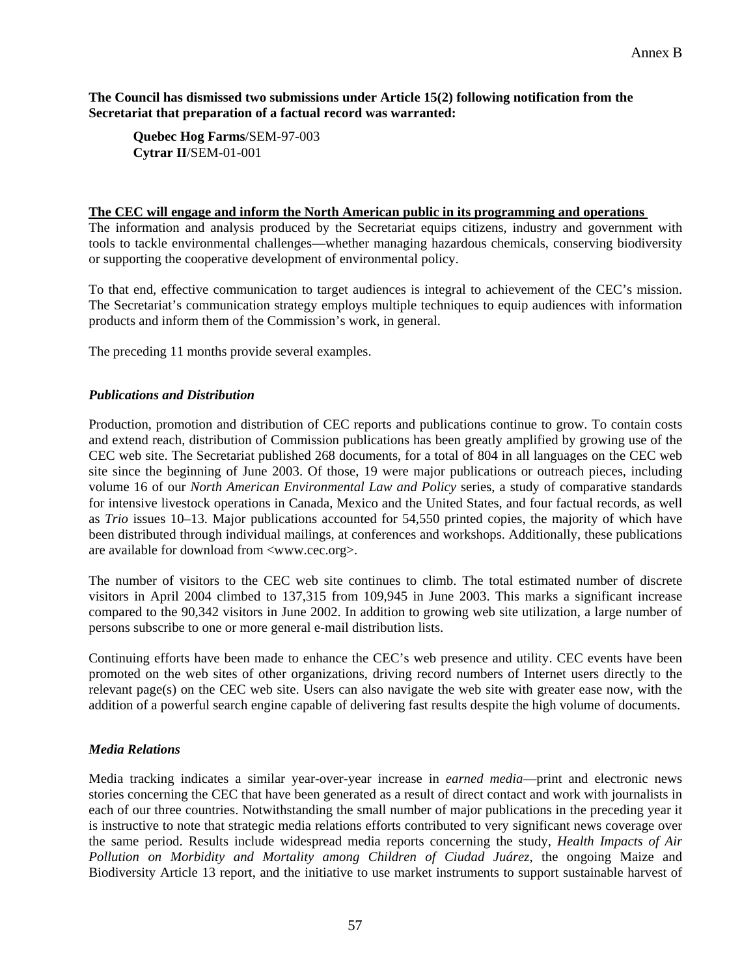#### **The Council has dismissed two submissions under Article 15(2) following notification from the Secretariat that preparation of a factual record was warranted:**

**Quebec Hog Farms**/SEM-97-003 **Cytrar II**/SEM-01-001

#### **The CEC will engage and inform the North American public in its programming and operations**

The information and analysis produced by the Secretariat equips citizens, industry and government with tools to tackle environmental challenges—whether managing hazardous chemicals, conserving biodiversity or supporting the cooperative development of environmental policy.

To that end, effective communication to target audiences is integral to achievement of the CEC's mission. The Secretariat's communication strategy employs multiple techniques to equip audiences with information products and inform them of the Commission's work, in general.

The preceding 11 months provide several examples.

#### *Publications and Distribution*

Production, promotion and distribution of CEC reports and publications continue to grow. To contain costs and extend reach, distribution of Commission publications has been greatly amplified by growing use of the CEC web site. The Secretariat published 268 documents, for a total of 804 in all languages on the CEC web site since the beginning of June 2003. Of those, 19 were major publications or outreach pieces, including volume 16 of our *North American Environmental Law and Policy* series, a study of comparative standards for intensive livestock operations in Canada, Mexico and the United States, and four factual records*,* as well as *Trio* issues 10–13. Major publications accounted for 54,550 printed copies, the majority of which have been distributed through individual mailings, at conferences and workshops. Additionally, these publications are available for download from <www.cec.org>.

The number of visitors to the CEC web site continues to climb. The total estimated number of discrete visitors in April 2004 climbed to 137,315 from 109,945 in June 2003. This marks a significant increase compared to the 90,342 visitors in June 2002. In addition to growing web site utilization, a large number of persons subscribe to one or more general e-mail distribution lists.

Continuing efforts have been made to enhance the CEC's web presence and utility. CEC events have been promoted on the web sites of other organizations, driving record numbers of Internet users directly to the relevant page(s) on the CEC web site. Users can also navigate the web site with greater ease now, with the addition of a powerful search engine capable of delivering fast results despite the high volume of documents.

#### *Media Relations*

Media tracking indicates a similar year-over-year increase in *earned media*—print and electronic news stories concerning the CEC that have been generated as a result of direct contact and work with journalists in each of our three countries. Notwithstanding the small number of major publications in the preceding year it is instructive to note that strategic media relations efforts contributed to very significant news coverage over the same period. Results include widespread media reports concerning the study, *Health Impacts of Air Pollution on Morbidity and Mortality among Children of Ciudad Juárez,* the ongoing Maize and Biodiversity Article 13 report, and the initiative to use market instruments to support sustainable harvest of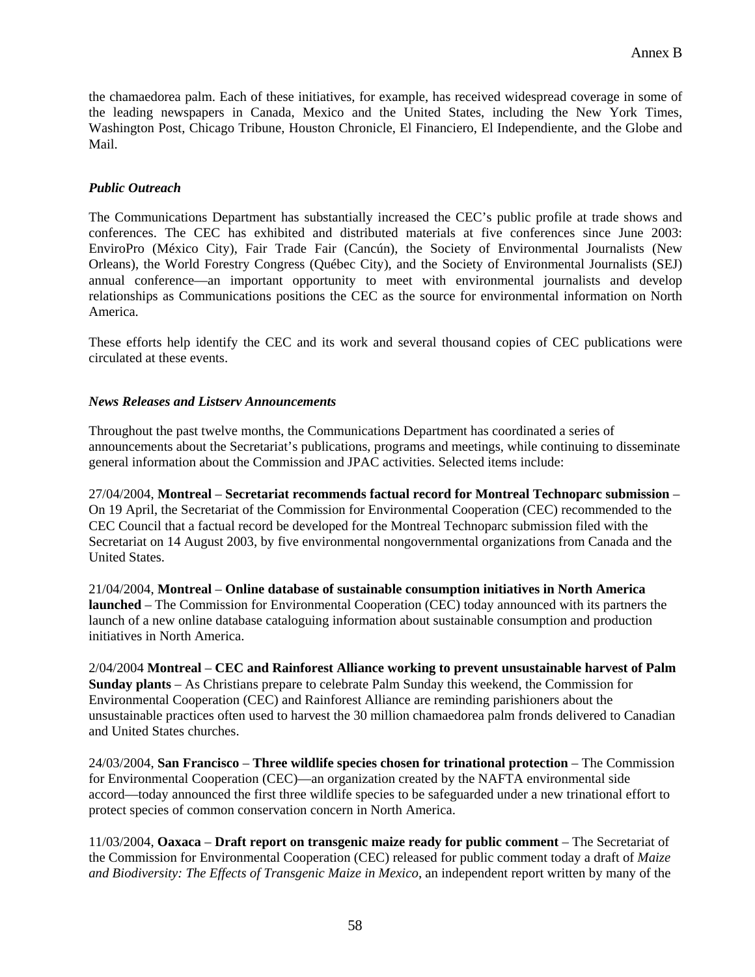the chamaedorea palm. Each of these initiatives, for example, has received widespread coverage in some of the leading newspapers in Canada, Mexico and the United States, including the New York Times, Washington Post, Chicago Tribune, Houston Chronicle, El Financiero, El Independiente, and the Globe and Mail.

# *Public Outreach*

The Communications Department has substantially increased the CEC's public profile at trade shows and conferences. The CEC has exhibited and distributed materials at five conferences since June 2003: EnviroPro (México City), Fair Trade Fair (Cancún), the Society of Environmental Journalists (New Orleans), the World Forestry Congress (Québec City), and the Society of Environmental Journalists (SEJ) annual conference—an important opportunity to meet with environmental journalists and develop relationships as Communications positions the CEC as the source for environmental information on North America.

These efforts help identify the CEC and its work and several thousand copies of CEC publications were circulated at these events.

#### *News Releases and Listserv Announcements*

Throughout the past twelve months, the Communications Department has coordinated a series of announcements about the Secretariat's publications, programs and meetings, while continuing to disseminate general information about the Commission and JPAC activities. Selected items include:

27/04/2004, **Montreal** – **Secretariat recommends factual record for Montreal Technoparc submission** – On 19 April, the Secretariat of the Commission for Environmental Cooperation (CEC) recommended to the CEC Council that a factual record be developed for the Montreal Technoparc submission filed with the Secretariat on 14 August 2003, by five environmental nongovernmental organizations from Canada and the United States.

21/04/2004, **Montreal** – **Online database of sustainable consumption initiatives in North America launched** – The Commission for Environmental Cooperation (CEC) today announced with its partners the launch of a new online database cataloguing information about sustainable consumption and production initiatives in North America.

2/04/2004 **Montreal** – **CEC and Rainforest Alliance working to prevent unsustainable harvest of Palm Sunday plants** – As Christians prepare to celebrate Palm Sunday this weekend, the Commission for Environmental Cooperation (CEC) and Rainforest Alliance are reminding parishioners about the unsustainable practices often used to harvest the 30 million chamaedorea palm fronds delivered to Canadian and United States churches.

24/03/2004, **San Francisco** – **Three wildlife species chosen for trinational protection** – The Commission for Environmental Cooperation (CEC)—an organization created by the NAFTA environmental side accord—today announced the first three wildlife species to be safeguarded under a new trinational effort to protect species of common conservation concern in North America.

11/03/2004, **Oaxaca** – **Draft report on transgenic maize ready for public comment** – The Secretariat of the Commission for Environmental Cooperation (CEC) released for public comment today a draft of *Maize and Biodiversity: The Effects of Transgenic Maize in Mexico*, an independent report written by many of the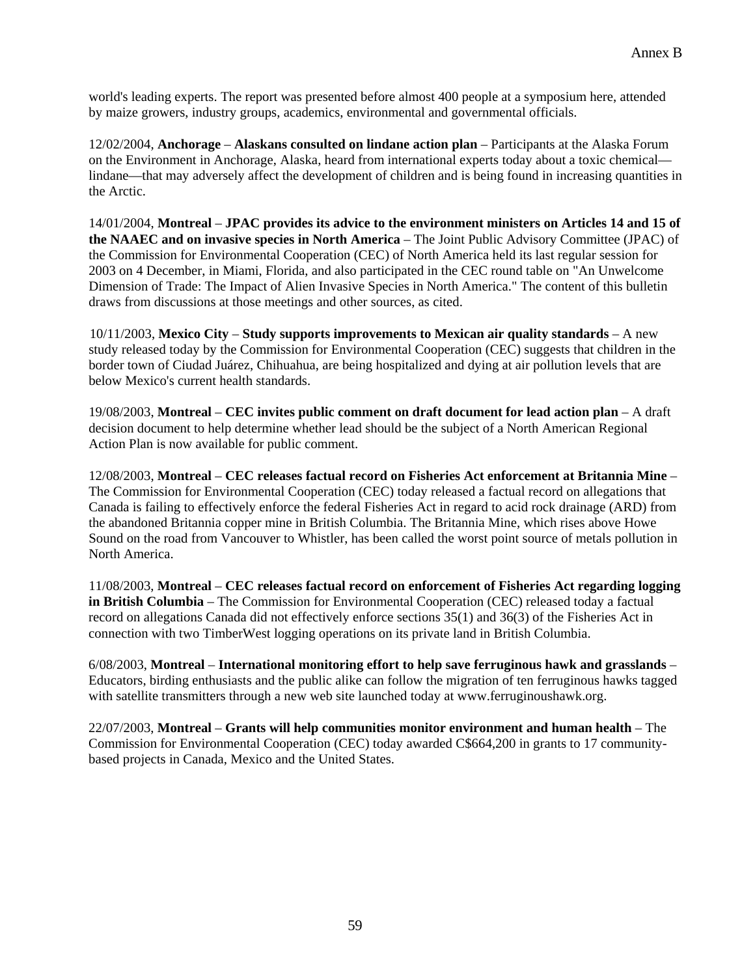world's leading experts. The report was presented before almost 400 people at a symposium here, attended by maize growers, industry groups, academics, environmental and governmental officials.

12/02/2004, **Anchorage** – **Alaskans consulted on lindane action plan** – Participants at the Alaska Forum on the Environment in Anchorage, Alaska, heard from international experts today about a toxic chemical lindane—that may adversely affect the development of children and is being found in increasing quantities in the Arctic.

14/01/2004, **Montreal** – **JPAC provides its advice to the environment ministers on Articles 14 and 15 of the NAAEC and on invasive species in North America** – The Joint Public Advisory Committee (JPAC) of the Commission for Environmental Cooperation (CEC) of North America held its last regular session for 2003 on 4 December, in Miami, Florida, and also participated in the CEC round table on "An Unwelcome Dimension of Trade: The Impact of Alien Invasive Species in North America." The content of this bulletin draws from discussions at those meetings and other sources, as cited.

10/11/2003, **Mexico City** – **Study supports improvements to Mexican air quality standards** – A new study released today by the Commission for Environmental Cooperation (CEC) suggests that children in the border town of Ciudad Juárez, Chihuahua, are being hospitalized and dying at air pollution levels that are below Mexico's current health standards.

19/08/2003, **Montreal** – **CEC invites public comment on draft document for lead action plan** – A draft decision document to help determine whether lead should be the subject of a North American Regional Action Plan is now available for public comment.

12/08/2003, **Montreal** – **CEC releases factual record on Fisheries Act enforcement at Britannia Mine** – The Commission for Environmental Cooperation (CEC) today released a factual record on allegations that Canada is failing to effectively enforce the federal Fisheries Act in regard to acid rock drainage (ARD) from the abandoned Britannia copper mine in British Columbia. The Britannia Mine, which rises above Howe Sound on the road from Vancouver to Whistler, has been called the worst point source of metals pollution in North America.

11/08/2003, **Montreal** – **CEC releases factual record on enforcement of Fisheries Act regarding logging in British Columbia** – The Commission for Environmental Cooperation (CEC) released today a factual record on allegations Canada did not effectively enforce sections 35(1) and 36(3) of the Fisheries Act in connection with two TimberWest logging operations on its private land in British Columbia.

6/08/2003, **Montreal** – **International monitoring effort to help save ferruginous hawk and grasslands** – Educators, birding enthusiasts and the public alike can follow the migration of ten ferruginous hawks tagged with satellite transmitters through a new web site launched today at www.ferruginoushawk.org.

22/07/2003, **Montreal** – **Grants will help communities monitor environment and human health** – The Commission for Environmental Cooperation (CEC) today awarded C\$664,200 in grants to 17 communitybased projects in Canada, Mexico and the United States.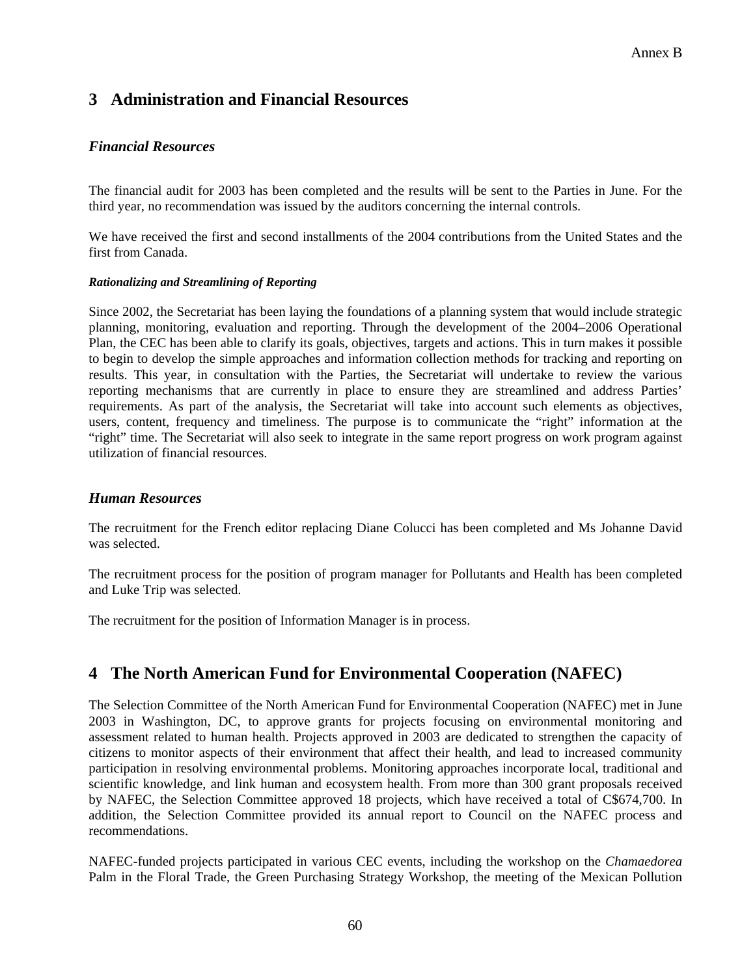# **3 Administration and Financial Resources**

# *Financial Resources*

The financial audit for 2003 has been completed and the results will be sent to the Parties in June. For the third year, no recommendation was issued by the auditors concerning the internal controls.

We have received the first and second installments of the 2004 contributions from the United States and the first from Canada.

#### *Rationalizing and Streamlining of Reporting*

Since 2002, the Secretariat has been laying the foundations of a planning system that would include strategic planning, monitoring, evaluation and reporting. Through the development of the 2004–2006 Operational Plan, the CEC has been able to clarify its goals, objectives, targets and actions. This in turn makes it possible to begin to develop the simple approaches and information collection methods for tracking and reporting on results. This year, in consultation with the Parties, the Secretariat will undertake to review the various reporting mechanisms that are currently in place to ensure they are streamlined and address Parties' requirements. As part of the analysis, the Secretariat will take into account such elements as objectives, users, content, frequency and timeliness. The purpose is to communicate the "right" information at the "right" time. The Secretariat will also seek to integrate in the same report progress on work program against utilization of financial resources.

# *Human Resources*

The recruitment for the French editor replacing Diane Colucci has been completed and Ms Johanne David was selected.

The recruitment process for the position of program manager for Pollutants and Health has been completed and Luke Trip was selected.

The recruitment for the position of Information Manager is in process.

# **4 The North American Fund for Environmental Cooperation (NAFEC)**

The Selection Committee of the North American Fund for Environmental Cooperation (NAFEC) met in June 2003 in Washington, DC, to approve grants for projects focusing on environmental monitoring and assessment related to human health. Projects approved in 2003 are dedicated to strengthen the capacity of citizens to monitor aspects of their environment that affect their health, and lead to increased community participation in resolving environmental problems. Monitoring approaches incorporate local, traditional and scientific knowledge, and link human and ecosystem health. From more than 300 grant proposals received by NAFEC, the Selection Committee approved 18 projects, which have received a total of C\$674,700. In addition, the Selection Committee provided its annual report to Council on the NAFEC process and recommendations.

NAFEC-funded projects participated in various CEC events, including the workshop on the *Chamaedorea* Palm in the Floral Trade, the Green Purchasing Strategy Workshop, the meeting of the Mexican Pollution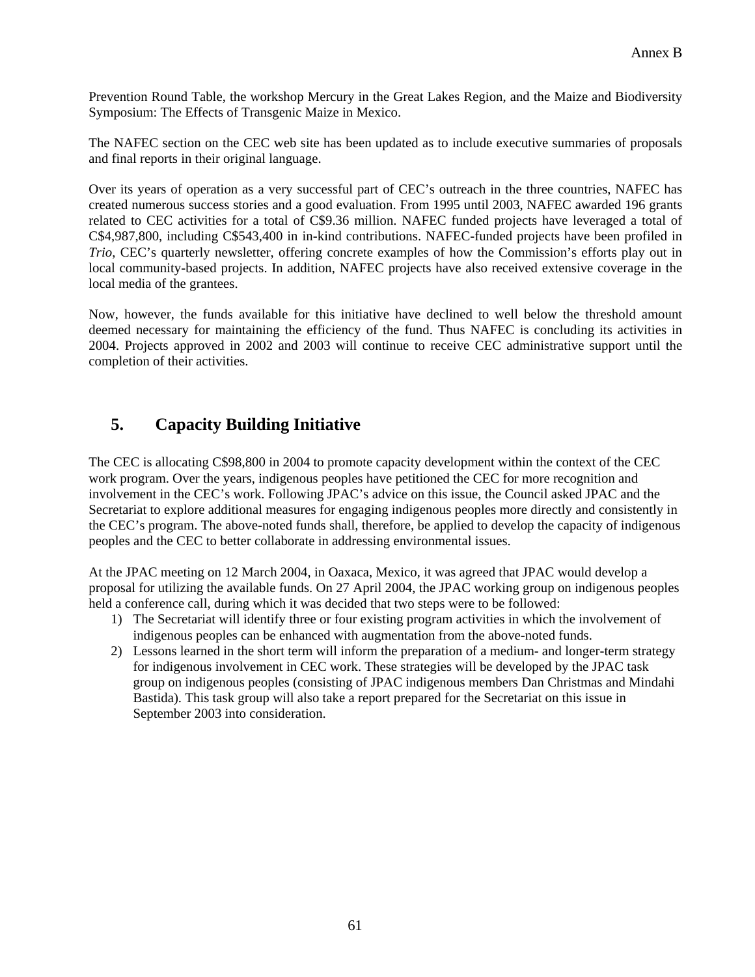Prevention Round Table, the workshop Mercury in the Great Lakes Region, and the Maize and Biodiversity Symposium: The Effects of Transgenic Maize in Mexico.

The NAFEC section on the CEC web site has been updated as to include executive summaries of proposals and final reports in their original language.

Over its years of operation as a very successful part of CEC's outreach in the three countries, NAFEC has created numerous success stories and a good evaluation. From 1995 until 2003, NAFEC awarded 196 grants related to CEC activities for a total of C\$9.36 million. NAFEC funded projects have leveraged a total of C\$4,987,800, including C\$543,400 in in-kind contributions. NAFEC-funded projects have been profiled in *Trio*, CEC's quarterly newsletter, offering concrete examples of how the Commission's efforts play out in local community-based projects. In addition, NAFEC projects have also received extensive coverage in the local media of the grantees.

Now, however, the funds available for this initiative have declined to well below the threshold amount deemed necessary for maintaining the efficiency of the fund. Thus NAFEC is concluding its activities in 2004. Projects approved in 2002 and 2003 will continue to receive CEC administrative support until the completion of their activities.

# **5. Capacity Building Initiative**

The CEC is allocating C\$98,800 in 2004 to promote capacity development within the context of the CEC work program. Over the years, indigenous peoples have petitioned the CEC for more recognition and involvement in the CEC's work. Following JPAC's advice on this issue, the Council asked JPAC and the Secretariat to explore additional measures for engaging indigenous peoples more directly and consistently in the CEC's program. The above-noted funds shall, therefore, be applied to develop the capacity of indigenous peoples and the CEC to better collaborate in addressing environmental issues.

At the JPAC meeting on 12 March 2004, in Oaxaca, Mexico, it was agreed that JPAC would develop a proposal for utilizing the available funds. On 27 April 2004, the JPAC working group on indigenous peoples held a conference call, during which it was decided that two steps were to be followed:

- 1) The Secretariat will identify three or four existing program activities in which the involvement of indigenous peoples can be enhanced with augmentation from the above-noted funds.
- 2) Lessons learned in the short term will inform the preparation of a medium- and longer-term strategy for indigenous involvement in CEC work. These strategies will be developed by the JPAC task group on indigenous peoples (consisting of JPAC indigenous members Dan Christmas and Mindahi Bastida). This task group will also take a report prepared for the Secretariat on this issue in September 2003 into consideration.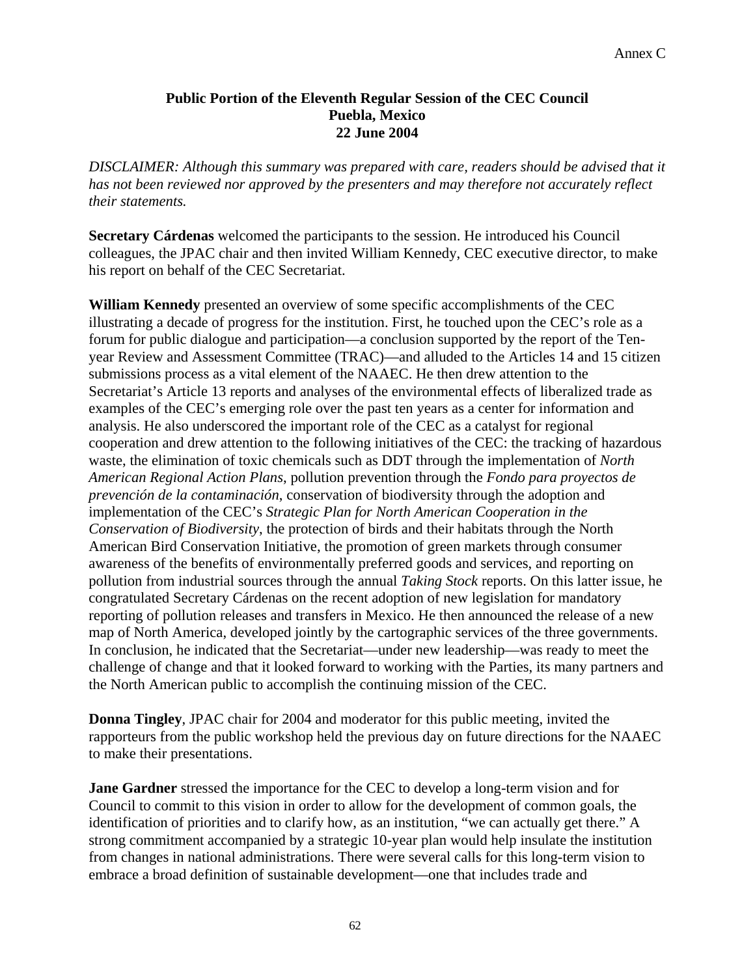# **Public Portion of the Eleventh Regular Session of the CEC Council Puebla, Mexico 22 June 2004**

*DISCLAIMER: Although this summary was prepared with care, readers should be advised that it has not been reviewed nor approved by the presenters and may therefore not accurately reflect their statements.* 

**Secretary Cárdenas** welcomed the participants to the session. He introduced his Council colleagues, the JPAC chair and then invited William Kennedy, CEC executive director, to make his report on behalf of the CEC Secretariat.

**William Kennedy** presented an overview of some specific accomplishments of the CEC illustrating a decade of progress for the institution. First, he touched upon the CEC's role as a forum for public dialogue and participation—a conclusion supported by the report of the Tenyear Review and Assessment Committee (TRAC)—and alluded to the Articles 14 and 15 citizen submissions process as a vital element of the NAAEC. He then drew attention to the Secretariat's Article 13 reports and analyses of the environmental effects of liberalized trade as examples of the CEC's emerging role over the past ten years as a center for information and analysis. He also underscored the important role of the CEC as a catalyst for regional cooperation and drew attention to the following initiatives of the CEC: the tracking of hazardous waste, the elimination of toxic chemicals such as DDT through the implementation of *North American Regional Action Plans*, pollution prevention through the *Fondo para proyectos de prevención de la contaminación*, conservation of biodiversity through the adoption and implementation of the CEC's *Strategic Plan for North American Cooperation in the Conservation of Biodiversity*, the protection of birds and their habitats through the North American Bird Conservation Initiative, the promotion of green markets through consumer awareness of the benefits of environmentally preferred goods and services, and reporting on pollution from industrial sources through the annual *Taking Stock* reports. On this latter issue, he congratulated Secretary Cárdenas on the recent adoption of new legislation for mandatory reporting of pollution releases and transfers in Mexico. He then announced the release of a new map of North America, developed jointly by the cartographic services of the three governments. In conclusion, he indicated that the Secretariat—under new leadership—was ready to meet the challenge of change and that it looked forward to working with the Parties, its many partners and the North American public to accomplish the continuing mission of the CEC.

**Donna Tingley**, JPAC chair for 2004 and moderator for this public meeting, invited the rapporteurs from the public workshop held the previous day on future directions for the NAAEC to make their presentations.

**Jane Gardner** stressed the importance for the CEC to develop a long-term vision and for Council to commit to this vision in order to allow for the development of common goals, the identification of priorities and to clarify how, as an institution, "we can actually get there." A strong commitment accompanied by a strategic 10-year plan would help insulate the institution from changes in national administrations. There were several calls for this long-term vision to embrace a broad definition of sustainable development—one that includes trade and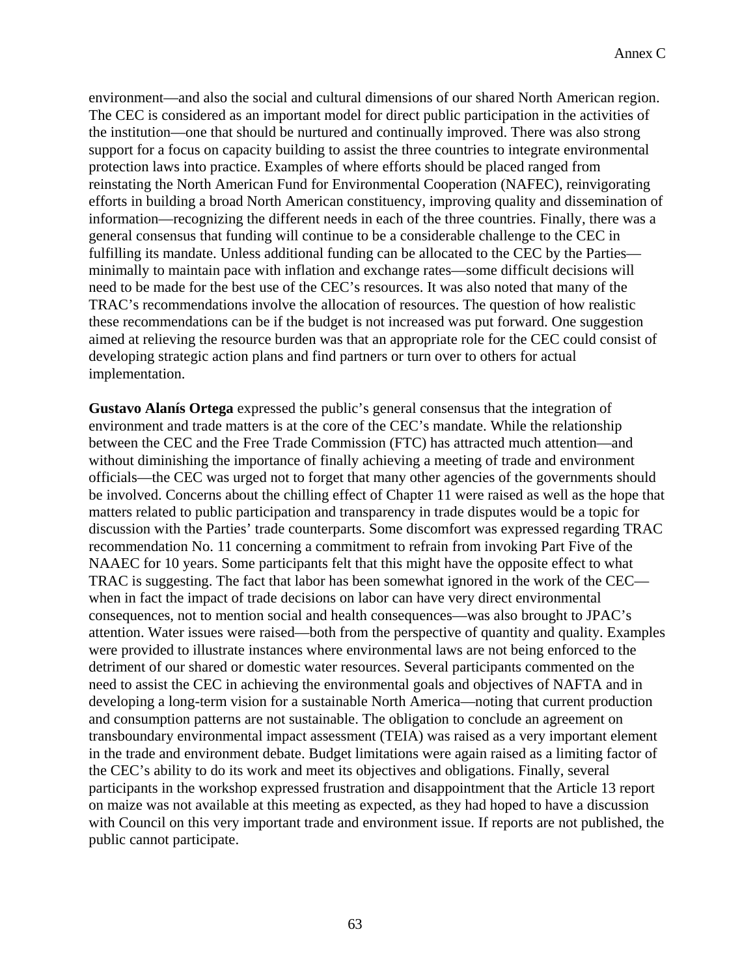environment—and also the social and cultural dimensions of our shared North American region. The CEC is considered as an important model for direct public participation in the activities of the institution—one that should be nurtured and continually improved. There was also strong support for a focus on capacity building to assist the three countries to integrate environmental protection laws into practice. Examples of where efforts should be placed ranged from reinstating the North American Fund for Environmental Cooperation (NAFEC), reinvigorating efforts in building a broad North American constituency, improving quality and dissemination of information—recognizing the different needs in each of the three countries. Finally, there was a general consensus that funding will continue to be a considerable challenge to the CEC in fulfilling its mandate. Unless additional funding can be allocated to the CEC by the Parties minimally to maintain pace with inflation and exchange rates—some difficult decisions will need to be made for the best use of the CEC's resources. It was also noted that many of the TRAC's recommendations involve the allocation of resources. The question of how realistic these recommendations can be if the budget is not increased was put forward. One suggestion aimed at relieving the resource burden was that an appropriate role for the CEC could consist of developing strategic action plans and find partners or turn over to others for actual implementation.

**Gustavo Alanís Ortega** expressed the public's general consensus that the integration of environment and trade matters is at the core of the CEC's mandate. While the relationship between the CEC and the Free Trade Commission (FTC) has attracted much attention—and without diminishing the importance of finally achieving a meeting of trade and environment officials—the CEC was urged not to forget that many other agencies of the governments should be involved. Concerns about the chilling effect of Chapter 11 were raised as well as the hope that matters related to public participation and transparency in trade disputes would be a topic for discussion with the Parties' trade counterparts. Some discomfort was expressed regarding TRAC recommendation No. 11 concerning a commitment to refrain from invoking Part Five of the NAAEC for 10 years. Some participants felt that this might have the opposite effect to what TRAC is suggesting. The fact that labor has been somewhat ignored in the work of the CEC when in fact the impact of trade decisions on labor can have very direct environmental consequences, not to mention social and health consequences—was also brought to JPAC's attention. Water issues were raised—both from the perspective of quantity and quality. Examples were provided to illustrate instances where environmental laws are not being enforced to the detriment of our shared or domestic water resources. Several participants commented on the need to assist the CEC in achieving the environmental goals and objectives of NAFTA and in developing a long-term vision for a sustainable North America—noting that current production and consumption patterns are not sustainable. The obligation to conclude an agreement on transboundary environmental impact assessment (TEIA) was raised as a very important element in the trade and environment debate. Budget limitations were again raised as a limiting factor of the CEC's ability to do its work and meet its objectives and obligations. Finally, several participants in the workshop expressed frustration and disappointment that the Article 13 report on maize was not available at this meeting as expected, as they had hoped to have a discussion with Council on this very important trade and environment issue. If reports are not published, the public cannot participate.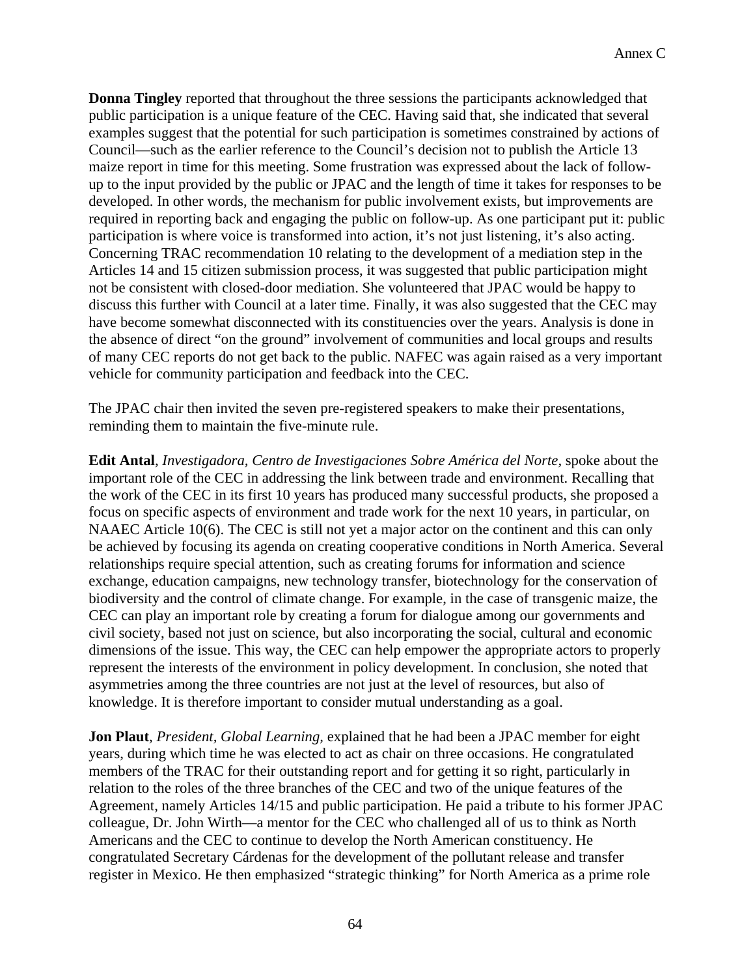**Donna Tingley** reported that throughout the three sessions the participants acknowledged that public participation is a unique feature of the CEC. Having said that, she indicated that several examples suggest that the potential for such participation is sometimes constrained by actions of Council—such as the earlier reference to the Council's decision not to publish the Article 13 maize report in time for this meeting. Some frustration was expressed about the lack of followup to the input provided by the public or JPAC and the length of time it takes for responses to be developed. In other words, the mechanism for public involvement exists, but improvements are required in reporting back and engaging the public on follow-up. As one participant put it: public participation is where voice is transformed into action, it's not just listening, it's also acting. Concerning TRAC recommendation 10 relating to the development of a mediation step in the Articles 14 and 15 citizen submission process, it was suggested that public participation might not be consistent with closed-door mediation. She volunteered that JPAC would be happy to discuss this further with Council at a later time. Finally, it was also suggested that the CEC may have become somewhat disconnected with its constituencies over the years. Analysis is done in the absence of direct "on the ground" involvement of communities and local groups and results of many CEC reports do not get back to the public. NAFEC was again raised as a very important vehicle for community participation and feedback into the CEC.

The JPAC chair then invited the seven pre-registered speakers to make their presentations, reminding them to maintain the five-minute rule.

**Edit Antal**, *Investigadora, Centro de Investigaciones Sobre América del Norte,* spoke about the important role of the CEC in addressing the link between trade and environment. Recalling that the work of the CEC in its first 10 years has produced many successful products, she proposed a focus on specific aspects of environment and trade work for the next 10 years, in particular, on NAAEC Article 10(6). The CEC is still not yet a major actor on the continent and this can only be achieved by focusing its agenda on creating cooperative conditions in North America. Several relationships require special attention, such as creating forums for information and science exchange, education campaigns, new technology transfer, biotechnology for the conservation of biodiversity and the control of climate change. For example, in the case of transgenic maize, the CEC can play an important role by creating a forum for dialogue among our governments and civil society, based not just on science, but also incorporating the social, cultural and economic dimensions of the issue. This way, the CEC can help empower the appropriate actors to properly represent the interests of the environment in policy development. In conclusion, she noted that asymmetries among the three countries are not just at the level of resources, but also of knowledge. It is therefore important to consider mutual understanding as a goal.

**Jon Plaut**, *President, Global Learning,* explained that he had been a JPAC member for eight years, during which time he was elected to act as chair on three occasions. He congratulated members of the TRAC for their outstanding report and for getting it so right, particularly in relation to the roles of the three branches of the CEC and two of the unique features of the Agreement, namely Articles 14/15 and public participation. He paid a tribute to his former JPAC colleague, Dr. John Wirth—a mentor for the CEC who challenged all of us to think as North Americans and the CEC to continue to develop the North American constituency. He congratulated Secretary Cárdenas for the development of the pollutant release and transfer register in Mexico. He then emphasized "strategic thinking" for North America as a prime role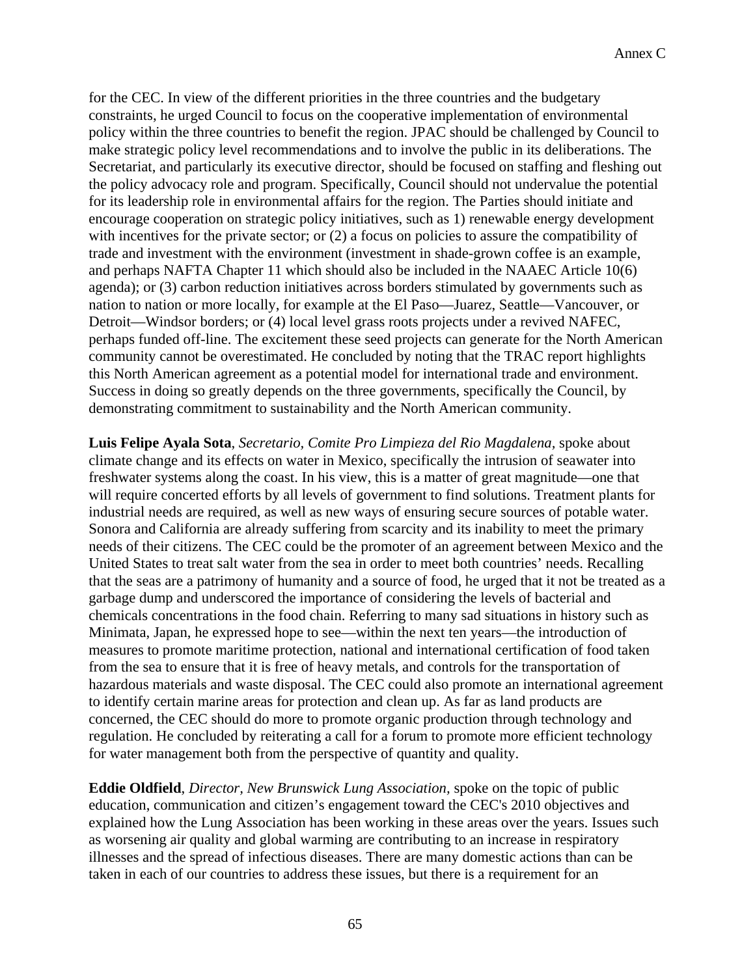for the CEC. In view of the different priorities in the three countries and the budgetary constraints, he urged Council to focus on the cooperative implementation of environmental policy within the three countries to benefit the region. JPAC should be challenged by Council to make strategic policy level recommendations and to involve the public in its deliberations. The Secretariat, and particularly its executive director, should be focused on staffing and fleshing out the policy advocacy role and program. Specifically, Council should not undervalue the potential for its leadership role in environmental affairs for the region. The Parties should initiate and encourage cooperation on strategic policy initiatives, such as 1) renewable energy development with incentives for the private sector; or (2) a focus on policies to assure the compatibility of trade and investment with the environment (investment in shade-grown coffee is an example, and perhaps NAFTA Chapter 11 which should also be included in the NAAEC Article 10(6) agenda); or (3) carbon reduction initiatives across borders stimulated by governments such as nation to nation or more locally, for example at the El Paso—Juarez, Seattle—Vancouver, or Detroit—Windsor borders; or (4) local level grass roots projects under a revived NAFEC, perhaps funded off-line. The excitement these seed projects can generate for the North American community cannot be overestimated. He concluded by noting that the TRAC report highlights this North American agreement as a potential model for international trade and environment. Success in doing so greatly depends on the three governments, specifically the Council, by demonstrating commitment to sustainability and the North American community.

**Luis Felipe Ayala Sota**, *Secretario, Comite Pro Limpieza del Rio Magdalena,* spoke about climate change and its effects on water in Mexico, specifically the intrusion of seawater into freshwater systems along the coast. In his view, this is a matter of great magnitude—one that will require concerted efforts by all levels of government to find solutions. Treatment plants for industrial needs are required, as well as new ways of ensuring secure sources of potable water. Sonora and California are already suffering from scarcity and its inability to meet the primary needs of their citizens. The CEC could be the promoter of an agreement between Mexico and the United States to treat salt water from the sea in order to meet both countries' needs. Recalling that the seas are a patrimony of humanity and a source of food, he urged that it not be treated as a garbage dump and underscored the importance of considering the levels of bacterial and chemicals concentrations in the food chain. Referring to many sad situations in history such as Minimata, Japan, he expressed hope to see—within the next ten years—the introduction of measures to promote maritime protection, national and international certification of food taken from the sea to ensure that it is free of heavy metals, and controls for the transportation of hazardous materials and waste disposal. The CEC could also promote an international agreement to identify certain marine areas for protection and clean up. As far as land products are concerned, the CEC should do more to promote organic production through technology and regulation. He concluded by reiterating a call for a forum to promote more efficient technology for water management both from the perspective of quantity and quality.

**Eddie Oldfield**, *Director, New Brunswick Lung Association,* spoke on the topic of public education, communication and citizen's engagement toward the CEC's 2010 objectives and explained how the Lung Association has been working in these areas over the years. Issues such as worsening air quality and global warming are contributing to an increase in respiratory illnesses and the spread of infectious diseases. There are many domestic actions than can be taken in each of our countries to address these issues, but there is a requirement for an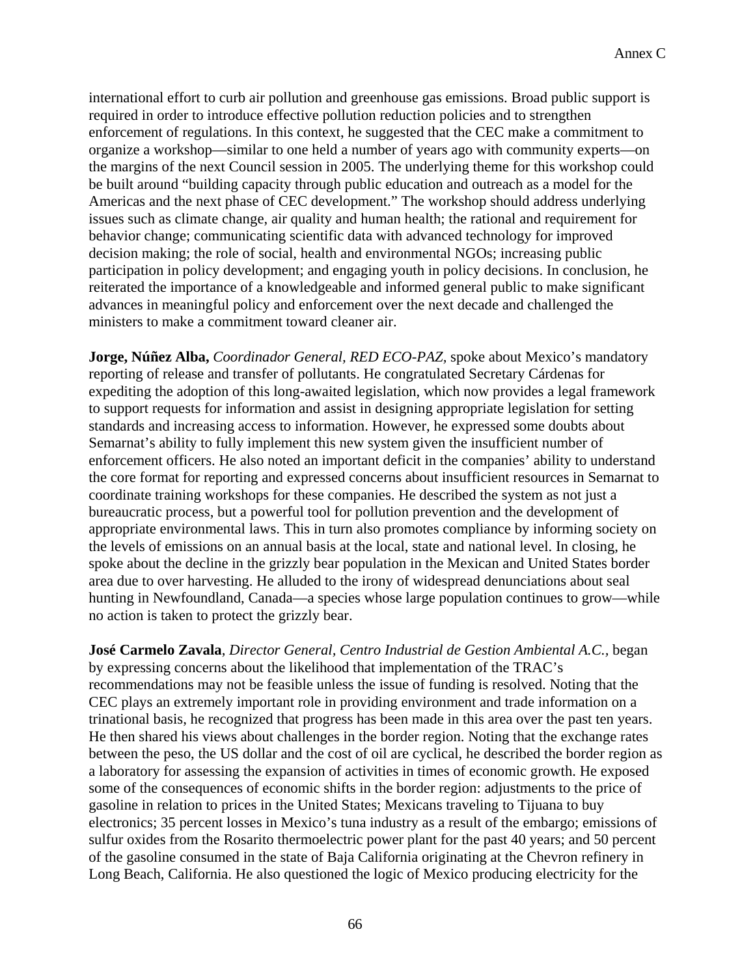international effort to curb air pollution and greenhouse gas emissions. Broad public support is required in order to introduce effective pollution reduction policies and to strengthen enforcement of regulations. In this context, he suggested that the CEC make a commitment to organize a workshop—similar to one held a number of years ago with community experts—on the margins of the next Council session in 2005. The underlying theme for this workshop could be built around "building capacity through public education and outreach as a model for the Americas and the next phase of CEC development." The workshop should address underlying issues such as climate change, air quality and human health; the rational and requirement for behavior change; communicating scientific data with advanced technology for improved decision making; the role of social, health and environmental NGOs; increasing public participation in policy development; and engaging youth in policy decisions. In conclusion, he reiterated the importance of a knowledgeable and informed general public to make significant advances in meaningful policy and enforcement over the next decade and challenged the ministers to make a commitment toward cleaner air.

**Jorge, Núñez Alba,** *Coordinador General, RED ECO-PAZ,* spoke about Mexico's mandatory reporting of release and transfer of pollutants. He congratulated Secretary Cárdenas for expediting the adoption of this long-awaited legislation, which now provides a legal framework to support requests for information and assist in designing appropriate legislation for setting standards and increasing access to information. However, he expressed some doubts about Semarnat's ability to fully implement this new system given the insufficient number of enforcement officers. He also noted an important deficit in the companies' ability to understand the core format for reporting and expressed concerns about insufficient resources in Semarnat to coordinate training workshops for these companies. He described the system as not just a bureaucratic process, but a powerful tool for pollution prevention and the development of appropriate environmental laws. This in turn also promotes compliance by informing society on the levels of emissions on an annual basis at the local, state and national level. In closing, he spoke about the decline in the grizzly bear population in the Mexican and United States border area due to over harvesting. He alluded to the irony of widespread denunciations about seal hunting in Newfoundland, Canada—a species whose large population continues to grow—while no action is taken to protect the grizzly bear.

**José Carmelo Zavala**, *Director General, Centro Industrial de Gestion Ambiental A.C.,* began by expressing concerns about the likelihood that implementation of the TRAC's recommendations may not be feasible unless the issue of funding is resolved. Noting that the CEC plays an extremely important role in providing environment and trade information on a trinational basis, he recognized that progress has been made in this area over the past ten years. He then shared his views about challenges in the border region. Noting that the exchange rates between the peso, the US dollar and the cost of oil are cyclical, he described the border region as a laboratory for assessing the expansion of activities in times of economic growth. He exposed some of the consequences of economic shifts in the border region: adjustments to the price of gasoline in relation to prices in the United States; Mexicans traveling to Tijuana to buy electronics; 35 percent losses in Mexico's tuna industry as a result of the embargo; emissions of sulfur oxides from the Rosarito thermoelectric power plant for the past 40 years; and 50 percent of the gasoline consumed in the state of Baja California originating at the Chevron refinery in Long Beach, California. He also questioned the logic of Mexico producing electricity for the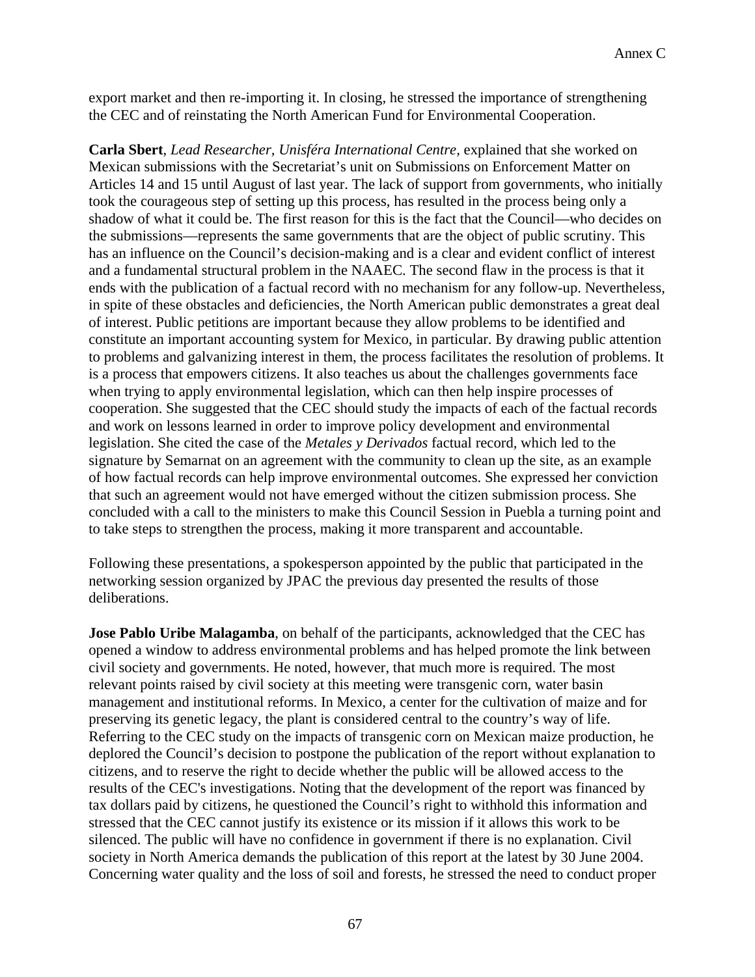export market and then re-importing it. In closing, he stressed the importance of strengthening the CEC and of reinstating the North American Fund for Environmental Cooperation.

**Carla Sbert**, *Lead Researcher, Unisféra International Centre,* explained that she worked on Mexican submissions with the Secretariat's unit on Submissions on Enforcement Matter on Articles 14 and 15 until August of last year. The lack of support from governments, who initially took the courageous step of setting up this process, has resulted in the process being only a shadow of what it could be. The first reason for this is the fact that the Council—who decides on the submissions—represents the same governments that are the object of public scrutiny. This has an influence on the Council's decision-making and is a clear and evident conflict of interest and a fundamental structural problem in the NAAEC. The second flaw in the process is that it ends with the publication of a factual record with no mechanism for any follow-up. Nevertheless, in spite of these obstacles and deficiencies, the North American public demonstrates a great deal of interest. Public petitions are important because they allow problems to be identified and constitute an important accounting system for Mexico, in particular. By drawing public attention to problems and galvanizing interest in them, the process facilitates the resolution of problems. It is a process that empowers citizens. It also teaches us about the challenges governments face when trying to apply environmental legislation, which can then help inspire processes of cooperation. She suggested that the CEC should study the impacts of each of the factual records and work on lessons learned in order to improve policy development and environmental legislation. She cited the case of the *Metales y Derivados* factual record*,* which led to the signature by Semarnat on an agreement with the community to clean up the site, as an example of how factual records can help improve environmental outcomes. She expressed her conviction that such an agreement would not have emerged without the citizen submission process. She concluded with a call to the ministers to make this Council Session in Puebla a turning point and to take steps to strengthen the process, making it more transparent and accountable.

Following these presentations, a spokesperson appointed by the public that participated in the networking session organized by JPAC the previous day presented the results of those deliberations.

**Jose Pablo Uribe Malagamba**, on behalf of the participants, acknowledged that the CEC has opened a window to address environmental problems and has helped promote the link between civil society and governments. He noted, however, that much more is required. The most relevant points raised by civil society at this meeting were transgenic corn, water basin management and institutional reforms. In Mexico, a center for the cultivation of maize and for preserving its genetic legacy, the plant is considered central to the country's way of life. Referring to the CEC study on the impacts of transgenic corn on Mexican maize production, he deplored the Council's decision to postpone the publication of the report without explanation to citizens, and to reserve the right to decide whether the public will be allowed access to the results of the CEC's investigations. Noting that the development of the report was financed by tax dollars paid by citizens, he questioned the Council's right to withhold this information and stressed that the CEC cannot justify its existence or its mission if it allows this work to be silenced. The public will have no confidence in government if there is no explanation. Civil society in North America demands the publication of this report at the latest by 30 June 2004. Concerning water quality and the loss of soil and forests, he stressed the need to conduct proper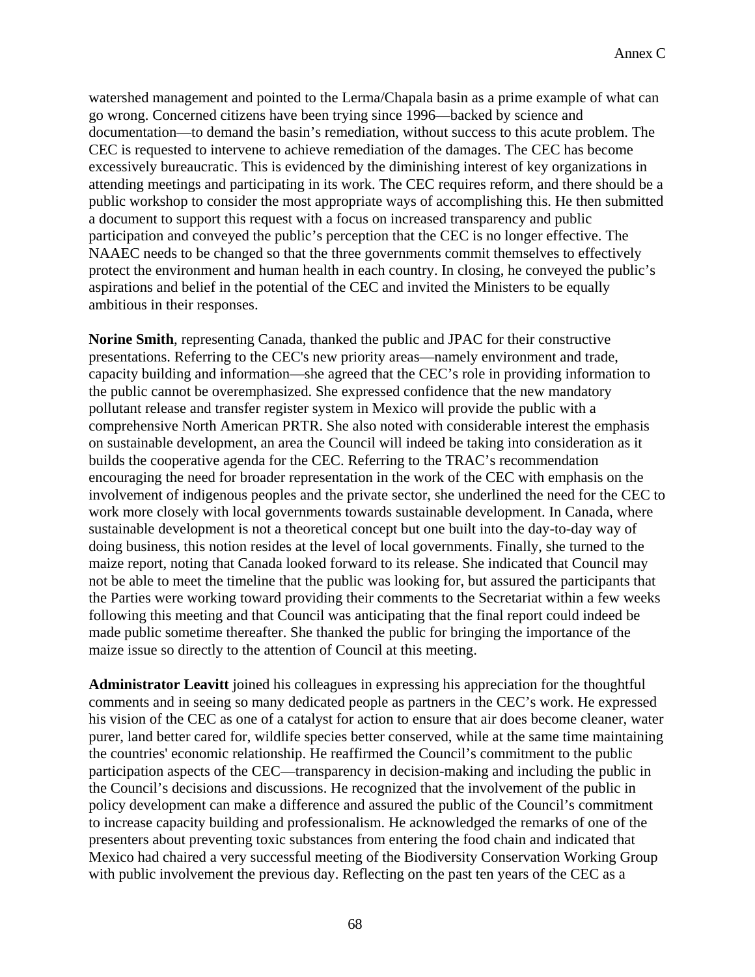watershed management and pointed to the Lerma/Chapala basin as a prime example of what can go wrong. Concerned citizens have been trying since 1996—backed by science and documentation—to demand the basin's remediation, without success to this acute problem. The CEC is requested to intervene to achieve remediation of the damages. The CEC has become excessively bureaucratic. This is evidenced by the diminishing interest of key organizations in attending meetings and participating in its work. The CEC requires reform, and there should be a public workshop to consider the most appropriate ways of accomplishing this. He then submitted a document to support this request with a focus on increased transparency and public participation and conveyed the public's perception that the CEC is no longer effective. The NAAEC needs to be changed so that the three governments commit themselves to effectively protect the environment and human health in each country. In closing, he conveyed the public's aspirations and belief in the potential of the CEC and invited the Ministers to be equally ambitious in their responses.

**Norine Smith**, representing Canada, thanked the public and JPAC for their constructive presentations. Referring to the CEC's new priority areas—namely environment and trade, capacity building and information—she agreed that the CEC's role in providing information to the public cannot be overemphasized. She expressed confidence that the new mandatory pollutant release and transfer register system in Mexico will provide the public with a comprehensive North American PRTR. She also noted with considerable interest the emphasis on sustainable development, an area the Council will indeed be taking into consideration as it builds the cooperative agenda for the CEC. Referring to the TRAC's recommendation encouraging the need for broader representation in the work of the CEC with emphasis on the involvement of indigenous peoples and the private sector, she underlined the need for the CEC to work more closely with local governments towards sustainable development. In Canada, where sustainable development is not a theoretical concept but one built into the day-to-day way of doing business, this notion resides at the level of local governments. Finally, she turned to the maize report, noting that Canada looked forward to its release. She indicated that Council may not be able to meet the timeline that the public was looking for, but assured the participants that the Parties were working toward providing their comments to the Secretariat within a few weeks following this meeting and that Council was anticipating that the final report could indeed be made public sometime thereafter. She thanked the public for bringing the importance of the maize issue so directly to the attention of Council at this meeting.

**Administrator Leavitt** joined his colleagues in expressing his appreciation for the thoughtful comments and in seeing so many dedicated people as partners in the CEC's work. He expressed his vision of the CEC as one of a catalyst for action to ensure that air does become cleaner, water purer, land better cared for, wildlife species better conserved, while at the same time maintaining the countries' economic relationship. He reaffirmed the Council's commitment to the public participation aspects of the CEC—transparency in decision-making and including the public in the Council's decisions and discussions. He recognized that the involvement of the public in policy development can make a difference and assured the public of the Council's commitment to increase capacity building and professionalism. He acknowledged the remarks of one of the presenters about preventing toxic substances from entering the food chain and indicated that Mexico had chaired a very successful meeting of the Biodiversity Conservation Working Group with public involvement the previous day. Reflecting on the past ten years of the CEC as a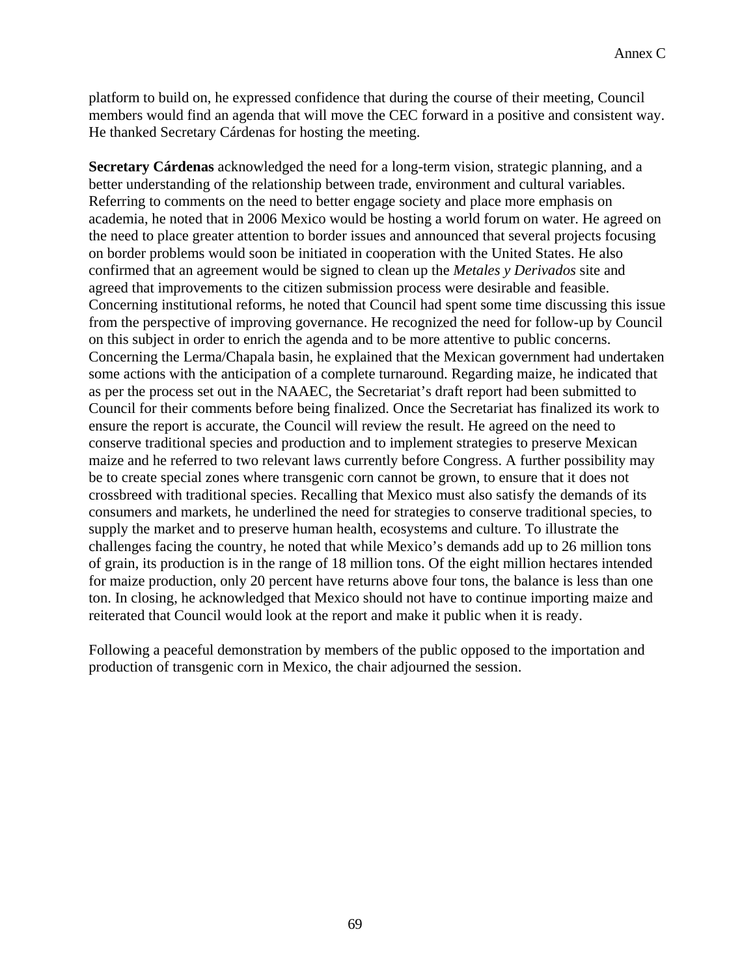platform to build on, he expressed confidence that during the course of their meeting, Council members would find an agenda that will move the CEC forward in a positive and consistent way. He thanked Secretary Cárdenas for hosting the meeting.

**Secretary Cárdenas** acknowledged the need for a long-term vision, strategic planning, and a better understanding of the relationship between trade, environment and cultural variables. Referring to comments on the need to better engage society and place more emphasis on academia, he noted that in 2006 Mexico would be hosting a world forum on water. He agreed on the need to place greater attention to border issues and announced that several projects focusing on border problems would soon be initiated in cooperation with the United States. He also confirmed that an agreement would be signed to clean up the *Metales y Derivados* site and agreed that improvements to the citizen submission process were desirable and feasible. Concerning institutional reforms, he noted that Council had spent some time discussing this issue from the perspective of improving governance. He recognized the need for follow-up by Council on this subject in order to enrich the agenda and to be more attentive to public concerns. Concerning the Lerma/Chapala basin, he explained that the Mexican government had undertaken some actions with the anticipation of a complete turnaround. Regarding maize, he indicated that as per the process set out in the NAAEC, the Secretariat's draft report had been submitted to Council for their comments before being finalized. Once the Secretariat has finalized its work to ensure the report is accurate, the Council will review the result. He agreed on the need to conserve traditional species and production and to implement strategies to preserve Mexican maize and he referred to two relevant laws currently before Congress. A further possibility may be to create special zones where transgenic corn cannot be grown, to ensure that it does not crossbreed with traditional species. Recalling that Mexico must also satisfy the demands of its consumers and markets, he underlined the need for strategies to conserve traditional species, to supply the market and to preserve human health, ecosystems and culture. To illustrate the challenges facing the country, he noted that while Mexico's demands add up to 26 million tons of grain, its production is in the range of 18 million tons. Of the eight million hectares intended for maize production, only 20 percent have returns above four tons, the balance is less than one ton. In closing, he acknowledged that Mexico should not have to continue importing maize and reiterated that Council would look at the report and make it public when it is ready.

Following a peaceful demonstration by members of the public opposed to the importation and production of transgenic corn in Mexico, the chair adjourned the session.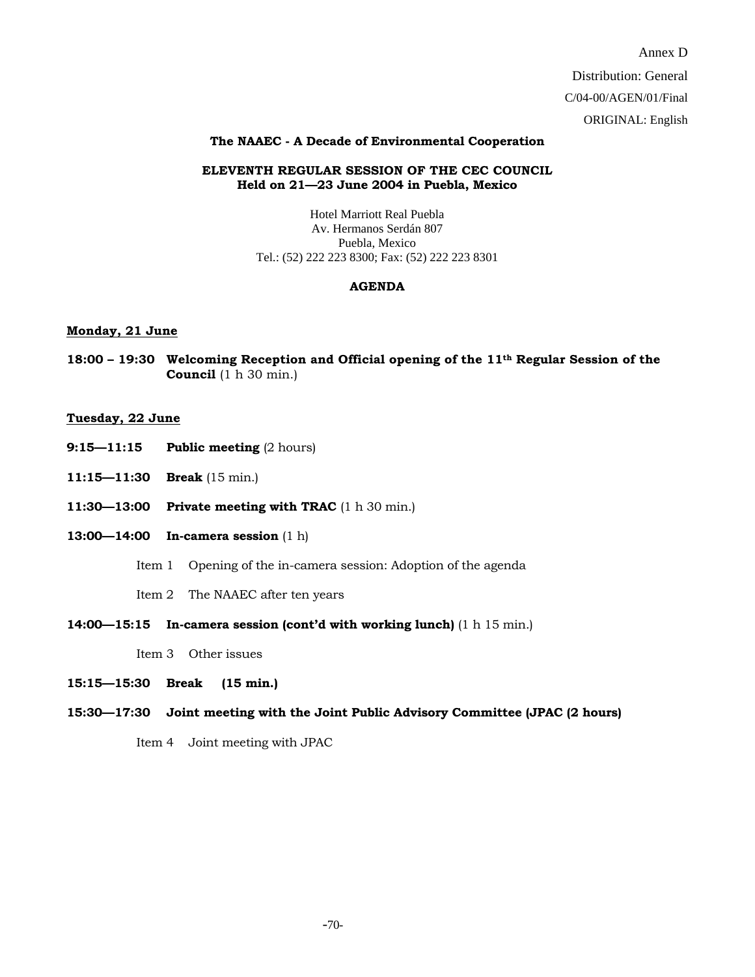Annex D Distribution: General C/04-00/AGEN/01/Final ORIGINAL: English

#### **The NAAEC - A Decade of Environmental Cooperation**

#### **ELEVENTH REGULAR SESSION OF THE CEC COUNCIL Held on 21—23 June 2004 in Puebla, Mexico**

Hotel Marriott Real Puebla Av. Hermanos Serdán 807 Puebla, Mexico Tel.: (52) 222 223 8300; Fax: (52) 222 223 8301

#### **AGENDA**

#### **Monday, 21 June**

**18:00 – 19:30 Welcoming Reception and Official opening of the 11th Regular Session of the Council** (1 h 30 min.)

#### **Tuesday, 22 June**

- **9:15—11:15 Public meeting (2 hours)**
- **11:15—11:30 Break** (15 min.)
- **11:30—13:00 Private meeting with TRAC** (1 h 30 min.)
- **13:00—14:00 In-camera session** (1 h)
	- Item 1 Opening of the in-camera session: Adoption of the agenda

Item 2 The NAAEC after ten years

**14:00—15:15 In-camera session (cont'd with working lunch)** (1 h 15 min.)

Item 3 Other issues

- **15:15—15:30 Break (15 min.)**
- **15:30—17:30 Joint meeting with the Joint Public Advisory Committee (JPAC (2 hours)**

Item 4 Joint meeting with JPAC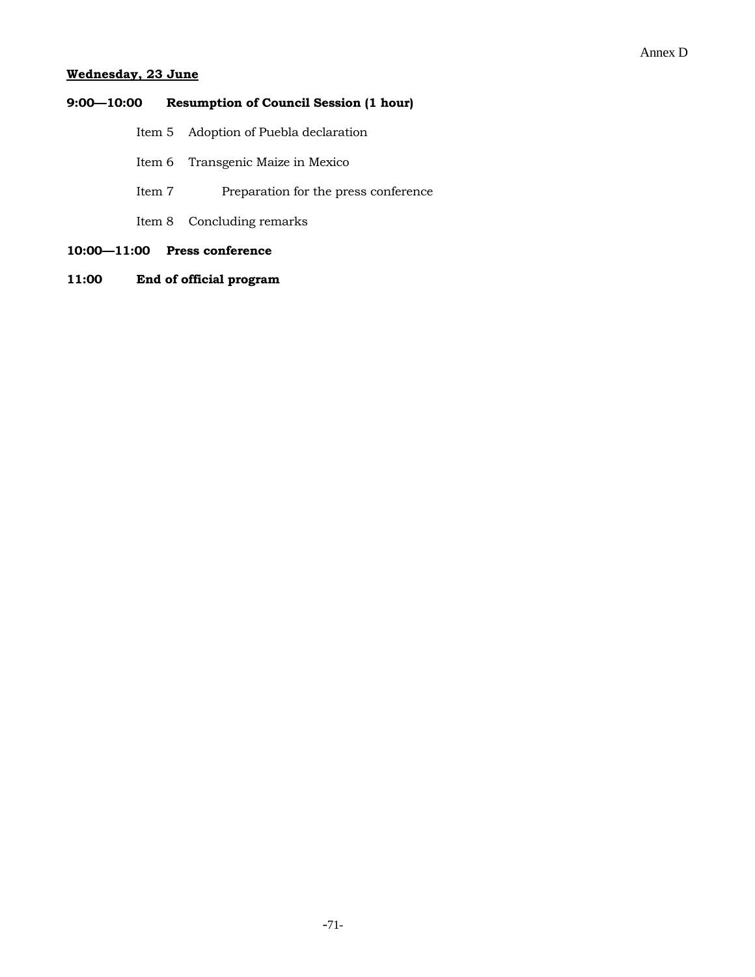#### Annex D

#### **Wednesday, 23 June**

# **9:00—10:00 Resumption of Council Session (1 hour)**

- Item 5 Adoption of Puebla declaration
- Item 6 Transgenic Maize in Mexico
- Item 7 Preparation for the press conference
- Item 8 Concluding remarks
- **10:00—11:00 Press conference**
- **11:00 End of official program**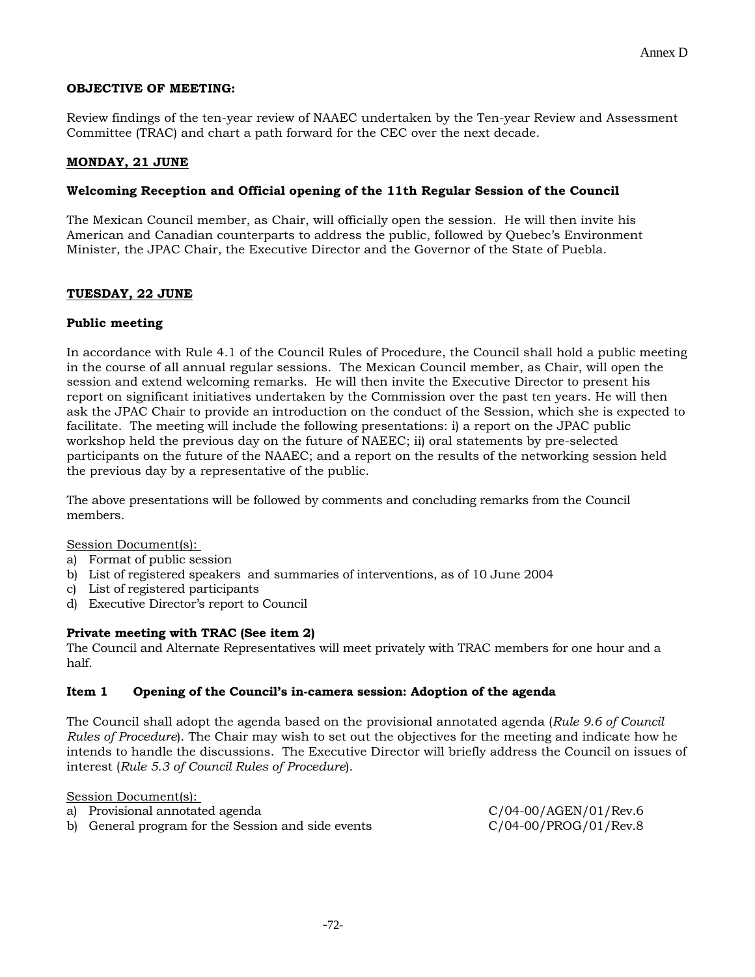#### **OBJECTIVE OF MEETING:**

Review findings of the ten-year review of NAAEC undertaken by the Ten-year Review and Assessment Committee (TRAC) and chart a path forward for the CEC over the next decade.

#### **MONDAY, 21 JUNE**

#### **Welcoming Reception and Official opening of the 11th Regular Session of the Council**

The Mexican Council member, as Chair, will officially open the session. He will then invite his American and Canadian counterparts to address the public, followed by Quebec's Environment Minister, the JPAC Chair, the Executive Director and the Governor of the State of Puebla.

#### **TUESDAY, 22 JUNE**

#### **Public meeting**

In accordance with Rule 4.1 of the Council Rules of Procedure, the Council shall hold a public meeting in the course of all annual regular sessions. The Mexican Council member, as Chair, will open the session and extend welcoming remarks. He will then invite the Executive Director to present his report on significant initiatives undertaken by the Commission over the past ten years. He will then ask the JPAC Chair to provide an introduction on the conduct of the Session, which she is expected to facilitate. The meeting will include the following presentations: i) a report on the JPAC public workshop held the previous day on the future of NAEEC; ii) oral statements by pre-selected participants on the future of the NAAEC; and a report on the results of the networking session held the previous day by a representative of the public.

The above presentations will be followed by comments and concluding remarks from the Council members.

#### Session Document(s):

- a) Format of public session
- b) List of registered speakers and summaries of interventions, as of 10 June 2004
- c) List of registered participants
- d) Executive Director's report to Council

#### **Private meeting with TRAC (See item 2)**

The Council and Alternate Representatives will meet privately with TRAC members for one hour and a half.

#### **Item 1 Opening of the Council's in-camera session: Adoption of the agenda**

The Council shall adopt the agenda based on the provisional annotated agenda (*Rule 9.6 of Council Rules of Procedure*). The Chair may wish to set out the objectives for the meeting and indicate how he intends to handle the discussions. The Executive Director will briefly address the Council on issues of interest (*Rule 5.3 of Council Rules of Procedure*).

Session Document(s):

- a) Provisional annotated agenda C/04-00/AGEN/01/Rev.6
- b) General program for the Session and side events C/04-00/PROG/01/Rev.8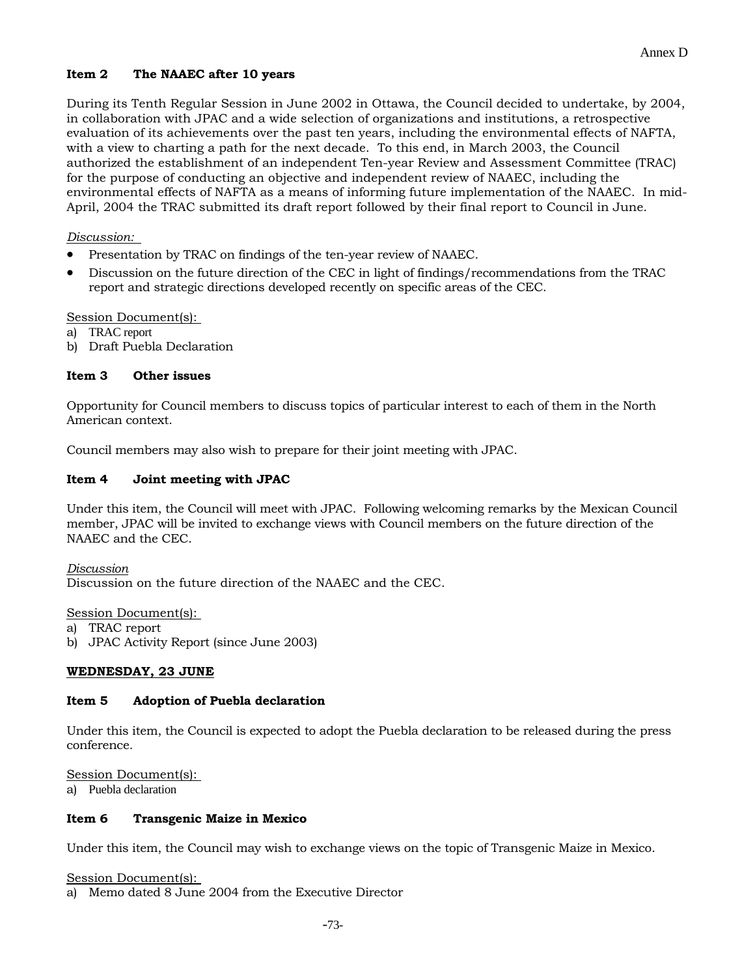### **Item 2 The NAAEC after 10 years**

During its Tenth Regular Session in June 2002 in Ottawa, the Council decided to undertake, by 2004, in collaboration with JPAC and a wide selection of organizations and institutions, a retrospective evaluation of its achievements over the past ten years, including the environmental effects of NAFTA, with a view to charting a path for the next decade. To this end, in March 2003, the Council authorized the establishment of an independent Ten-year Review and Assessment Committee (TRAC) for the purpose of conducting an objective and independent review of NAAEC, including the environmental effects of NAFTA as a means of informing future implementation of the NAAEC. In mid-April, 2004 the TRAC submitted its draft report followed by their final report to Council in June.

### *Discussion:*

- Presentation by TRAC on findings of the ten-year review of NAAEC.
- Discussion on the future direction of the CEC in light of findings/recommendations from the TRAC report and strategic directions developed recently on specific areas of the CEC.

### Session Document(s):

- TRAC report
- b) Draft Puebla Declaration

### **Item 3 Other issues**

Opportunity for Council members to discuss topics of particular interest to each of them in the North American context.

Council members may also wish to prepare for their joint meeting with JPAC.

### **Item 4 Joint meeting with JPAC**

Under this item, the Council will meet with JPAC. Following welcoming remarks by the Mexican Council member, JPAC will be invited to exchange views with Council members on the future direction of the NAAEC and the CEC.

#### *Discussion*

Discussion on the future direction of the NAAEC and the CEC.

#### Session Document(s):

- a) TRAC report
- b) JPAC Activity Report (since June 2003)

### **WEDNESDAY, 23 JUNE**

#### **Item 5 Adoption of Puebla declaration**

Under this item, the Council is expected to adopt the Puebla declaration to be released during the press conference.

Session Document(s):

a) Puebla declaration

#### **Item 6 Transgenic Maize in Mexico**

Under this item, the Council may wish to exchange views on the topic of Transgenic Maize in Mexico.

Session Document(s):

a) Memo dated 8 June 2004 from the Executive Director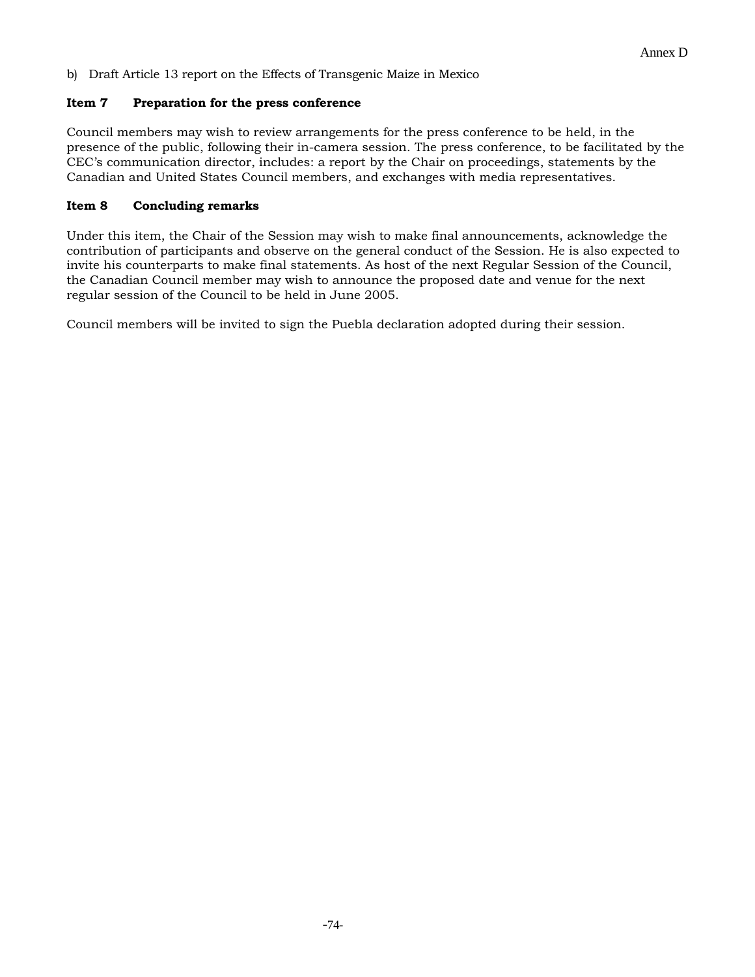b) Draft Article 13 report on the Effects of Transgenic Maize in Mexico

#### **Item 7 Preparation for the press conference**

Council members may wish to review arrangements for the press conference to be held, in the presence of the public, following their in-camera session. The press conference, to be facilitated by the CEC's communication director, includes: a report by the Chair on proceedings, statements by the Canadian and United States Council members, and exchanges with media representatives.

#### **Item 8 Concluding remarks**

Under this item, the Chair of the Session may wish to make final announcements, acknowledge the contribution of participants and observe on the general conduct of the Session. He is also expected to invite his counterparts to make final statements. As host of the next Regular Session of the Council, the Canadian Council member may wish to announce the proposed date and venue for the next regular session of the Council to be held in June 2005.

Council members will be invited to sign the Puebla declaration adopted during their session.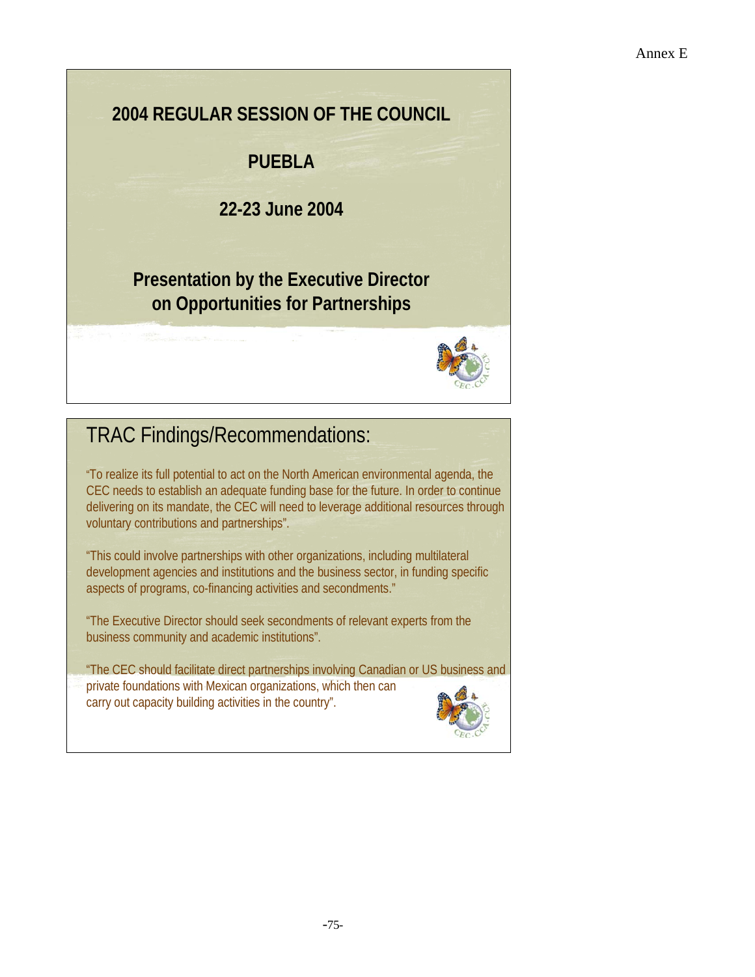### **2004 REGULAR SESSION OF THE COUNCIL**

### **PUEBLA**

**22-23 June 2004**

### **Presentation by the Executive Director on Opportunities for Partnerships**



## TRAC Findings/Recommendations:

"To realize its full potential to act on the North American environmental agenda, the CEC needs to establish an adequate funding base for the future. In order to continue delivering on its mandate, the CEC will need to leverage additional resources through voluntary contributions and partnerships".

"This could involve partnerships with other organizations, including multilateral development agencies and institutions and the business sector, in funding specific aspects of programs, co-financing activities and secondments."

"The Executive Director should seek secondments of relevant experts from the business community and academic institutions".

"The CEC should facilitate direct partnerships involving Canadian or US business and private foundations with Mexican organizations, which then can carry out capacity building activities in the country".

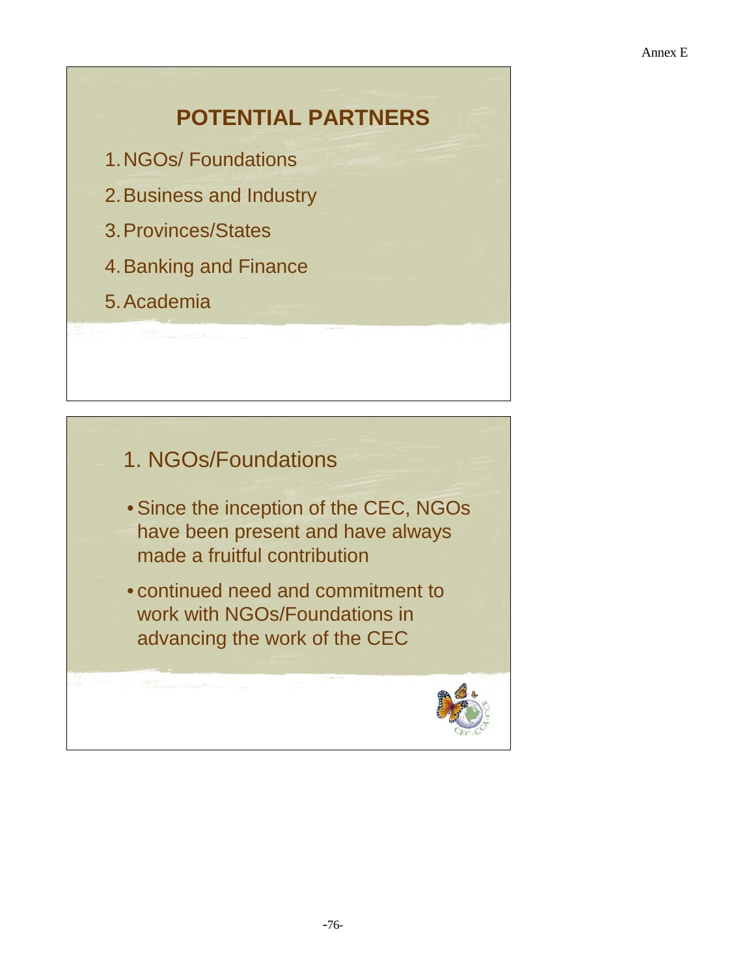## **POTENTIAL PARTNERS**

- 1.NGOs/ Foundations
- 2.Business and Industry
- 3.Provinces/States
- 4.Banking and Finance
- 5.Academia

### 1. NGOs/Foundations

- Since the inception of the CEC, NGOs have been present and have always made a fruitful contribution
- continued need and commitment to work with NGOs/Foundations in advancing the work of the CEC

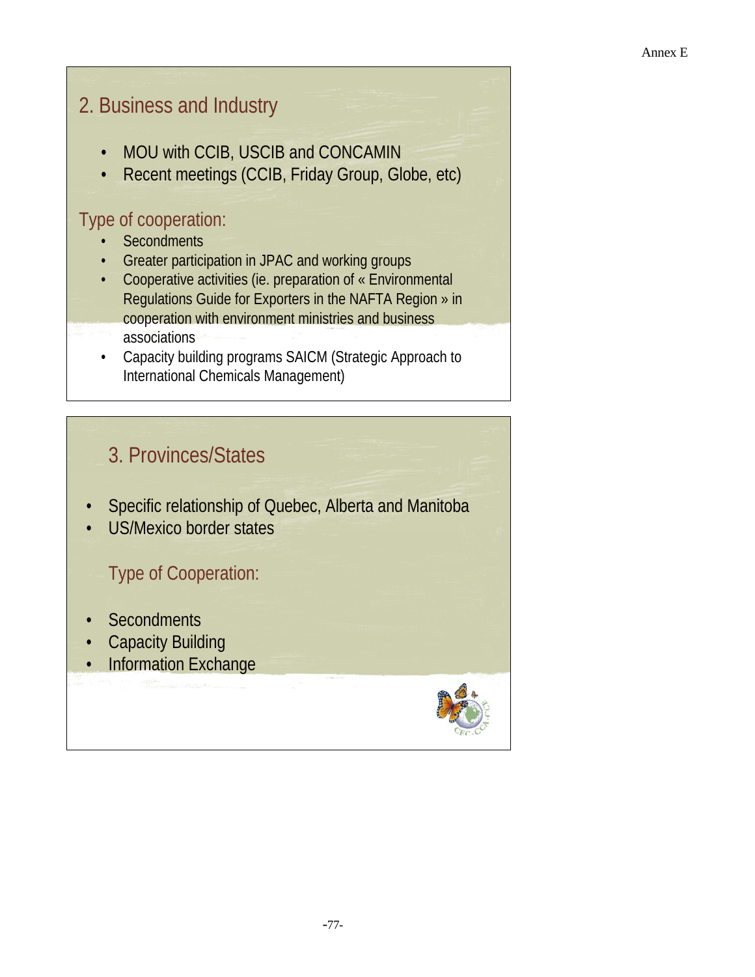## 2. Business and Industry

- MOU with CCIB, USCIB and CONCAMIN
- Recent meetings (CCIB, Friday Group, Globe, etc)

### Type of cooperation:

- **Secondments**
- Greater participation in JPAC and working groups
- Cooperative activities (ie. preparation of « Environmental Regulations Guide for Exporters in the NAFTA Region » in cooperation with environment ministries and business associations
- Capacity building programs SAICM (Strategic Approach to International Chemicals Management)

## 3. Provinces/States

- Specific relationship of Quebec, Alberta and Manitoba
- US/Mexico border states

### Type of Cooperation:

- Secondments
- Capacity Building
- **Information Exchange**

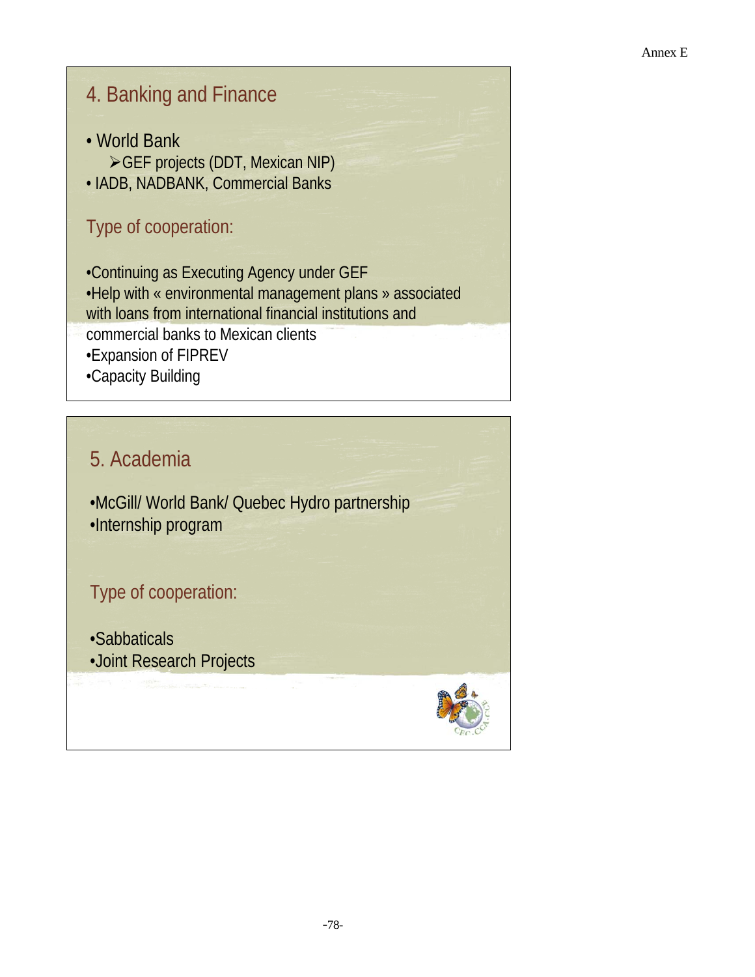## 4. Banking and Finance

- World Bank
- ¾GEF projects (DDT, Mexican NIP)
- IADB, NADBANK, Commercial Banks

### Type of cooperation:

•Continuing as Executing Agency under GEF •Help with « environmental management plans » associated with loans from international financial institutions and commercial banks to Mexican clients •Expansion of FIPREV •Capacity Building

## 5. Academia

•McGill/ World Bank/ Quebec Hydro partnership •Internship program

## Type of cooperation:

•Sabbaticals •Joint Research Projects

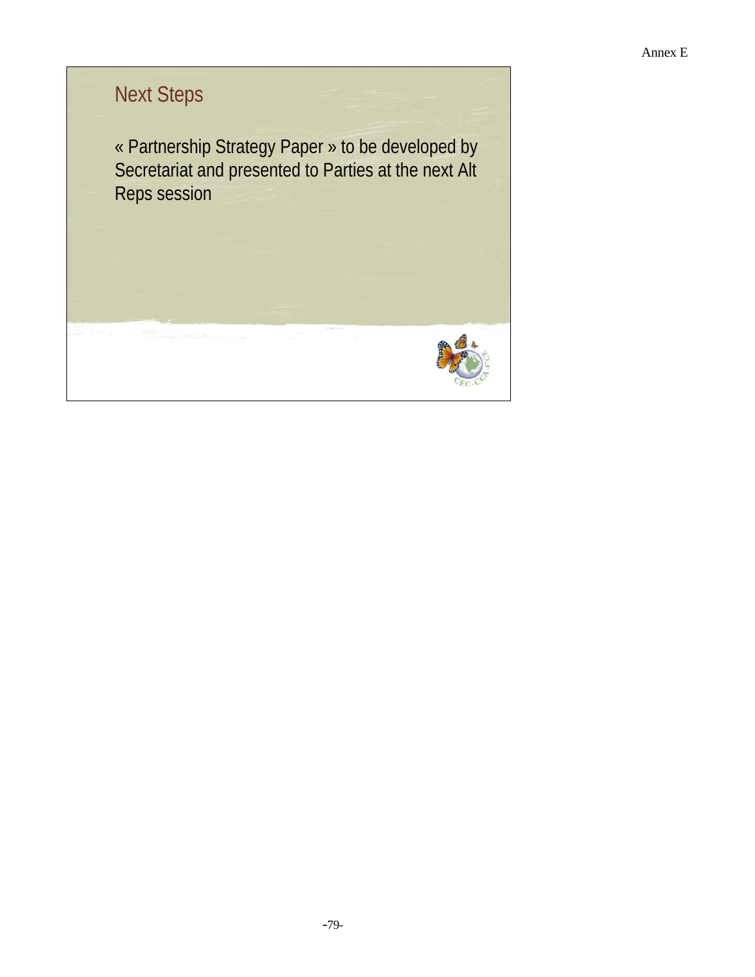# Next Steps

« Partnership Strategy Paper » to be developed by Secretariat and presented to Parties at the next Alt Reps session

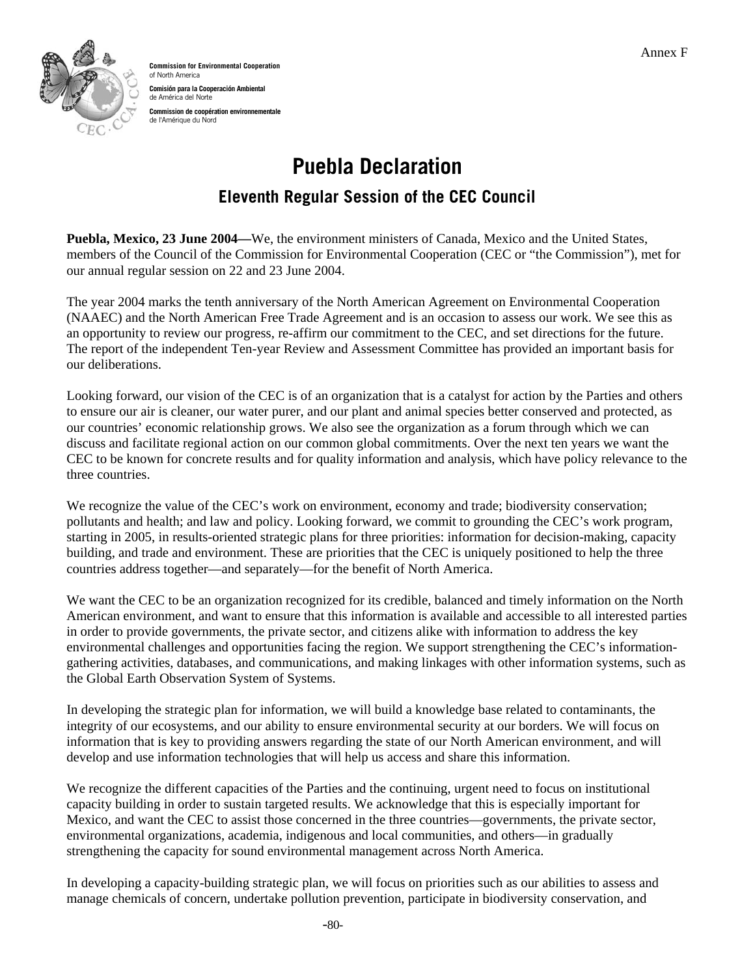

**Commission for Environmental Cooperation**  of North America **Comisión para la Cooperación Ambiental**  de América del Norte **Commission de coopération environnementale**  de l'Amérique du Nord

# **Puebla Declaration**

### **Eleventh Regular Session of the CEC Council**

**Puebla, Mexico, 23 June 2004—**We, the environment ministers of Canada, Mexico and the United States, members of the Council of the Commission for Environmental Cooperation (CEC or "the Commission"), met for our annual regular session on 22 and 23 June 2004.

The year 2004 marks the tenth anniversary of the North American Agreement on Environmental Cooperation (NAAEC) and the North American Free Trade Agreement and is an occasion to assess our work. We see this as an opportunity to review our progress, re-affirm our commitment to the CEC, and set directions for the future. The report of the independent Ten-year Review and Assessment Committee has provided an important basis for our deliberations.

Looking forward, our vision of the CEC is of an organization that is a catalyst for action by the Parties and others to ensure our air is cleaner, our water purer, and our plant and animal species better conserved and protected, as our countries' economic relationship grows. We also see the organization as a forum through which we can discuss and facilitate regional action on our common global commitments. Over the next ten years we want the CEC to be known for concrete results and for quality information and analysis, which have policy relevance to the three countries.

We recognize the value of the CEC's work on environment, economy and trade; biodiversity conservation; pollutants and health; and law and policy. Looking forward, we commit to grounding the CEC's work program, starting in 2005, in results-oriented strategic plans for three priorities: information for decision-making, capacity building, and trade and environment. These are priorities that the CEC is uniquely positioned to help the three countries address together—and separately—for the benefit of North America.

We want the CEC to be an organization recognized for its credible, balanced and timely information on the North American environment, and want to ensure that this information is available and accessible to all interested parties in order to provide governments, the private sector, and citizens alike with information to address the key environmental challenges and opportunities facing the region. We support strengthening the CEC's informationgathering activities, databases, and communications, and making linkages with other information systems, such as the Global Earth Observation System of Systems.

In developing the strategic plan for information, we will build a knowledge base related to contaminants, the integrity of our ecosystems, and our ability to ensure environmental security at our borders. We will focus on information that is key to providing answers regarding the state of our North American environment, and will develop and use information technologies that will help us access and share this information.

We recognize the different capacities of the Parties and the continuing, urgent need to focus on institutional capacity building in order to sustain targeted results. We acknowledge that this is especially important for Mexico, and want the CEC to assist those concerned in the three countries—governments, the private sector, environmental organizations, academia, indigenous and local communities, and others—in gradually strengthening the capacity for sound environmental management across North America.

In developing a capacity-building strategic plan, we will focus on priorities such as our abilities to assess and manage chemicals of concern, undertake pollution prevention, participate in biodiversity conservation, and